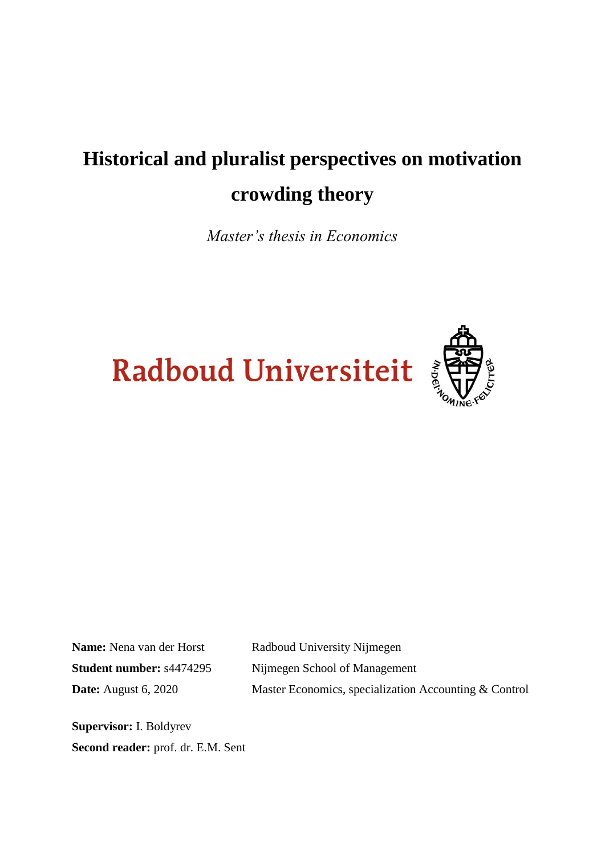# **Historical and pluralist perspectives on motivation crowding theory**

*Master's thesis in Economics*





Name: Nena van der Horst Radboud University Nijmegen **Student number:** s4474295 Nijmegen School of Management **Date:** August 6, 2020 Master Economics, specialization Accounting & Control

**Supervisor:** I. Boldyrev **Second reader:** prof. dr. E.M. Sent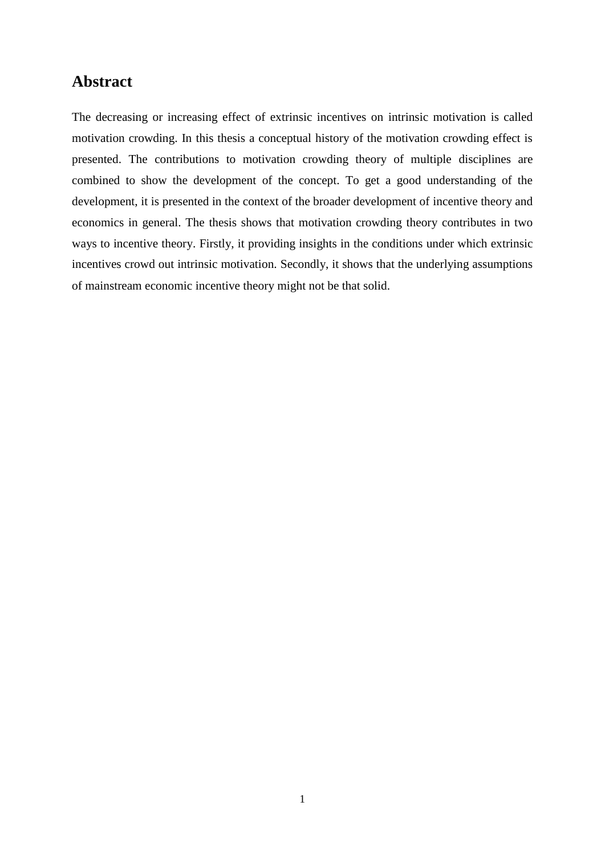### **Abstract**

The decreasing or increasing effect of extrinsic incentives on intrinsic motivation is called motivation crowding. In this thesis a conceptual history of the motivation crowding effect is presented. The contributions to motivation crowding theory of multiple disciplines are combined to show the development of the concept. To get a good understanding of the development, it is presented in the context of the broader development of incentive theory and economics in general. The thesis shows that motivation crowding theory contributes in two ways to incentive theory. Firstly, it providing insights in the conditions under which extrinsic incentives crowd out intrinsic motivation. Secondly, it shows that the underlying assumptions of mainstream economic incentive theory might not be that solid.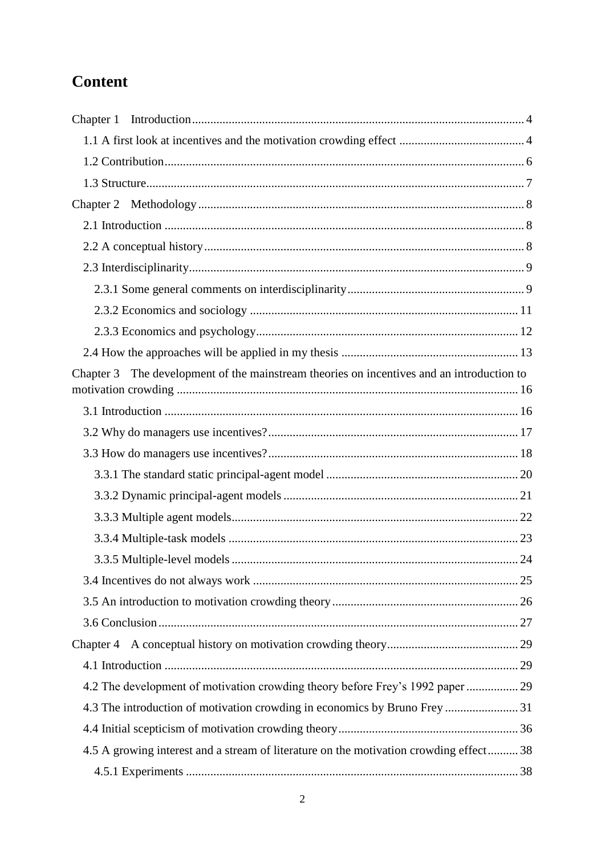# **Content**

| Chapter 1                                                                                    |  |
|----------------------------------------------------------------------------------------------|--|
|                                                                                              |  |
|                                                                                              |  |
|                                                                                              |  |
|                                                                                              |  |
|                                                                                              |  |
|                                                                                              |  |
|                                                                                              |  |
|                                                                                              |  |
|                                                                                              |  |
|                                                                                              |  |
|                                                                                              |  |
| The development of the mainstream theories on incentives and an introduction to<br>Chapter 3 |  |
|                                                                                              |  |
|                                                                                              |  |
|                                                                                              |  |
|                                                                                              |  |
|                                                                                              |  |
|                                                                                              |  |
|                                                                                              |  |
|                                                                                              |  |
|                                                                                              |  |
|                                                                                              |  |
|                                                                                              |  |
|                                                                                              |  |
|                                                                                              |  |
|                                                                                              |  |
| 4.2 The development of motivation crowding theory before Frey's 1992 paper  29               |  |
| 4.3 The introduction of motivation crowding in economics by Bruno Frey  31                   |  |
|                                                                                              |  |
| 4.5 A growing interest and a stream of literature on the motivation crowding effect 38       |  |
|                                                                                              |  |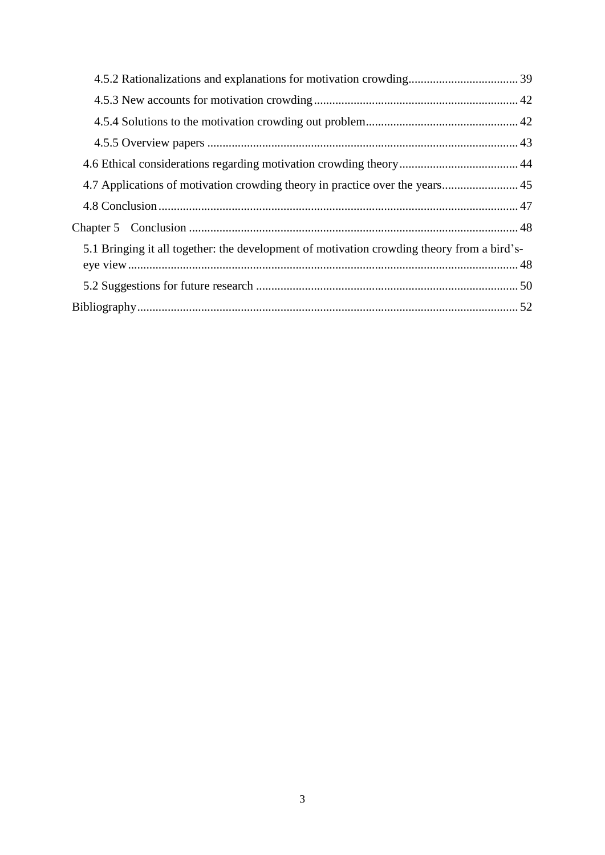| 4.7 Applications of motivation crowding theory in practice over the years 45               |  |
|--------------------------------------------------------------------------------------------|--|
|                                                                                            |  |
|                                                                                            |  |
| 5.1 Bringing it all together: the development of motivation crowding theory from a bird's- |  |
|                                                                                            |  |
|                                                                                            |  |
|                                                                                            |  |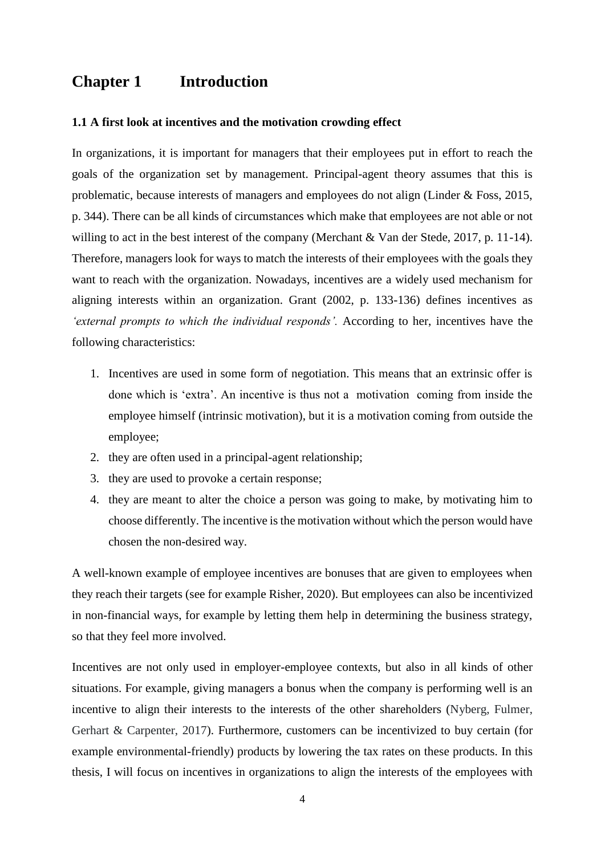## <span id="page-4-0"></span>**Chapter 1 Introduction**

#### <span id="page-4-1"></span>**1.1 A first look at incentives and the motivation crowding effect**

In organizations, it is important for managers that their employees put in effort to reach the goals of the organization set by management. Principal-agent theory assumes that this is problematic, because interests of managers and employees do not align (Linder & Foss, 2015, p. 344). There can be all kinds of circumstances which make that employees are not able or not willing to act in the best interest of the company (Merchant & Van der Stede, 2017, p. 11-14). Therefore, managers look for ways to match the interests of their employees with the goals they want to reach with the organization. Nowadays, incentives are a widely used mechanism for aligning interests within an organization. Grant (2002, p. 133-136) defines incentives as *'external prompts to which the individual responds'.* According to her, incentives have the following characteristics:

- 1. Incentives are used in some form of negotiation. This means that an extrinsic offer is done which is 'extra'. An incentive is thus not a motivation coming from inside the employee himself (intrinsic motivation), but it is a motivation coming from outside the employee;
- 2. they are often used in a principal-agent relationship;
- 3. they are used to provoke a certain response;
- 4. they are meant to alter the choice a person was going to make, by motivating him to choose differently. The incentive is the motivation without which the person would have chosen the non-desired way.

A well-known example of employee incentives are bonuses that are given to employees when they reach their targets (see for example Risher, 2020). But employees can also be incentivized in non-financial ways, for example by letting them help in determining the business strategy, so that they feel more involved.

Incentives are not only used in employer-employee contexts, but also in all kinds of other situations. For example, giving managers a bonus when the company is performing well is an incentive to align their interests to the interests of the other shareholders (Nyberg, Fulmer, Gerhart & Carpenter, 2017). Furthermore, customers can be incentivized to buy certain (for example environmental-friendly) products by lowering the tax rates on these products. In this thesis, I will focus on incentives in organizations to align the interests of the employees with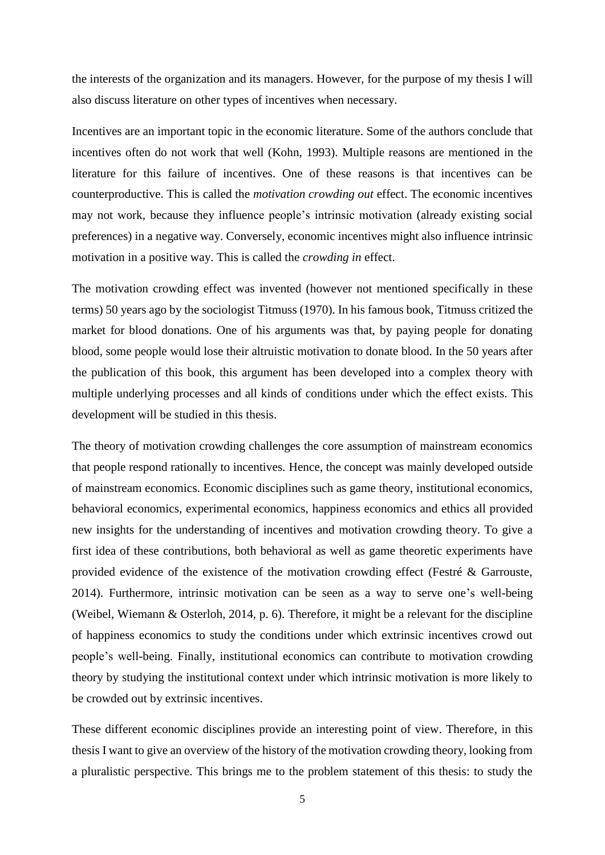the interests of the organization and its managers. However, for the purpose of my thesis I will also discuss literature on other types of incentives when necessary.

Incentives are an important topic in the economic literature. Some of the authors conclude that incentives often do not work that well (Kohn, 1993). Multiple reasons are mentioned in the literature for this failure of incentives. One of these reasons is that incentives can be counterproductive. This is called the *motivation crowding out* effect. The economic incentives may not work, because they influence people's intrinsic motivation (already existing social preferences) in a negative way. Conversely, economic incentives might also influence intrinsic motivation in a positive way. This is called the *crowding in* effect.

The motivation crowding effect was invented (however not mentioned specifically in these terms) 50 years ago by the sociologist Titmuss (1970). In his famous book, Titmuss critized the market for blood donations. One of his arguments was that, by paying people for donating blood, some people would lose their altruistic motivation to donate blood. In the 50 years after the publication of this book, this argument has been developed into a complex theory with multiple underlying processes and all kinds of conditions under which the effect exists. This development will be studied in this thesis.

The theory of motivation crowding challenges the core assumption of mainstream economics that people respond rationally to incentives. Hence, the concept was mainly developed outside of mainstream economics. Economic disciplines such as game theory, institutional economics, behavioral economics, experimental economics, happiness economics and ethics all provided new insights for the understanding of incentives and motivation crowding theory. To give a first idea of these contributions, both behavioral as well as game theoretic experiments have provided evidence of the existence of the motivation crowding effect (Festré & Garrouste, 2014). Furthermore, intrinsic motivation can be seen as a way to serve one's well-being (Weibel, Wiemann & Osterloh, 2014, p. 6). Therefore, it might be a relevant for the discipline of happiness economics to study the conditions under which extrinsic incentives crowd out people's well-being. Finally, institutional economics can contribute to motivation crowding theory by studying the institutional context under which intrinsic motivation is more likely to be crowded out by extrinsic incentives.

These different economic disciplines provide an interesting point of view. Therefore, in this thesis I want to give an overview of the history of the motivation crowding theory, looking from a pluralistic perspective. This brings me to the problem statement of this thesis: to study the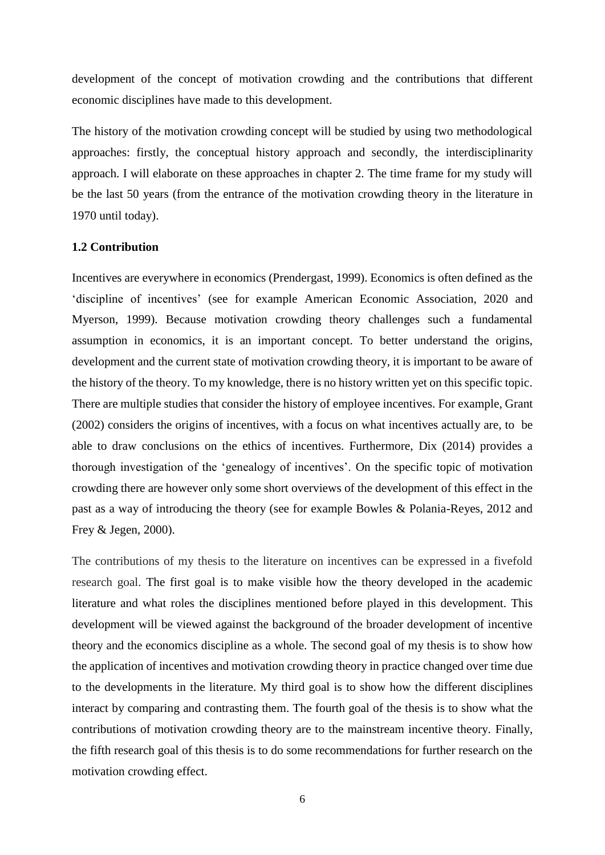development of the concept of motivation crowding and the contributions that different economic disciplines have made to this development.

The history of the motivation crowding concept will be studied by using two methodological approaches: firstly, the conceptual history approach and secondly, the interdisciplinarity approach. I will elaborate on these approaches in chapter 2. The time frame for my study will be the last 50 years (from the entrance of the motivation crowding theory in the literature in 1970 until today).

#### <span id="page-6-0"></span>**1.2 Contribution**

Incentives are everywhere in economics (Prendergast, 1999). Economics is often defined as the 'discipline of incentives' (see for example [American](https://www.aeaweb.org/resources/students/what-is-economics) Economic Association, 2020 and Myerson, 1999). Because motivation crowding theory challenges such a fundamental assumption in economics, it is an important concept. To better understand the origins, development and the current state of motivation crowding theory, it is important to be aware of the history of the theory. To my knowledge, there is no history written yet on this specific topic. There are multiple studies that consider the history of employee incentives. For example, Grant (2002) considers the origins of incentives, with a focus on what incentives actually are, to be able to draw conclusions on the ethics of incentives. Furthermore, Dix (2014) provides a thorough investigation of the 'genealogy of incentives'. On the specific topic of motivation crowding there are however only some short overviews of the development of this effect in the past as a way of introducing the theory (see for example Bowles & Polania-Reyes, 2012 and Frey & Jegen, 2000).

The contributions of my thesis to the literature on incentives can be expressed in a fivefold research goal. The first goal is to make visible how the theory developed in the academic literature and what roles the disciplines mentioned before played in this development. This development will be viewed against the background of the broader development of incentive theory and the economics discipline as a whole. The second goal of my thesis is to show how the application of incentives and motivation crowding theory in practice changed over time due to the developments in the literature. My third goal is to show how the different disciplines interact by comparing and contrasting them. The fourth goal of the thesis is to show what the contributions of motivation crowding theory are to the mainstream incentive theory. Finally, the fifth research goal of this thesis is to do some recommendations for further research on the motivation crowding effect.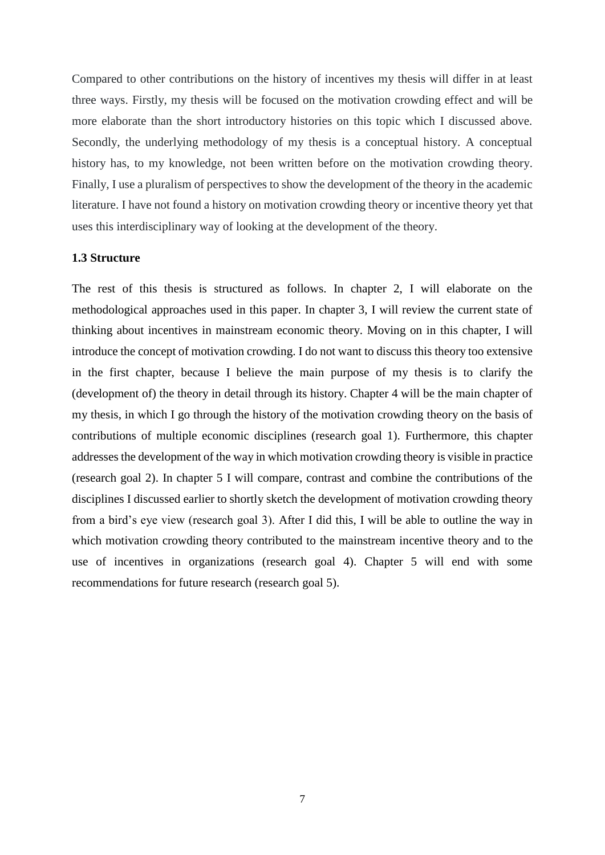Compared to other contributions on the history of incentives my thesis will differ in at least three ways. Firstly, my thesis will be focused on the motivation crowding effect and will be more elaborate than the short introductory histories on this topic which I discussed above. Secondly, the underlying methodology of my thesis is a conceptual history. A conceptual history has, to my knowledge, not been written before on the motivation crowding theory. Finally, I use a pluralism of perspectives to show the development of the theory in the academic literature. I have not found a history on motivation crowding theory or incentive theory yet that uses this interdisciplinary way of looking at the development of the theory.

#### <span id="page-7-0"></span>**1.3 Structure**

The rest of this thesis is structured as follows. In chapter 2, I will elaborate on the methodological approaches used in this paper. In chapter 3, I will review the current state of thinking about incentives in mainstream economic theory. Moving on in this chapter, I will introduce the concept of motivation crowding. I do not want to discuss this theory too extensive in the first chapter, because I believe the main purpose of my thesis is to clarify the (development of) the theory in detail through its history. Chapter 4 will be the main chapter of my thesis, in which I go through the history of the motivation crowding theory on the basis of contributions of multiple economic disciplines (research goal 1). Furthermore, this chapter addresses the development of the way in which motivation crowding theory is visible in practice (research goal 2). In chapter 5 I will compare, contrast and combine the contributions of the disciplines I discussed earlier to shortly sketch the development of motivation crowding theory from a bird's eye view (research goal 3). After I did this, I will be able to outline the way in which motivation crowding theory contributed to the mainstream incentive theory and to the use of incentives in organizations (research goal 4). Chapter 5 will end with some recommendations for future research (research goal 5).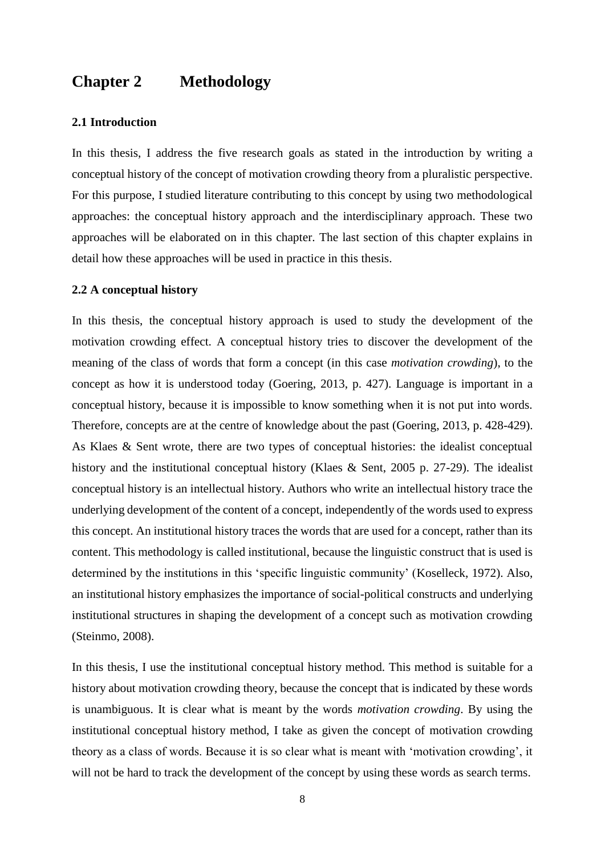### <span id="page-8-0"></span>**Chapter 2 Methodology**

#### <span id="page-8-1"></span>**2.1 Introduction**

In this thesis, I address the five research goals as stated in the introduction by writing a conceptual history of the concept of motivation crowding theory from a pluralistic perspective. For this purpose, I studied literature contributing to this concept by using two methodological approaches: the conceptual history approach and the interdisciplinary approach. These two approaches will be elaborated on in this chapter. The last section of this chapter explains in detail how these approaches will be used in practice in this thesis.

#### <span id="page-8-2"></span>**2.2 A conceptual history**

In this thesis, the conceptual history approach is used to study the development of the motivation crowding effect. A conceptual history tries to discover the development of the meaning of the class of words that form a concept (in this case *motivation crowding*), to the concept as how it is understood today (Goering, 2013, p. 427). Language is important in a conceptual history, because it is impossible to know something when it is not put into words. Therefore, concepts are at the centre of knowledge about the past (Goering, 2013, p. 428-429). As Klaes & Sent wrote, there are two types of conceptual histories: the idealist conceptual history and the institutional conceptual history (Klaes & Sent, 2005 p. 27-29). The idealist conceptual history is an intellectual history. Authors who write an intellectual history trace the underlying development of the content of a concept, independently of the words used to express this concept. An institutional history traces the words that are used for a concept, rather than its content. This methodology is called institutional, because the linguistic construct that is used is determined by the institutions in this 'specific linguistic community' (Koselleck, 1972). Also, an institutional history emphasizes the importance of social-political constructs and underlying institutional structures in shaping the development of a concept such as motivation crowding (Steinmo, 2008).

In this thesis, I use the institutional conceptual history method. This method is suitable for a history about motivation crowding theory, because the concept that is indicated by these words is unambiguous. It is clear what is meant by the words *motivation crowding*. By using the institutional conceptual history method, I take as given the concept of motivation crowding theory as a class of words. Because it is so clear what is meant with 'motivation crowding', it will not be hard to track the development of the concept by using these words as search terms.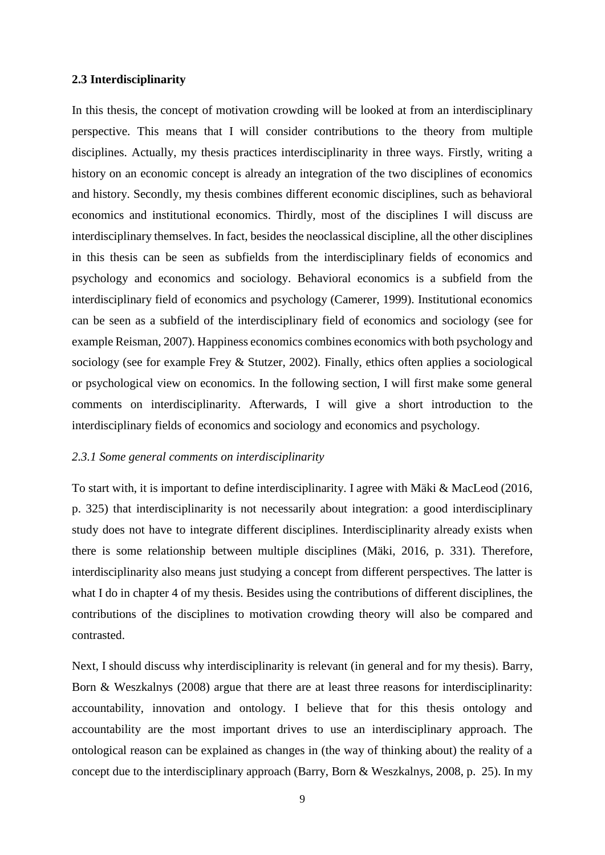#### <span id="page-9-0"></span>**2.3 Interdisciplinarity**

In this thesis, the concept of motivation crowding will be looked at from an interdisciplinary perspective. This means that I will consider contributions to the theory from multiple disciplines. Actually, my thesis practices interdisciplinarity in three ways. Firstly, writing a history on an economic concept is already an integration of the two disciplines of economics and history. Secondly, my thesis combines different economic disciplines, such as behavioral economics and institutional economics. Thirdly, most of the disciplines I will discuss are interdisciplinary themselves. In fact, besides the neoclassical discipline, all the other disciplines in this thesis can be seen as subfields from the interdisciplinary fields of economics and psychology and economics and sociology. Behavioral economics is a subfield from the interdisciplinary field of economics and psychology (Camerer, 1999). Institutional economics can be seen as a subfield of the interdisciplinary field of economics and sociology (see for example Reisman, 2007). Happiness economics combines economics with both psychology and sociology (see for example Frey & Stutzer, 2002). Finally, ethics often applies a sociological or psychological view on economics. In the following section, I will first make some general comments on interdisciplinarity. Afterwards, I will give a short introduction to the interdisciplinary fields of economics and sociology and economics and psychology.

#### <span id="page-9-1"></span>*2.3.1 Some general comments on interdisciplinarity*

To start with, it is important to define interdisciplinarity. I agree with Mäki & MacLeod (2016, p. 325) that interdisciplinarity is not necessarily about integration: a good interdisciplinary study does not have to integrate different disciplines. Interdisciplinarity already exists when there is some relationship between multiple disciplines (Mäki, 2016, p. 331). Therefore, interdisciplinarity also means just studying a concept from different perspectives. The latter is what I do in chapter 4 of my thesis. Besides using the contributions of different disciplines, the contributions of the disciplines to motivation crowding theory will also be compared and contrasted.

Next, I should discuss why interdisciplinarity is relevant (in general and for my thesis). Barry, Born & Weszkalnys (2008) argue that there are at least three reasons for interdisciplinarity: accountability, innovation and ontology. I believe that for this thesis ontology and accountability are the most important drives to use an interdisciplinary approach. The ontological reason can be explained as changes in (the way of thinking about) the reality of a concept due to the interdisciplinary approach (Barry, Born & Weszkalnys, 2008, p. 25). In my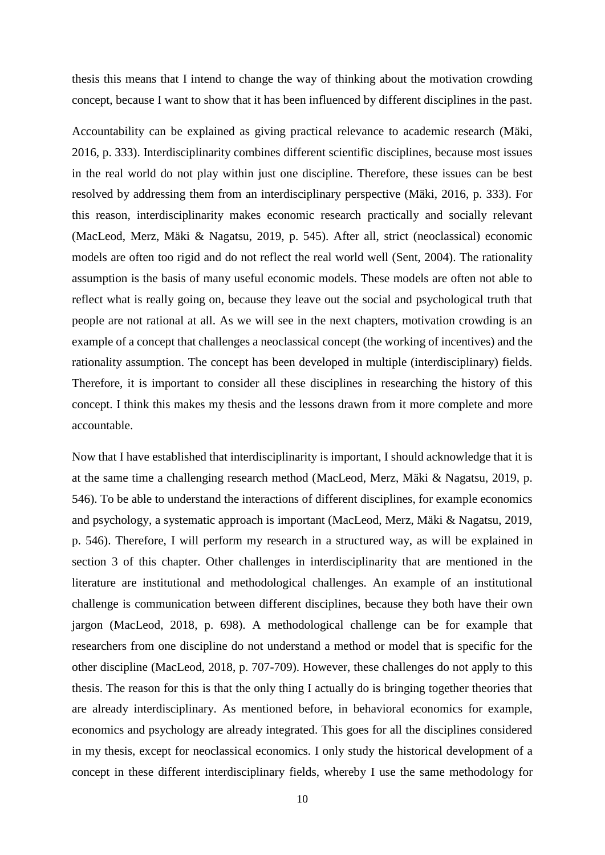thesis this means that I intend to change the way of thinking about the motivation crowding concept, because I want to show that it has been influenced by different disciplines in the past.

Accountability can be explained as giving practical relevance to academic research (Mäki, 2016, p. 333). Interdisciplinarity combines different scientific disciplines, because most issues in the real world do not play within just one discipline. Therefore, these issues can be best resolved by addressing them from an interdisciplinary perspective (Mäki, 2016, p. 333). For this reason, interdisciplinarity makes economic research practically and socially relevant (MacLeod, Merz, Mäki & Nagatsu, 2019, p. 545). After all, strict (neoclassical) economic models are often too rigid and do not reflect the real world well (Sent, 2004). The rationality assumption is the basis of many useful economic models. These models are often not able to reflect what is really going on, because they leave out the social and psychological truth that people are not rational at all. As we will see in the next chapters, motivation crowding is an example of a concept that challenges a neoclassical concept (the working of incentives) and the rationality assumption. The concept has been developed in multiple (interdisciplinary) fields. Therefore, it is important to consider all these disciplines in researching the history of this concept. I think this makes my thesis and the lessons drawn from it more complete and more accountable.

Now that I have established that interdisciplinarity is important, I should acknowledge that it is at the same time a challenging research method (MacLeod, Merz, Mäki & Nagatsu, 2019, p. 546). To be able to understand the interactions of different disciplines, for example economics and psychology, a systematic approach is important (MacLeod, Merz, Mäki & Nagatsu, 2019, p. 546). Therefore, I will perform my research in a structured way, as will be explained in section 3 of this chapter. Other challenges in interdisciplinarity that are mentioned in the literature are institutional and methodological challenges. An example of an institutional challenge is communication between different disciplines, because they both have their own jargon (MacLeod, 2018, p. 698). A methodological challenge can be for example that researchers from one discipline do not understand a method or model that is specific for the other discipline (MacLeod, 2018, p. 707-709). However, these challenges do not apply to this thesis. The reason for this is that the only thing I actually do is bringing together theories that are already interdisciplinary. As mentioned before, in behavioral economics for example, economics and psychology are already integrated. This goes for all the disciplines considered in my thesis, except for neoclassical economics. I only study the historical development of a concept in these different interdisciplinary fields, whereby I use the same methodology for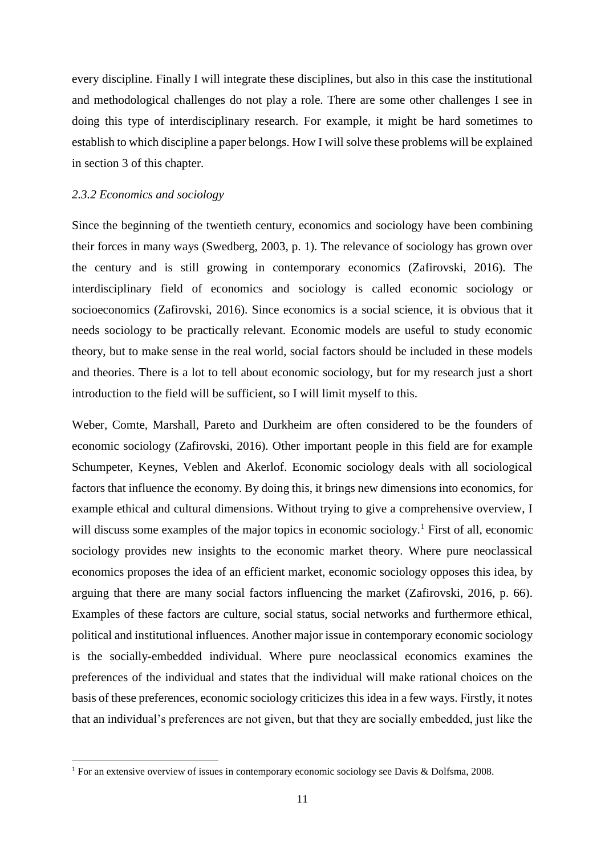every discipline. Finally I will integrate these disciplines, but also in this case the institutional and methodological challenges do not play a role. There are some other challenges I see in doing this type of interdisciplinary research. For example, it might be hard sometimes to establish to which discipline a paper belongs. How I will solve these problems will be explained in section 3 of this chapter.

#### <span id="page-11-0"></span>*2.3.2 Economics and sociology*

**.** 

Since the beginning of the twentieth century, economics and sociology have been combining their forces in many ways (Swedberg, 2003, p. 1). The relevance of sociology has grown over the century and is still growing in contemporary economics (Zafirovski, 2016). The interdisciplinary field of economics and sociology is called economic sociology or socioeconomics (Zafirovski, 2016). Since economics is a social science, it is obvious that it needs sociology to be practically relevant. Economic models are useful to study economic theory, but to make sense in the real world, social factors should be included in these models and theories. There is a lot to tell about economic sociology, but for my research just a short introduction to the field will be sufficient, so I will limit myself to this.

Weber, Comte, Marshall, Pareto and Durkheim are often considered to be the founders of economic sociology (Zafirovski, 2016). Other important people in this field are for example Schumpeter, Keynes, Veblen and Akerlof. Economic sociology deals with all sociological factors that influence the economy. By doing this, it brings new dimensions into economics, for example ethical and cultural dimensions. Without trying to give a comprehensive overview, I will discuss some examples of the major topics in economic sociology.<sup>1</sup> First of all, economic sociology provides new insights to the economic market theory. Where pure neoclassical economics proposes the idea of an efficient market, economic sociology opposes this idea, by arguing that there are many social factors influencing the market (Zafirovski, 2016, p. 66). Examples of these factors are culture, social status, social networks and furthermore ethical, political and institutional influences. Another major issue in contemporary economic sociology is the socially-embedded individual. Where pure neoclassical economics examines the preferences of the individual and states that the individual will make rational choices on the basis of these preferences, economic sociology criticizes this idea in a few ways. Firstly, it notes that an individual's preferences are not given, but that they are socially embedded, just like the

<sup>&</sup>lt;sup>1</sup> For an extensive overview of issues in contemporary economic sociology see Davis & Dolfsma, 2008.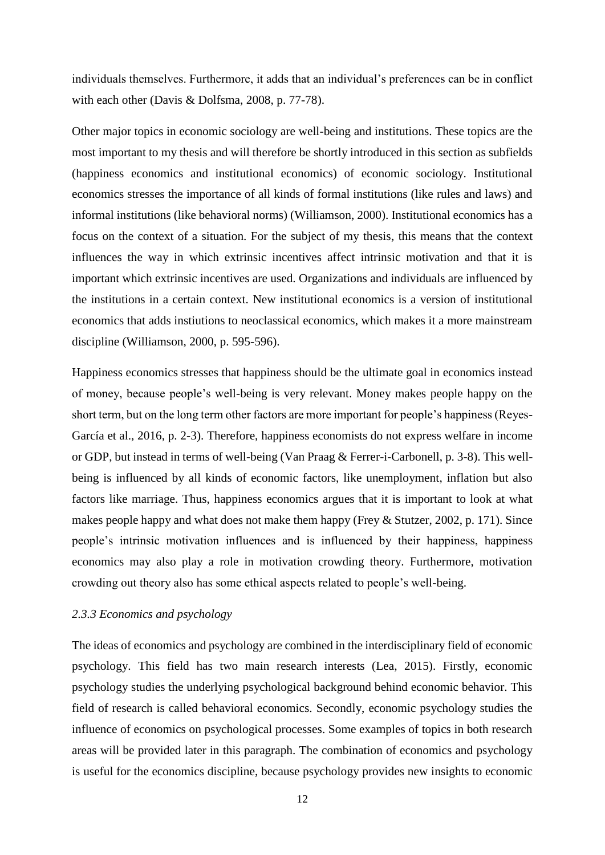individuals themselves. Furthermore, it adds that an individual's preferences can be in conflict with each other (Davis & Dolfsma, 2008, p. 77-78).

Other major topics in economic sociology are well-being and institutions. These topics are the most important to my thesis and will therefore be shortly introduced in this section as subfields (happiness economics and institutional economics) of economic sociology. Institutional economics stresses the importance of all kinds of formal institutions (like rules and laws) and informal institutions (like behavioral norms) (Williamson, 2000). Institutional economics has a focus on the context of a situation. For the subject of my thesis, this means that the context influences the way in which extrinsic incentives affect intrinsic motivation and that it is important which extrinsic incentives are used. Organizations and individuals are influenced by the institutions in a certain context. New institutional economics is a version of institutional economics that adds instiutions to neoclassical economics, which makes it a more mainstream discipline (Williamson, 2000, p. 595-596).

Happiness economics stresses that happiness should be the ultimate goal in economics instead of money, because people's well-being is very relevant. Money makes people happy on the short term, but on the long term other factors are more important for people's happiness (Reyes-García et al., 2016, p. 2-3). Therefore, happiness economists do not express welfare in income or GDP, but instead in terms of well-being (Van Praag & Ferrer-i-Carbonell, p. 3-8). This wellbeing is influenced by all kinds of economic factors, like unemployment, inflation but also factors like marriage. Thus, happiness economics argues that it is important to look at what makes people happy and what does not make them happy (Frey & Stutzer, 2002, p. 171). Since people's intrinsic motivation influences and is influenced by their happiness, happiness economics may also play a role in motivation crowding theory. Furthermore, motivation crowding out theory also has some ethical aspects related to people's well-being.

#### <span id="page-12-0"></span>*2.3.3 Economics and psychology*

The ideas of economics and psychology are combined in the interdisciplinary field of economic psychology. This field has two main research interests (Lea, 2015). Firstly, economic psychology studies the underlying psychological background behind economic behavior. This field of research is called behavioral economics. Secondly, economic psychology studies the influence of economics on psychological processes. Some examples of topics in both research areas will be provided later in this paragraph. The combination of economics and psychology is useful for the economics discipline, because psychology provides new insights to economic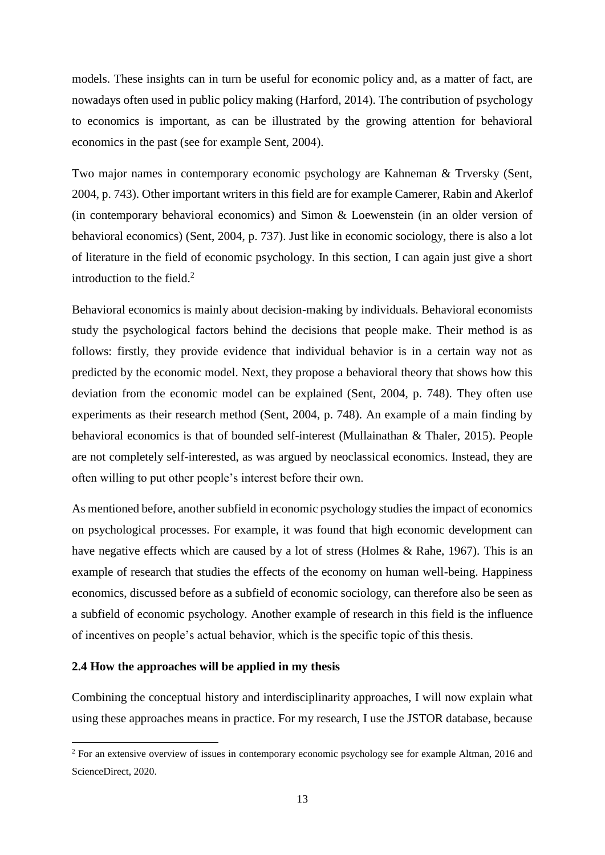models. These insights can in turn be useful for economic policy and, as a matter of fact, are nowadays often used in public policy making (Harford, 2014). The contribution of psychology to economics is important, as can be illustrated by the growing attention for behavioral economics in the past (see for example Sent, 2004).

Two major names in contemporary economic psychology are Kahneman & Trversky (Sent, 2004, p. 743). Other important writers in this field are for example Camerer, Rabin and Akerlof (in contemporary behavioral economics) and Simon & Loewenstein (in an older version of behavioral economics) (Sent, 2004, p. 737). Just like in economic sociology, there is also a lot of literature in the field of economic psychology. In this section, I can again just give a short introduction to the field. $2$ 

Behavioral economics is mainly about decision-making by individuals. Behavioral economists study the psychological factors behind the decisions that people make. Their method is as follows: firstly, they provide evidence that individual behavior is in a certain way not as predicted by the economic model. Next, they propose a behavioral theory that shows how this deviation from the economic model can be explained (Sent, 2004, p. 748). They often use experiments as their research method (Sent, 2004, p. 748). An example of a main finding by behavioral economics is that of bounded self-interest (Mullainathan & Thaler, 2015). People are not completely self-interested, as was argued by neoclassical economics. Instead, they are often willing to put other people's interest before their own.

As mentioned before, another subfield in economic psychology studies the impact of economics on psychological processes. For example, it was found that high economic development can have negative effects which are caused by a lot of stress (Holmes & Rahe, 1967). This is an example of research that studies the effects of the economy on human well-being. Happiness economics, discussed before as a subfield of economic sociology, can therefore also be seen as a subfield of economic psychology. Another example of research in this field is the influence of incentives on people's actual behavior, which is the specific topic of this thesis.

#### <span id="page-13-0"></span>**2.4 How the approaches will be applied in my thesis**

**.** 

Combining the conceptual history and interdisciplinarity approaches, I will now explain what using these approaches means in practice. For my research, I use the JSTOR database, because

<sup>&</sup>lt;sup>2</sup> For an extensive overview of issues in contemporary economic psychology see for example Altman, 2016 and ScienceDirect, 2020.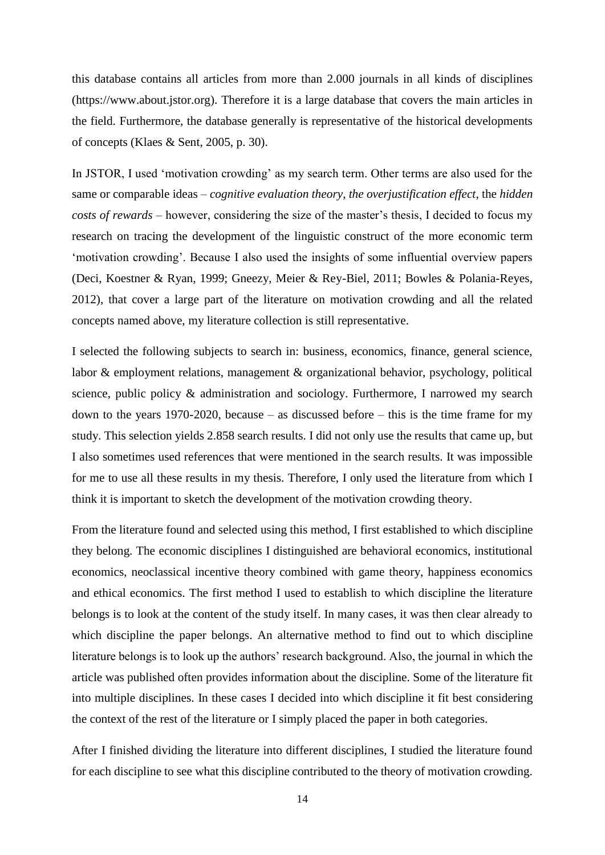this database contains all articles from more than 2.000 journals in all kinds of disciplines (https://www.about.jstor.org). Therefore it is a large database that covers the main articles in the field. Furthermore, the database generally is representative of the historical developments of concepts (Klaes & Sent, 2005, p. 30).

In JSTOR, I used 'motivation crowding' as my search term. Other terms are also used for the same or comparable ideas – *cognitive evaluation theory*, *the overjustification effect*, the *hidden costs of rewards* – however, considering the size of the master's thesis, I decided to focus my research on tracing the development of the linguistic construct of the more economic term 'motivation crowding'. Because I also used the insights of some influential overview papers (Deci, Koestner & Ryan, 1999; Gneezy, Meier & Rey-Biel, 2011; Bowles & Polania-Reyes, 2012), that cover a large part of the literature on motivation crowding and all the related concepts named above, my literature collection is still representative.

I selected the following subjects to search in: business, economics, finance, general science, labor & employment relations, management & organizational behavior, psychology, political science, public policy & administration and sociology. Furthermore, I narrowed my search down to the years 1970-2020, because – as discussed before – this is the time frame for my study. This selection yields 2.858 search results. I did not only use the results that came up, but I also sometimes used references that were mentioned in the search results. It was impossible for me to use all these results in my thesis. Therefore, I only used the literature from which I think it is important to sketch the development of the motivation crowding theory.

From the literature found and selected using this method, I first established to which discipline they belong. The economic disciplines I distinguished are behavioral economics, institutional economics, neoclassical incentive theory combined with game theory, happiness economics and ethical economics. The first method I used to establish to which discipline the literature belongs is to look at the content of the study itself. In many cases, it was then clear already to which discipline the paper belongs. An alternative method to find out to which discipline literature belongs is to look up the authors' research background. Also, the journal in which the article was published often provides information about the discipline. Some of the literature fit into multiple disciplines. In these cases I decided into which discipline it fit best considering the context of the rest of the literature or I simply placed the paper in both categories.

After I finished dividing the literature into different disciplines, I studied the literature found for each discipline to see what this discipline contributed to the theory of motivation crowding.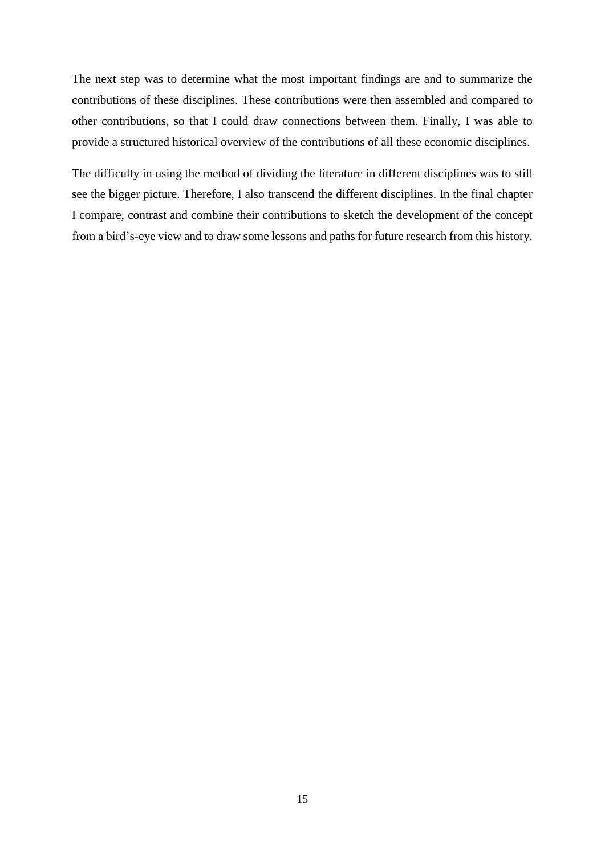The next step was to determine what the most important findings are and to summarize the contributions of these disciplines. These contributions were then assembled and compared to other contributions, so that I could draw connections between them. Finally, I was able to provide a structured historical overview of the contributions of all these economic disciplines.

The difficulty in using the method of dividing the literature in different disciplines was to still see the bigger picture. Therefore, I also transcend the different disciplines. In the final chapter I compare, contrast and combine their contributions to sketch the development of the concept from a bird's-eye view and to draw some lessons and paths for future research from this history.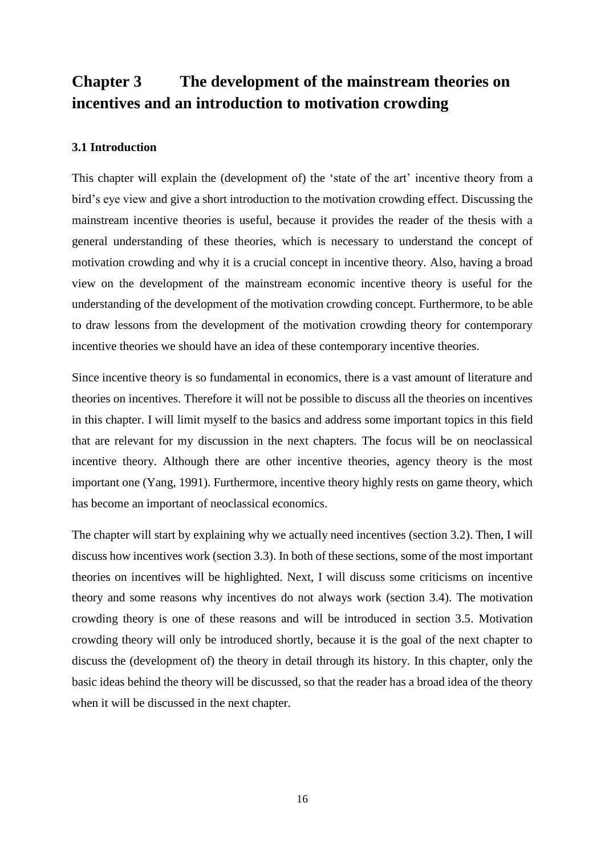# <span id="page-16-0"></span>**Chapter 3 The development of the mainstream theories on incentives and an introduction to motivation crowding**

#### <span id="page-16-1"></span>**3.1 Introduction**

This chapter will explain the (development of) the 'state of the art' incentive theory from a bird's eye view and give a short introduction to the motivation crowding effect. Discussing the mainstream incentive theories is useful, because it provides the reader of the thesis with a general understanding of these theories, which is necessary to understand the concept of motivation crowding and why it is a crucial concept in incentive theory. Also, having a broad view on the development of the mainstream economic incentive theory is useful for the understanding of the development of the motivation crowding concept. Furthermore, to be able to draw lessons from the development of the motivation crowding theory for contemporary incentive theories we should have an idea of these contemporary incentive theories.

Since incentive theory is so fundamental in economics, there is a vast amount of literature and theories on incentives. Therefore it will not be possible to discuss all the theories on incentives in this chapter. I will limit myself to the basics and address some important topics in this field that are relevant for my discussion in the next chapters. The focus will be on neoclassical incentive theory. Although there are other incentive theories, agency theory is the most important one (Yang, 1991). Furthermore, incentive theory highly rests on game theory, which has become an important of neoclassical economics.

The chapter will start by explaining why we actually need incentives (section 3.2). Then, I will discuss how incentives work (section 3.3). In both of these sections, some of the most important theories on incentives will be highlighted. Next, I will discuss some criticisms on incentive theory and some reasons why incentives do not always work (section 3.4). The motivation crowding theory is one of these reasons and will be introduced in section 3.5. Motivation crowding theory will only be introduced shortly, because it is the goal of the next chapter to discuss the (development of) the theory in detail through its history. In this chapter, only the basic ideas behind the theory will be discussed, so that the reader has a broad idea of the theory when it will be discussed in the next chapter.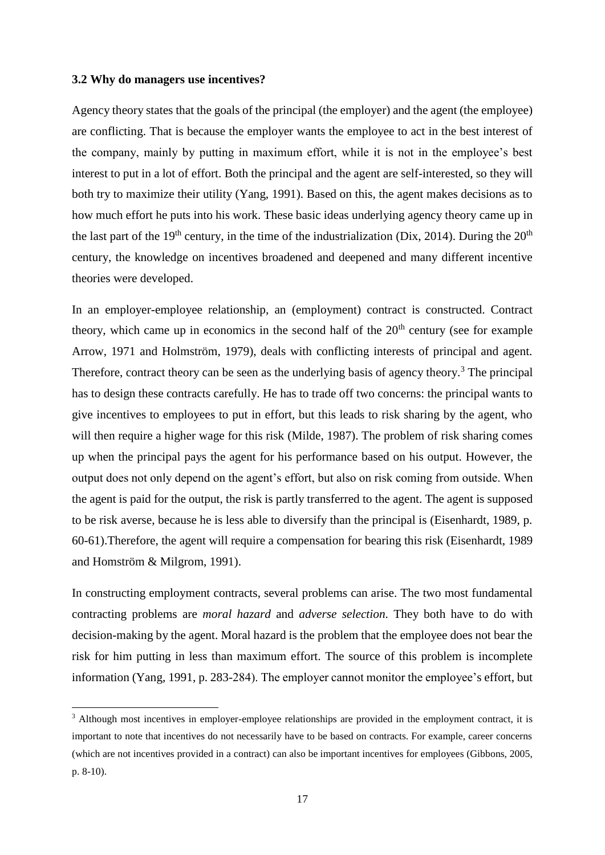#### <span id="page-17-0"></span>**3.2 Why do managers use incentives?**

 $\overline{a}$ 

Agency theory states that the goals of the principal (the employer) and the agent (the employee) are conflicting. That is because the employer wants the employee to act in the best interest of the company, mainly by putting in maximum effort, while it is not in the employee's best interest to put in a lot of effort. Both the principal and the agent are self-interested, so they will both try to maximize their utility (Yang, 1991). Based on this, the agent makes decisions as to how much effort he puts into his work. These basic ideas underlying agency theory came up in the last part of the 19<sup>th</sup> century, in the time of the industrialization (Dix, 2014). During the  $20<sup>th</sup>$ century, the knowledge on incentives broadened and deepened and many different incentive theories were developed.

In an employer-employee relationship, an (employment) contract is constructed. Contract theory, which came up in economics in the second half of the  $20<sup>th</sup>$  century (see for example Arrow, 1971 and Holmström, 1979), deals with conflicting interests of principal and agent. Therefore, contract theory can be seen as the underlying basis of agency theory.<sup>3</sup> The principal has to design these contracts carefully. He has to trade off two concerns: the principal wants to give incentives to employees to put in effort, but this leads to risk sharing by the agent, who will then require a higher wage for this risk (Milde, 1987). The problem of risk sharing comes up when the principal pays the agent for his performance based on his output. However, the output does not only depend on the agent's effort, but also on risk coming from outside. When the agent is paid for the output, the risk is partly transferred to the agent. The agent is supposed to be risk averse, because he is less able to diversify than the principal is (Eisenhardt, 1989, p. 60-61).Therefore, the agent will require a compensation for bearing this risk (Eisenhardt, 1989 and Homström & Milgrom, 1991).

In constructing employment contracts, several problems can arise. The two most fundamental contracting problems are *moral hazard* and *adverse selection*. They both have to do with decision-making by the agent. Moral hazard is the problem that the employee does not bear the risk for him putting in less than maximum effort. The source of this problem is incomplete information (Yang, 1991, p. 283-284). The employer cannot monitor the employee's effort, but

<sup>&</sup>lt;sup>3</sup> Although most incentives in employer-employee relationships are provided in the employment contract, it is important to note that incentives do not necessarily have to be based on contracts. For example, career concerns (which are not incentives provided in a contract) can also be important incentives for employees (Gibbons, 2005, p. 8-10).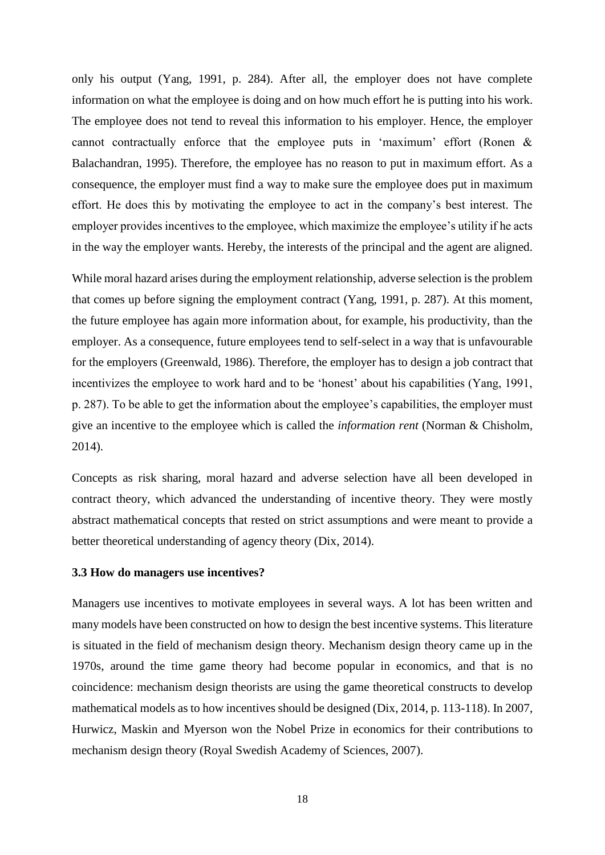only his output (Yang, 1991, p. 284). After all, the employer does not have complete information on what the employee is doing and on how much effort he is putting into his work. The employee does not tend to reveal this information to his employer. Hence, the employer cannot contractually enforce that the employee puts in 'maximum' effort (Ronen & Balachandran, 1995). Therefore, the employee has no reason to put in maximum effort. As a consequence, the employer must find a way to make sure the employee does put in maximum effort. He does this by motivating the employee to act in the company's best interest. The employer provides incentives to the employee, which maximize the employee's utility if he acts in the way the employer wants. Hereby, the interests of the principal and the agent are aligned.

While moral hazard arises during the employment relationship, adverse selection is the problem that comes up before signing the employment contract (Yang, 1991, p. 287). At this moment, the future employee has again more information about, for example, his productivity, than the employer. As a consequence, future employees tend to self-select in a way that is unfavourable for the employers (Greenwald, 1986). Therefore, the employer has to design a job contract that incentivizes the employee to work hard and to be 'honest' about his capabilities (Yang, 1991, p. 287). To be able to get the information about the employee's capabilities, the employer must give an incentive to the employee which is called the *information rent* (Norman & Chisholm, 2014).

Concepts as risk sharing, moral hazard and adverse selection have all been developed in contract theory, which advanced the understanding of incentive theory. They were mostly abstract mathematical concepts that rested on strict assumptions and were meant to provide a better theoretical understanding of agency theory (Dix, 2014).

#### <span id="page-18-0"></span>**3.3 How do managers use incentives?**

Managers use incentives to motivate employees in several ways. A lot has been written and many models have been constructed on how to design the best incentive systems. This literature is situated in the field of mechanism design theory. Mechanism design theory came up in the 1970s, around the time game theory had become popular in economics, and that is no coincidence: mechanism design theorists are using the game theoretical constructs to develop mathematical models as to how incentives should be designed (Dix, 2014, p. 113-118). In 2007, Hurwicz, Maskin and Myerson won the Nobel Prize in economics for their contributions to mechanism design theory (Royal Swedish Academy of Sciences, 2007).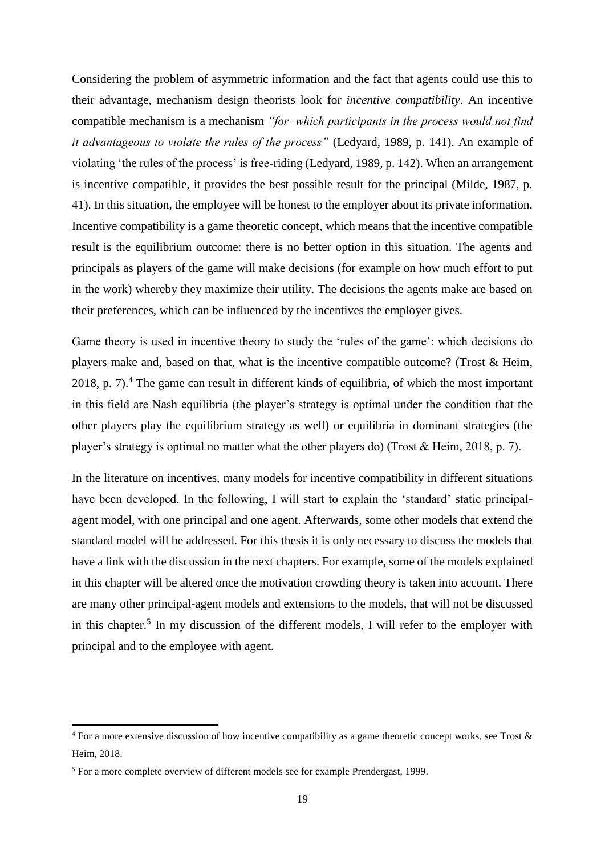Considering the problem of asymmetric information and the fact that agents could use this to their advantage, mechanism design theorists look for *incentive compatibility*. An incentive compatible mechanism is a mechanism *"for which participants in the process would not find it advantageous to violate the rules of the process"* (Ledyard, 1989, p. 141). An example of violating 'the rules of the process' is free-riding (Ledyard, 1989, p. 142). When an arrangement is incentive compatible, it provides the best possible result for the principal (Milde, 1987, p. 41). In this situation, the employee will be honest to the employer about its private information. Incentive compatibility is a game theoretic concept, which means that the incentive compatible result is the equilibrium outcome: there is no better option in this situation. The agents and principals as players of the game will make decisions (for example on how much effort to put in the work) whereby they maximize their utility. The decisions the agents make are based on their preferences, which can be influenced by the incentives the employer gives.

Game theory is used in incentive theory to study the 'rules of the game': which decisions do players make and, based on that, what is the incentive compatible outcome? (Trost & Heim, 2018, p.  $7$ ).<sup>4</sup> The game can result in different kinds of equilibria, of which the most important in this field are Nash equilibria (the player's strategy is optimal under the condition that the other players play the equilibrium strategy as well) or equilibria in dominant strategies (the player's strategy is optimal no matter what the other players do) (Trost & Heim, 2018, p. 7).

In the literature on incentives, many models for incentive compatibility in different situations have been developed. In the following, I will start to explain the 'standard' static principalagent model, with one principal and one agent. Afterwards, some other models that extend the standard model will be addressed. For this thesis it is only necessary to discuss the models that have a link with the discussion in the next chapters. For example, some of the models explained in this chapter will be altered once the motivation crowding theory is taken into account. There are many other principal-agent models and extensions to the models, that will not be discussed in this chapter.<sup>5</sup> In my discussion of the different models, I will refer to the employer with principal and to the employee with agent.

**.** 

<sup>&</sup>lt;sup>4</sup> For a more extensive discussion of how incentive compatibility as a game theoretic concept works, see Trost & Heim, 2018.

<sup>5</sup> For a more complete overview of different models see for example Prendergast, 1999.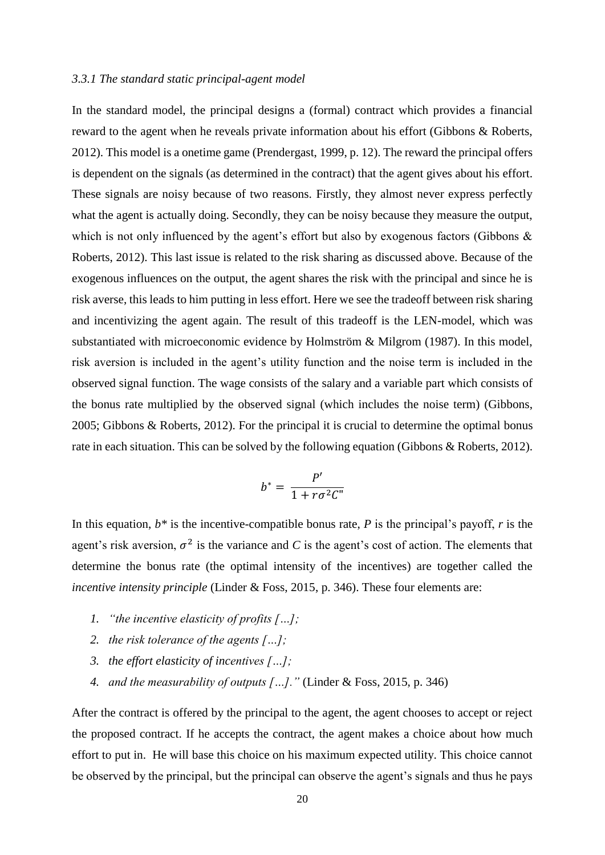#### <span id="page-20-0"></span>*3.3.1 The standard static principal-agent model*

In the standard model, the principal designs a (formal) contract which provides a financial reward to the agent when he reveals private information about his effort (Gibbons & Roberts, 2012). This model is a onetime game (Prendergast, 1999, p. 12). The reward the principal offers is dependent on the signals (as determined in the contract) that the agent gives about his effort. These signals are noisy because of two reasons. Firstly, they almost never express perfectly what the agent is actually doing. Secondly, they can be noisy because they measure the output, which is not only influenced by the agent's effort but also by exogenous factors (Gibbons & Roberts, 2012). This last issue is related to the risk sharing as discussed above. Because of the exogenous influences on the output, the agent shares the risk with the principal and since he is risk averse, this leads to him putting in less effort. Here we see the tradeoff between risk sharing and incentivizing the agent again. The result of this tradeoff is the LEN-model, which was substantiated with microeconomic evidence by Holmström & Milgrom (1987). In this model, risk aversion is included in the agent's utility function and the noise term is included in the observed signal function. The wage consists of the salary and a variable part which consists of the bonus rate multiplied by the observed signal (which includes the noise term) (Gibbons, 2005; Gibbons & Roberts, 2012). For the principal it is crucial to determine the optimal bonus rate in each situation. This can be solved by the following equation (Gibbons & Roberts, 2012).

$$
b^* = \frac{P'}{1 + r\sigma^2 C''}
$$

In this equation,  $b^*$  is the incentive-compatible bonus rate,  $P$  is the principal's payoff,  $r$  is the agent's risk aversion,  $\sigma^2$  is the variance and *C* is the agent's cost of action. The elements that determine the bonus rate (the optimal intensity of the incentives) are together called the *incentive intensity principle* (Linder & Foss, 2015, p. 346). These four elements are:

- *1. "the incentive elasticity of profits […];*
- *2. the risk tolerance of the agents […];*
- *3. the effort elasticity of incentives […];*
- *4. and the measurability of outputs […]."* (Linder & Foss, 2015, p. 346)

After the contract is offered by the principal to the agent, the agent chooses to accept or reject the proposed contract. If he accepts the contract, the agent makes a choice about how much effort to put in. He will base this choice on his maximum expected utility. This choice cannot be observed by the principal, but the principal can observe the agent's signals and thus he pays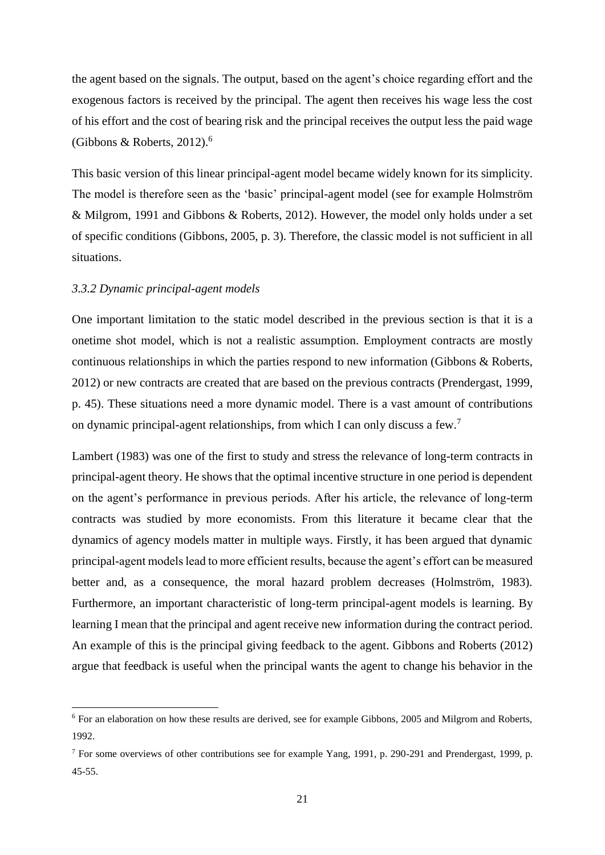the agent based on the signals. The output, based on the agent's choice regarding effort and the exogenous factors is received by the principal. The agent then receives his wage less the cost of his effort and the cost of bearing risk and the principal receives the output less the paid wage (Gibbons & Roberts, 2012).<sup>6</sup>

This basic version of this linear principal-agent model became widely known for its simplicity. The model is therefore seen as the 'basic' principal-agent model (see for example Holmström & Milgrom, 1991 and Gibbons & Roberts, 2012). However, the model only holds under a set of specific conditions (Gibbons, 2005, p. 3). Therefore, the classic model is not sufficient in all situations.

#### <span id="page-21-0"></span>*3.3.2 Dynamic principal-agent models*

 $\overline{a}$ 

One important limitation to the static model described in the previous section is that it is a onetime shot model, which is not a realistic assumption. Employment contracts are mostly continuous relationships in which the parties respond to new information (Gibbons & Roberts, 2012) or new contracts are created that are based on the previous contracts (Prendergast, 1999, p. 45). These situations need a more dynamic model. There is a vast amount of contributions on dynamic principal-agent relationships, from which I can only discuss a few.<sup>7</sup>

Lambert (1983) was one of the first to study and stress the relevance of long-term contracts in principal-agent theory. He shows that the optimal incentive structure in one period is dependent on the agent's performance in previous periods. After his article, the relevance of long-term contracts was studied by more economists. From this literature it became clear that the dynamics of agency models matter in multiple ways. Firstly, it has been argued that dynamic principal-agent models lead to more efficient results, because the agent's effort can be measured better and, as a consequence, the moral hazard problem decreases (Holmström, 1983). Furthermore, an important characteristic of long-term principal-agent models is learning. By learning I mean that the principal and agent receive new information during the contract period. An example of this is the principal giving feedback to the agent. Gibbons and Roberts (2012) argue that feedback is useful when the principal wants the agent to change his behavior in the

<sup>6</sup> For an elaboration on how these results are derived, see for example Gibbons, 2005 and Milgrom and Roberts, 1992.

<sup>7</sup> For some overviews of other contributions see for example Yang, 1991, p. 290-291 and Prendergast, 1999, p. 45-55.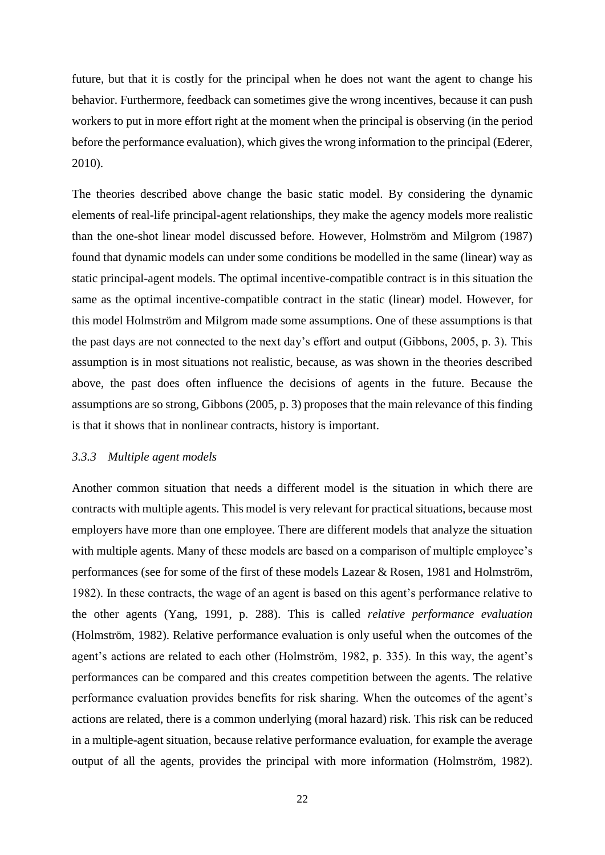future, but that it is costly for the principal when he does not want the agent to change his behavior. Furthermore, feedback can sometimes give the wrong incentives, because it can push workers to put in more effort right at the moment when the principal is observing (in the period before the performance evaluation), which gives the wrong information to the principal (Ederer, 2010).

The theories described above change the basic static model. By considering the dynamic elements of real-life principal-agent relationships, they make the agency models more realistic than the one-shot linear model discussed before. However, Holmström and Milgrom (1987) found that dynamic models can under some conditions be modelled in the same (linear) way as static principal-agent models. The optimal incentive-compatible contract is in this situation the same as the optimal incentive-compatible contract in the static (linear) model. However, for this model Holmström and Milgrom made some assumptions. One of these assumptions is that the past days are not connected to the next day's effort and output (Gibbons, 2005, p. 3). This assumption is in most situations not realistic, because, as was shown in the theories described above, the past does often influence the decisions of agents in the future. Because the assumptions are so strong, Gibbons (2005, p. 3) proposes that the main relevance of this finding is that it shows that in nonlinear contracts, history is important.

#### <span id="page-22-0"></span>*3.3.3 Multiple agent models*

Another common situation that needs a different model is the situation in which there are contracts with multiple agents. This model is very relevant for practical situations, because most employers have more than one employee. There are different models that analyze the situation with multiple agents. Many of these models are based on a comparison of multiple employee's performances (see for some of the first of these models Lazear & Rosen, 1981 and Holmström, 1982). In these contracts, the wage of an agent is based on this agent's performance relative to the other agents (Yang, 1991, p. 288). This is called *relative performance evaluation* (Holmström, 1982). Relative performance evaluation is only useful when the outcomes of the agent's actions are related to each other (Holmström, 1982, p. 335). In this way, the agent's performances can be compared and this creates competition between the agents. The relative performance evaluation provides benefits for risk sharing. When the outcomes of the agent's actions are related, there is a common underlying (moral hazard) risk. This risk can be reduced in a multiple-agent situation, because relative performance evaluation, for example the average output of all the agents, provides the principal with more information (Holmström, 1982).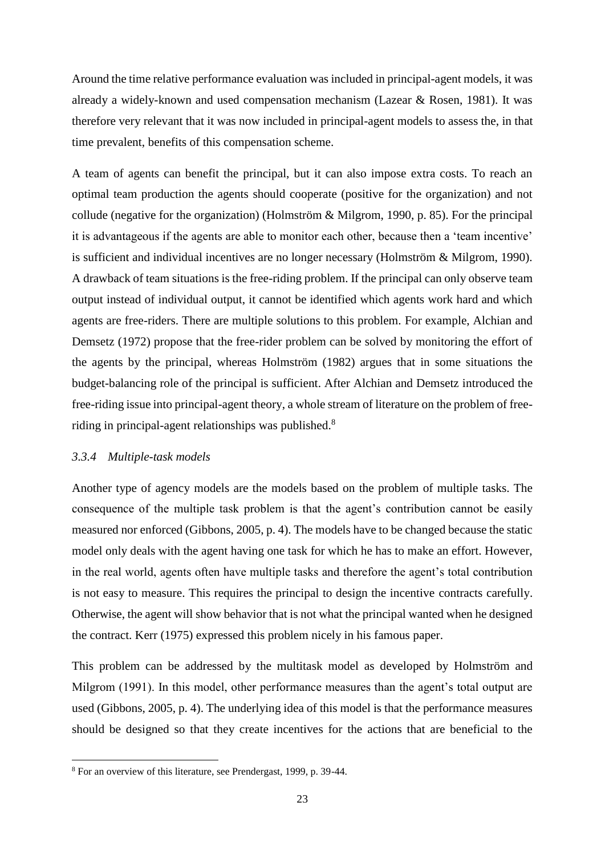Around the time relative performance evaluation was included in principal-agent models, it was already a widely-known and used compensation mechanism (Lazear & Rosen, 1981). It was therefore very relevant that it was now included in principal-agent models to assess the, in that time prevalent, benefits of this compensation scheme.

A team of agents can benefit the principal, but it can also impose extra costs. To reach an optimal team production the agents should cooperate (positive for the organization) and not collude (negative for the organization) (Holmström & Milgrom, 1990, p. 85). For the principal it is advantageous if the agents are able to monitor each other, because then a 'team incentive' is sufficient and individual incentives are no longer necessary (Holmström & Milgrom, 1990). A drawback of team situations is the free-riding problem. If the principal can only observe team output instead of individual output, it cannot be identified which agents work hard and which agents are free-riders. There are multiple solutions to this problem. For example, Alchian and Demsetz (1972) propose that the free-rider problem can be solved by monitoring the effort of the agents by the principal, whereas Holmström (1982) argues that in some situations the budget-balancing role of the principal is sufficient. After Alchian and Demsetz introduced the free-riding issue into principal-agent theory, a whole stream of literature on the problem of freeriding in principal-agent relationships was published.<sup>8</sup>

#### <span id="page-23-0"></span>*3.3.4 Multiple-task models*

**.** 

Another type of agency models are the models based on the problem of multiple tasks. The consequence of the multiple task problem is that the agent's contribution cannot be easily measured nor enforced (Gibbons, 2005, p. 4). The models have to be changed because the static model only deals with the agent having one task for which he has to make an effort. However, in the real world, agents often have multiple tasks and therefore the agent's total contribution is not easy to measure. This requires the principal to design the incentive contracts carefully. Otherwise, the agent will show behavior that is not what the principal wanted when he designed the contract. Kerr (1975) expressed this problem nicely in his famous paper.

This problem can be addressed by the multitask model as developed by Holmström and Milgrom (1991). In this model, other performance measures than the agent's total output are used (Gibbons, 2005, p. 4). The underlying idea of this model is that the performance measures should be designed so that they create incentives for the actions that are beneficial to the

<sup>8</sup> For an overview of this literature, see Prendergast, 1999, p. 39-44.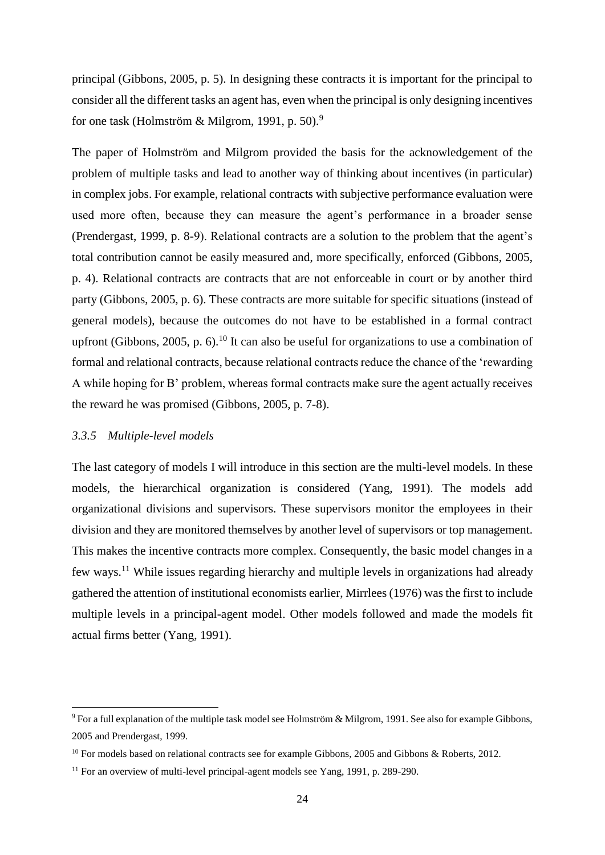principal (Gibbons, 2005, p. 5). In designing these contracts it is important for the principal to consider all the different tasks an agent has, even when the principal is only designing incentives for one task (Holmström & Milgrom, 1991, p. 50).<sup>9</sup>

The paper of Holmström and Milgrom provided the basis for the acknowledgement of the problem of multiple tasks and lead to another way of thinking about incentives (in particular) in complex jobs. For example, relational contracts with subjective performance evaluation were used more often, because they can measure the agent's performance in a broader sense (Prendergast, 1999, p. 8-9). Relational contracts are a solution to the problem that the agent's total contribution cannot be easily measured and, more specifically, enforced (Gibbons, 2005, p. 4). Relational contracts are contracts that are not enforceable in court or by another third party (Gibbons, 2005, p. 6). These contracts are more suitable for specific situations (instead of general models), because the outcomes do not have to be established in a formal contract upfront (Gibbons, 2005, p. 6).<sup>10</sup> It can also be useful for organizations to use a combination of formal and relational contracts, because relational contracts reduce the chance of the 'rewarding A while hoping for B' problem, whereas formal contracts make sure the agent actually receives the reward he was promised (Gibbons, 2005, p. 7-8).

#### <span id="page-24-0"></span>*3.3.5 Multiple-level models*

 $\overline{a}$ 

The last category of models I will introduce in this section are the multi-level models. In these models, the hierarchical organization is considered (Yang, 1991). The models add organizational divisions and supervisors. These supervisors monitor the employees in their division and they are monitored themselves by another level of supervisors or top management. This makes the incentive contracts more complex. Consequently, the basic model changes in a few ways.<sup>11</sup> While issues regarding hierarchy and multiple levels in organizations had already gathered the attention of institutional economists earlier, Mirrlees (1976) was the first to include multiple levels in a principal-agent model. Other models followed and made the models fit actual firms better (Yang, 1991).

<sup>9</sup> For a full explanation of the multiple task model see Holmström & Milgrom, 1991. See also for example Gibbons, 2005 and Prendergast, 1999.

<sup>&</sup>lt;sup>10</sup> For models based on relational contracts see for example Gibbons, 2005 and Gibbons & Roberts, 2012.

<sup>&</sup>lt;sup>11</sup> For an overview of multi-level principal-agent models see Yang, 1991, p. 289-290.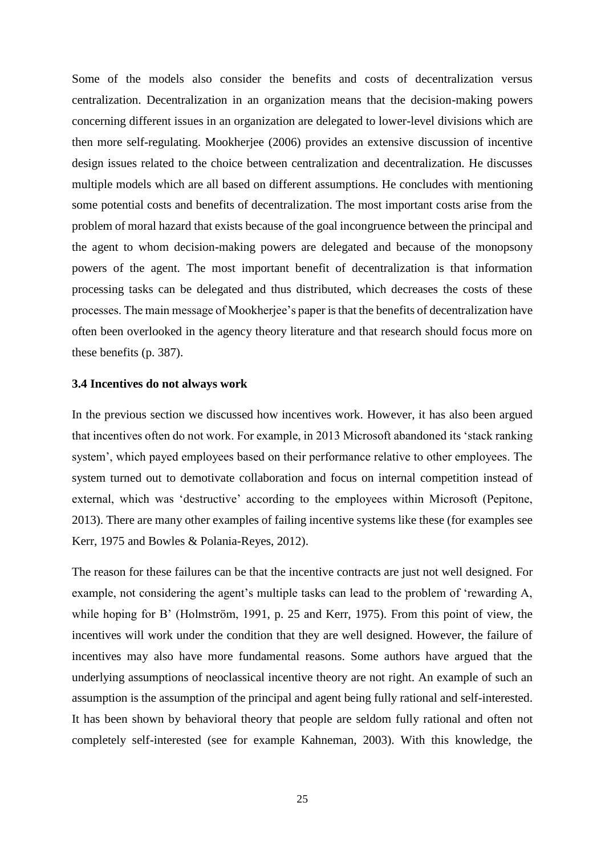Some of the models also consider the benefits and costs of decentralization versus centralization. Decentralization in an organization means that the decision-making powers concerning different issues in an organization are delegated to lower-level divisions which are then more self-regulating. Mookherjee (2006) provides an extensive discussion of incentive design issues related to the choice between centralization and decentralization. He discusses multiple models which are all based on different assumptions. He concludes with mentioning some potential costs and benefits of decentralization. The most important costs arise from the problem of moral hazard that exists because of the goal incongruence between the principal and the agent to whom decision-making powers are delegated and because of the monopsony powers of the agent. The most important benefit of decentralization is that information processing tasks can be delegated and thus distributed, which decreases the costs of these processes. The main message of Mookherjee's paper is that the benefits of decentralization have often been overlooked in the agency theory literature and that research should focus more on these benefits (p. 387).

#### <span id="page-25-0"></span>**3.4 Incentives do not always work**

In the previous section we discussed how incentives work. However, it has also been argued that incentives often do not work. For example, in 2013 Microsoft abandoned its 'stack ranking system', which payed employees based on their performance relative to other employees. The system turned out to demotivate collaboration and focus on internal competition instead of external, which was 'destructive' according to the employees within Microsoft (Pepitone, 2013). There are many other examples of failing incentive systems like these (for examples see Kerr, 1975 and Bowles & Polania-Reyes, 2012).

The reason for these failures can be that the incentive contracts are just not well designed. For example, not considering the agent's multiple tasks can lead to the problem of 'rewarding A, while hoping for B' (Holmström, 1991, p. 25 and Kerr, 1975). From this point of view, the incentives will work under the condition that they are well designed. However, the failure of incentives may also have more fundamental reasons. Some authors have argued that the underlying assumptions of neoclassical incentive theory are not right. An example of such an assumption is the assumption of the principal and agent being fully rational and self-interested. It has been shown by behavioral theory that people are seldom fully rational and often not completely self-interested (see for example Kahneman, 2003). With this knowledge, the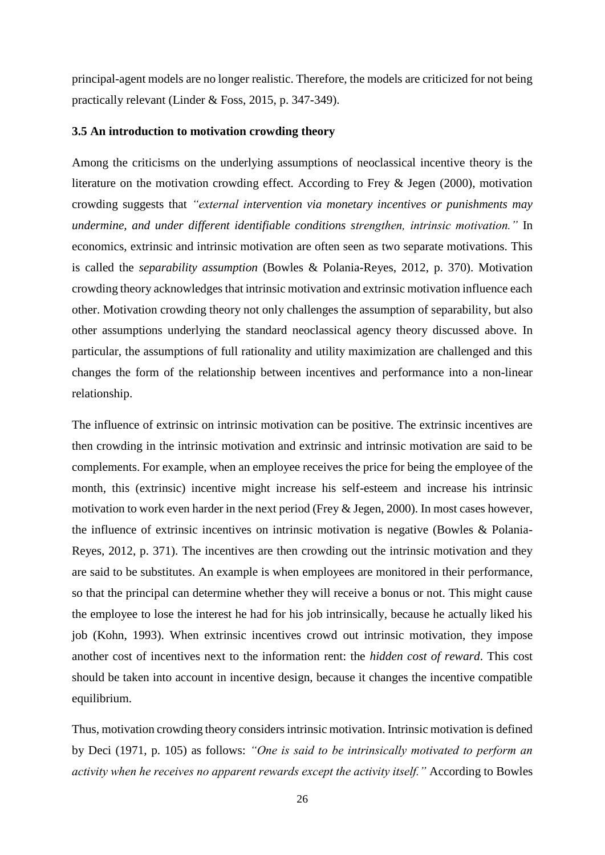principal-agent models are no longer realistic. Therefore, the models are criticized for not being practically relevant (Linder & Foss, 2015, p. 347-349).

#### <span id="page-26-0"></span>**3.5 An introduction to motivation crowding theory**

Among the criticisms on the underlying assumptions of neoclassical incentive theory is the literature on the motivation crowding effect. According to Frey & Jegen (2000), motivation crowding suggests that *"external intervention via monetary incentives or punishments may undermine, and under different identifiable conditions strengthen, intrinsic motivation."* In economics, extrinsic and intrinsic motivation are often seen as two separate motivations. This is called the *separability assumption* (Bowles & Polania-Reyes, 2012, p. 370). Motivation crowding theory acknowledges that intrinsic motivation and extrinsic motivation influence each other. Motivation crowding theory not only challenges the assumption of separability, but also other assumptions underlying the standard neoclassical agency theory discussed above. In particular, the assumptions of full rationality and utility maximization are challenged and this changes the form of the relationship between incentives and performance into a non-linear relationship.

The influence of extrinsic on intrinsic motivation can be positive. The extrinsic incentives are then crowding in the intrinsic motivation and extrinsic and intrinsic motivation are said to be complements. For example, when an employee receives the price for being the employee of the month, this (extrinsic) incentive might increase his self-esteem and increase his intrinsic motivation to work even harder in the next period (Frey & Jegen, 2000). In most cases however, the influence of extrinsic incentives on intrinsic motivation is negative (Bowles & Polania-Reyes, 2012, p. 371). The incentives are then crowding out the intrinsic motivation and they are said to be substitutes. An example is when employees are monitored in their performance, so that the principal can determine whether they will receive a bonus or not. This might cause the employee to lose the interest he had for his job intrinsically, because he actually liked his job (Kohn, 1993). When extrinsic incentives crowd out intrinsic motivation, they impose another cost of incentives next to the information rent: the *hidden cost of reward*. This cost should be taken into account in incentive design, because it changes the incentive compatible equilibrium.

Thus, motivation crowding theory considers intrinsic motivation. Intrinsic motivation is defined by Deci (1971, p. 105) as follows: *"One is said to be intrinsically motivated to perform an activity when he receives no apparent rewards except the activity itself."* According to Bowles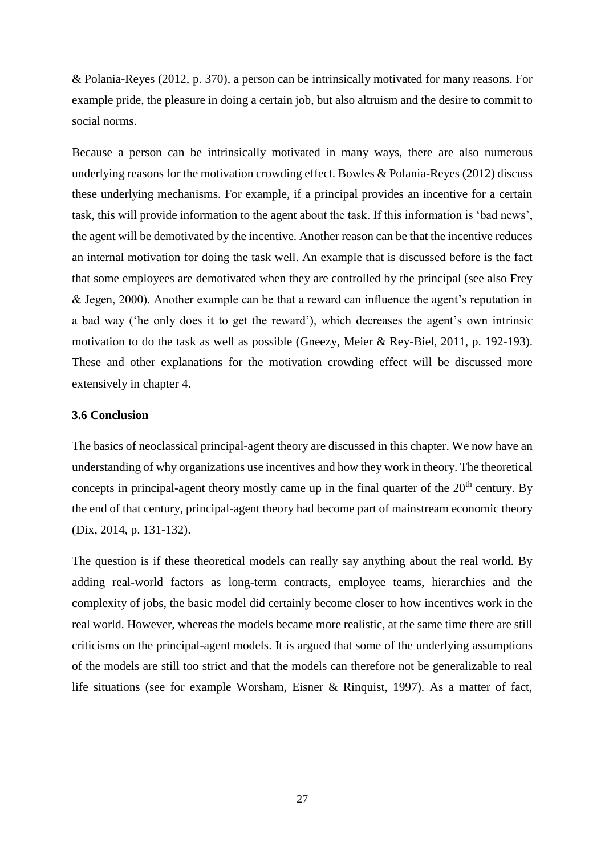& Polania-Reyes (2012, p. 370), a person can be intrinsically motivated for many reasons. For example pride, the pleasure in doing a certain job, but also altruism and the desire to commit to social norms.

Because a person can be intrinsically motivated in many ways, there are also numerous underlying reasons for the motivation crowding effect. Bowles & Polania-Reyes (2012) discuss these underlying mechanisms. For example, if a principal provides an incentive for a certain task, this will provide information to the agent about the task. If this information is 'bad news', the agent will be demotivated by the incentive. Another reason can be that the incentive reduces an internal motivation for doing the task well. An example that is discussed before is the fact that some employees are demotivated when they are controlled by the principal (see also Frey & Jegen, 2000). Another example can be that a reward can influence the agent's reputation in a bad way ('he only does it to get the reward'), which decreases the agent's own intrinsic motivation to do the task as well as possible (Gneezy, Meier & Rey-Biel, 2011, p. 192-193). These and other explanations for the motivation crowding effect will be discussed more extensively in chapter 4.

#### <span id="page-27-0"></span>**3.6 Conclusion**

The basics of neoclassical principal-agent theory are discussed in this chapter. We now have an understanding of why organizations use incentives and how they work in theory. The theoretical concepts in principal-agent theory mostly came up in the final quarter of the  $20<sup>th</sup>$  century. By the end of that century, principal-agent theory had become part of mainstream economic theory (Dix, 2014, p. 131-132).

The question is if these theoretical models can really say anything about the real world. By adding real-world factors as long-term contracts, employee teams, hierarchies and the complexity of jobs, the basic model did certainly become closer to how incentives work in the real world. However, whereas the models became more realistic, at the same time there are still criticisms on the principal-agent models. It is argued that some of the underlying assumptions of the models are still too strict and that the models can therefore not be generalizable to real life situations (see for example Worsham, Eisner & Rinquist, 1997). As a matter of fact,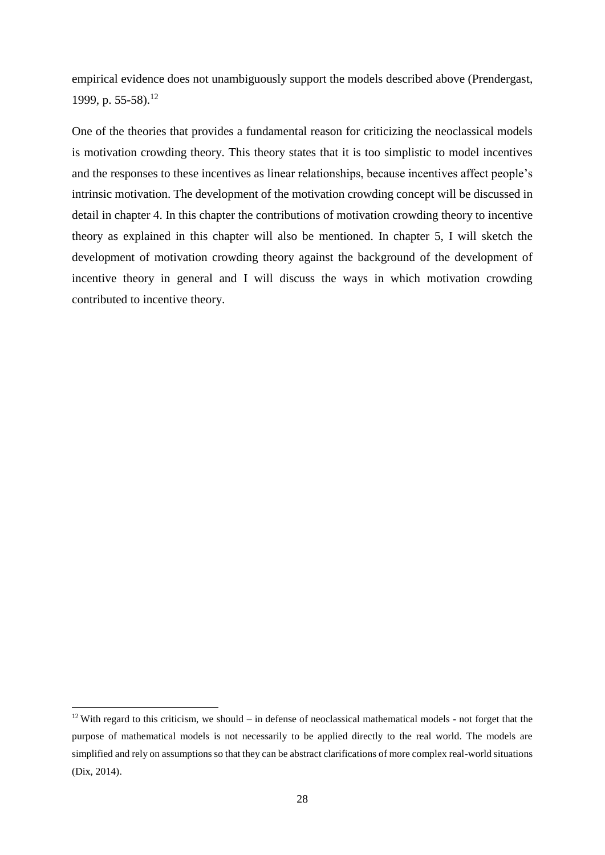empirical evidence does not unambiguously support the models described above (Prendergast, 1999, p. 55-58).<sup>12</sup>

One of the theories that provides a fundamental reason for criticizing the neoclassical models is motivation crowding theory. This theory states that it is too simplistic to model incentives and the responses to these incentives as linear relationships, because incentives affect people's intrinsic motivation. The development of the motivation crowding concept will be discussed in detail in chapter 4. In this chapter the contributions of motivation crowding theory to incentive theory as explained in this chapter will also be mentioned. In chapter 5, I will sketch the development of motivation crowding theory against the background of the development of incentive theory in general and I will discuss the ways in which motivation crowding contributed to incentive theory.

 $\overline{a}$ 

<sup>&</sup>lt;sup>12</sup> With regard to this criticism, we should – in defense of neoclassical mathematical models - not forget that the purpose of mathematical models is not necessarily to be applied directly to the real world. The models are simplified and rely on assumptions so that they can be abstract clarifications of more complex real-world situations (Dix, 2014).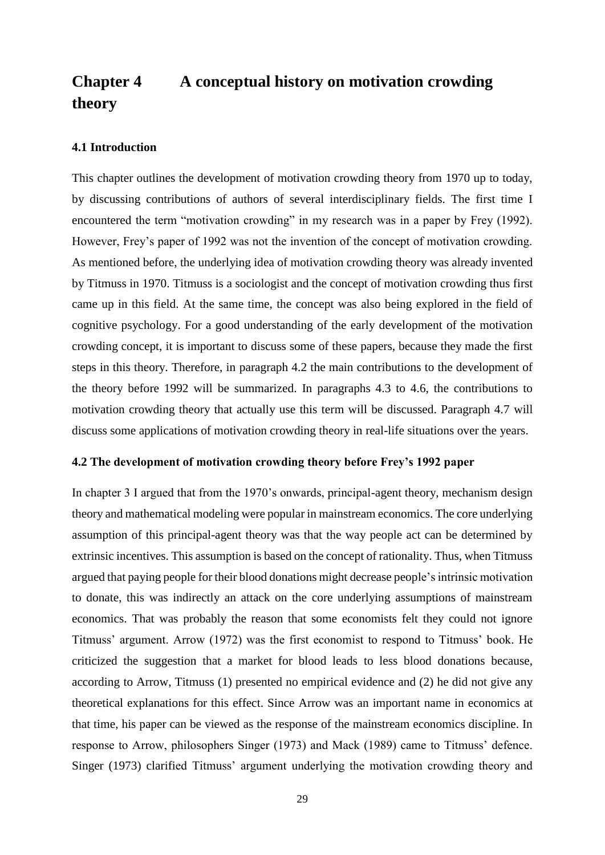# <span id="page-29-0"></span>**Chapter 4 A conceptual history on motivation crowding theory**

#### <span id="page-29-1"></span>**4.1 Introduction**

This chapter outlines the development of motivation crowding theory from 1970 up to today, by discussing contributions of authors of several interdisciplinary fields. The first time I encountered the term "motivation crowding" in my research was in a paper by Frey (1992). However, Frey's paper of 1992 was not the invention of the concept of motivation crowding. As mentioned before, the underlying idea of motivation crowding theory was already invented by Titmuss in 1970. Titmuss is a sociologist and the concept of motivation crowding thus first came up in this field. At the same time, the concept was also being explored in the field of cognitive psychology. For a good understanding of the early development of the motivation crowding concept, it is important to discuss some of these papers, because they made the first steps in this theory. Therefore, in paragraph 4.2 the main contributions to the development of the theory before 1992 will be summarized. In paragraphs 4.3 to 4.6, the contributions to motivation crowding theory that actually use this term will be discussed. Paragraph 4.7 will discuss some applications of motivation crowding theory in real-life situations over the years.

#### <span id="page-29-2"></span>**4.2 The development of motivation crowding theory before Frey's 1992 paper**

In chapter 3 I argued that from the 1970's onwards, principal-agent theory, mechanism design theory and mathematical modeling were popular in mainstream economics. The core underlying assumption of this principal-agent theory was that the way people act can be determined by extrinsic incentives. This assumption is based on the concept of rationality. Thus, when Titmuss argued that paying people for their blood donations might decrease people's intrinsic motivation to donate, this was indirectly an attack on the core underlying assumptions of mainstream economics. That was probably the reason that some economists felt they could not ignore Titmuss' argument. Arrow (1972) was the first economist to respond to Titmuss' book. He criticized the suggestion that a market for blood leads to less blood donations because, according to Arrow, Titmuss (1) presented no empirical evidence and (2) he did not give any theoretical explanations for this effect. Since Arrow was an important name in economics at that time, his paper can be viewed as the response of the mainstream economics discipline. In response to Arrow, philosophers Singer (1973) and Mack (1989) came to Titmuss' defence. Singer (1973) clarified Titmuss' argument underlying the motivation crowding theory and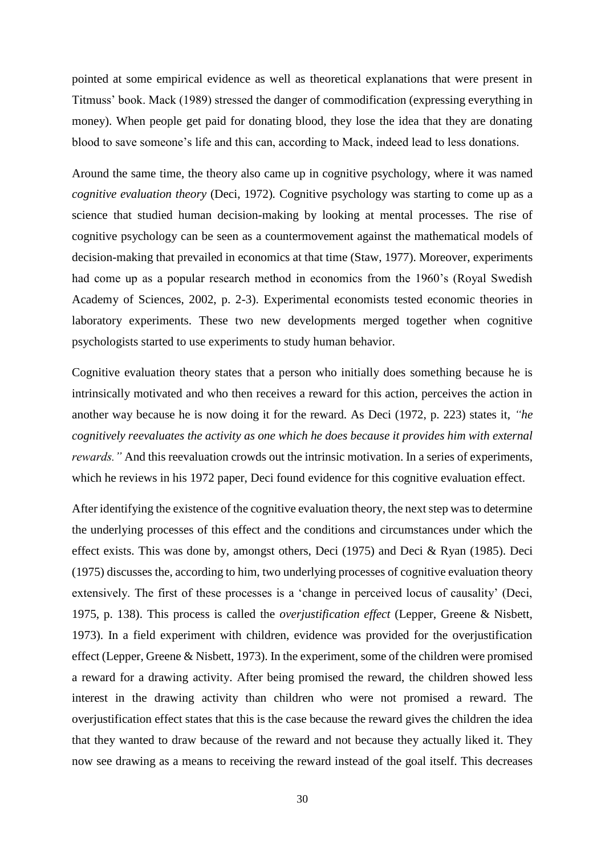pointed at some empirical evidence as well as theoretical explanations that were present in Titmuss' book. Mack (1989) stressed the danger of commodification (expressing everything in money). When people get paid for donating blood, they lose the idea that they are donating blood to save someone's life and this can, according to Mack, indeed lead to less donations.

Around the same time, the theory also came up in cognitive psychology, where it was named *cognitive evaluation theory* (Deci, 1972)*.* Cognitive psychology was starting to come up as a science that studied human decision-making by looking at mental processes. The rise of cognitive psychology can be seen as a countermovement against the mathematical models of decision-making that prevailed in economics at that time (Staw, 1977). Moreover, experiments had come up as a popular research method in economics from the 1960's (Royal Swedish Academy of Sciences, 2002, p. 2-3). Experimental economists tested economic theories in laboratory experiments. These two new developments merged together when cognitive psychologists started to use experiments to study human behavior.

Cognitive evaluation theory states that a person who initially does something because he is intrinsically motivated and who then receives a reward for this action, perceives the action in another way because he is now doing it for the reward. As Deci (1972, p. 223) states it, *"he cognitively reevaluates the activity as one which he does because it provides him with external rewards.*" And this reevaluation crowds out the intrinsic motivation. In a series of experiments, which he reviews in his 1972 paper, Deci found evidence for this cognitive evaluation effect.

After identifying the existence of the cognitive evaluation theory, the next step was to determine the underlying processes of this effect and the conditions and circumstances under which the effect exists. This was done by, amongst others, Deci (1975) and Deci & Ryan (1985). Deci (1975) discusses the, according to him, two underlying processes of cognitive evaluation theory extensively. The first of these processes is a 'change in perceived locus of causality' (Deci, 1975, p. 138). This process is called the *overjustification effect* (Lepper, Greene & Nisbett, 1973). In a field experiment with children, evidence was provided for the overjustification effect (Lepper, Greene & Nisbett, 1973). In the experiment, some of the children were promised a reward for a drawing activity. After being promised the reward, the children showed less interest in the drawing activity than children who were not promised a reward. The overjustification effect states that this is the case because the reward gives the children the idea that they wanted to draw because of the reward and not because they actually liked it. They now see drawing as a means to receiving the reward instead of the goal itself. This decreases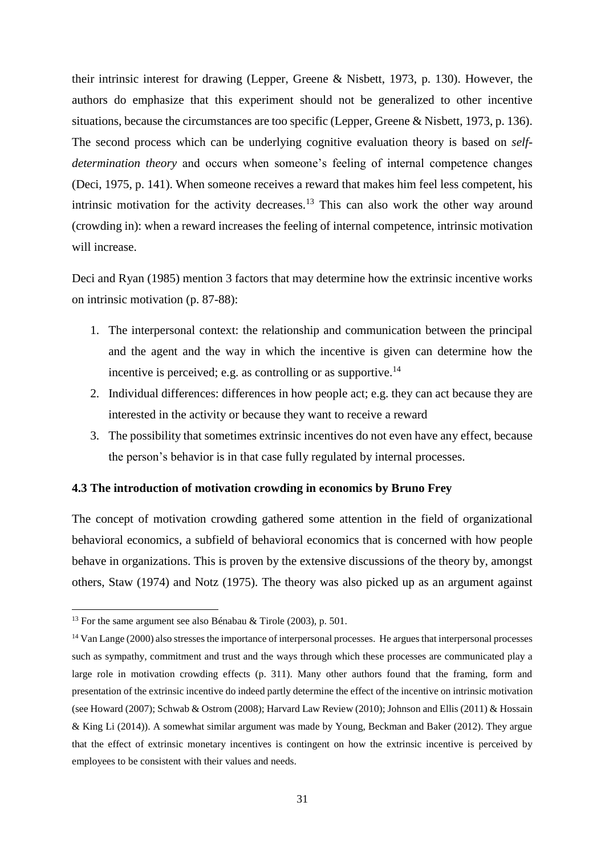their intrinsic interest for drawing (Lepper, Greene & Nisbett, 1973, p. 130). However, the authors do emphasize that this experiment should not be generalized to other incentive situations, because the circumstances are too specific (Lepper, Greene & Nisbett, 1973, p. 136). The second process which can be underlying cognitive evaluation theory is based on *selfdetermination theory* and occurs when someone's feeling of internal competence changes (Deci, 1975, p. 141). When someone receives a reward that makes him feel less competent, his intrinsic motivation for the activity decreases.<sup>13</sup> This can also work the other way around (crowding in): when a reward increases the feeling of internal competence, intrinsic motivation will increase.

Deci and Ryan (1985) mention 3 factors that may determine how the extrinsic incentive works on intrinsic motivation (p. 87-88):

- 1. The interpersonal context: the relationship and communication between the principal and the agent and the way in which the incentive is given can determine how the incentive is perceived; e.g. as controlling or as supportive.<sup>14</sup>
- 2. Individual differences: differences in how people act; e.g. they can act because they are interested in the activity or because they want to receive a reward
- 3. The possibility that sometimes extrinsic incentives do not even have any effect, because the person's behavior is in that case fully regulated by internal processes.

#### <span id="page-31-0"></span>**4.3 The introduction of motivation crowding in economics by Bruno Frey**

The concept of motivation crowding gathered some attention in the field of organizational behavioral economics, a subfield of behavioral economics that is concerned with how people behave in organizations. This is proven by the extensive discussions of the theory by, amongst others, Staw (1974) and Notz (1975). The theory was also picked up as an argument against

**.** 

<sup>&</sup>lt;sup>13</sup> For the same argument see also Bénabau & Tirole (2003), p. 501.

<sup>&</sup>lt;sup>14</sup> Van Lange (2000) also stresses the importance of interpersonal processes. He argues that interpersonal processes such as sympathy, commitment and trust and the ways through which these processes are communicated play a large role in motivation crowding effects (p. 311). Many other authors found that the framing, form and presentation of the extrinsic incentive do indeed partly determine the effect of the incentive on intrinsic motivation (see Howard (2007); Schwab & Ostrom (2008); Harvard Law Review (2010); Johnson and Ellis (2011) & Hossain & King Li (2014)). A somewhat similar argument was made by Young, Beckman and Baker (2012). They argue that the effect of extrinsic monetary incentives is contingent on how the extrinsic incentive is perceived by employees to be consistent with their values and needs.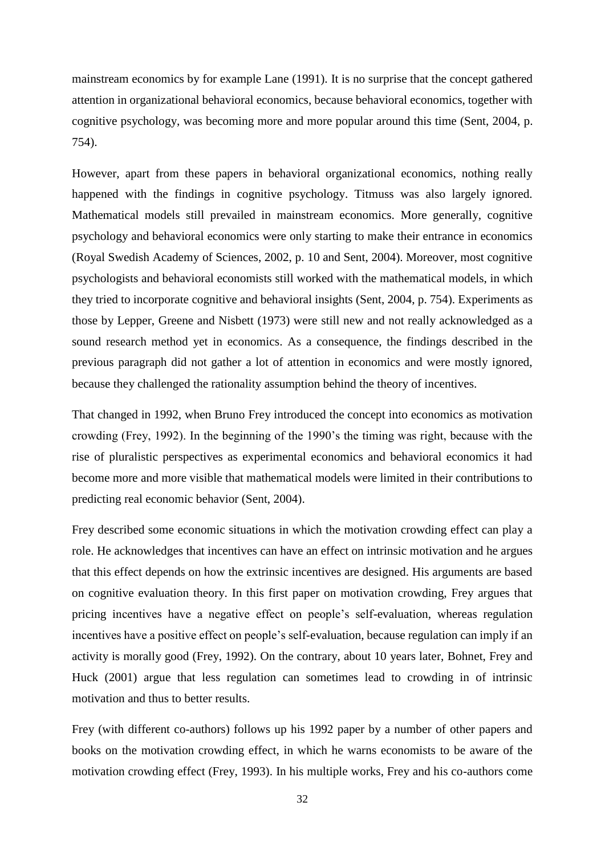mainstream economics by for example Lane (1991). It is no surprise that the concept gathered attention in organizational behavioral economics, because behavioral economics, together with cognitive psychology, was becoming more and more popular around this time (Sent, 2004, p. 754).

However, apart from these papers in behavioral organizational economics, nothing really happened with the findings in cognitive psychology. Titmuss was also largely ignored. Mathematical models still prevailed in mainstream economics. More generally, cognitive psychology and behavioral economics were only starting to make their entrance in economics (Royal Swedish Academy of Sciences, 2002, p. 10 and Sent, 2004). Moreover, most cognitive psychologists and behavioral economists still worked with the mathematical models, in which they tried to incorporate cognitive and behavioral insights (Sent, 2004, p. 754). Experiments as those by Lepper, Greene and Nisbett (1973) were still new and not really acknowledged as a sound research method yet in economics. As a consequence, the findings described in the previous paragraph did not gather a lot of attention in economics and were mostly ignored, because they challenged the rationality assumption behind the theory of incentives.

That changed in 1992, when Bruno Frey introduced the concept into economics as motivation crowding (Frey, 1992). In the beginning of the 1990's the timing was right, because with the rise of pluralistic perspectives as experimental economics and behavioral economics it had become more and more visible that mathematical models were limited in their contributions to predicting real economic behavior (Sent, 2004).

Frey described some economic situations in which the motivation crowding effect can play a role. He acknowledges that incentives can have an effect on intrinsic motivation and he argues that this effect depends on how the extrinsic incentives are designed. His arguments are based on cognitive evaluation theory. In this first paper on motivation crowding, Frey argues that pricing incentives have a negative effect on people's self-evaluation, whereas regulation incentives have a positive effect on people's self-evaluation, because regulation can imply if an activity is morally good (Frey, 1992). On the contrary, about 10 years later, Bohnet, Frey and Huck (2001) argue that less regulation can sometimes lead to crowding in of intrinsic motivation and thus to better results.

Frey (with different co-authors) follows up his 1992 paper by a number of other papers and books on the motivation crowding effect, in which he warns economists to be aware of the motivation crowding effect (Frey, 1993). In his multiple works, Frey and his co-authors come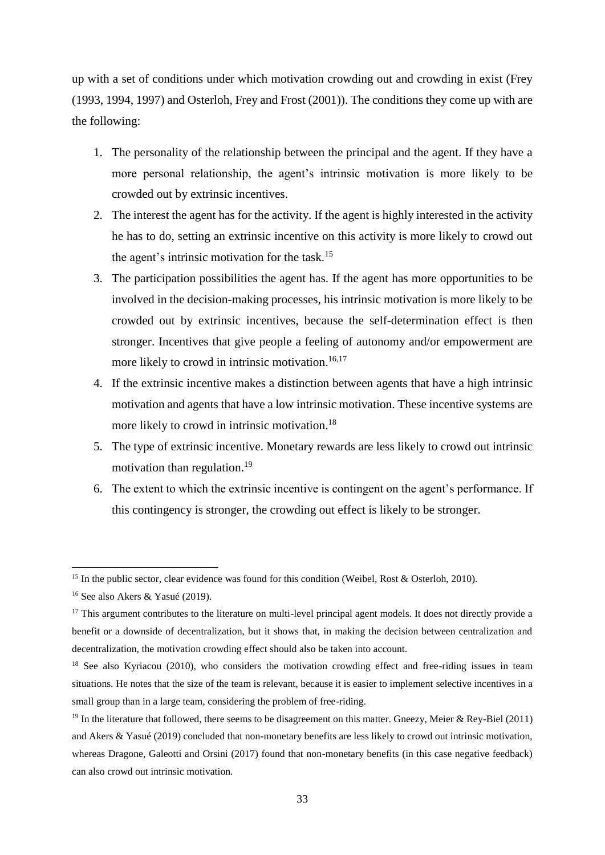up with a set of conditions under which motivation crowding out and crowding in exist (Frey (1993, 1994, 1997) and Osterloh, Frey and Frost (2001)). The conditions they come up with are the following:

- 1. The personality of the relationship between the principal and the agent. If they have a more personal relationship, the agent's intrinsic motivation is more likely to be crowded out by extrinsic incentives.
- 2. The interest the agent has for the activity. If the agent is highly interested in the activity he has to do, setting an extrinsic incentive on this activity is more likely to crowd out the agent's intrinsic motivation for the task.<sup>15</sup>
- 3. The participation possibilities the agent has. If the agent has more opportunities to be involved in the decision-making processes, his intrinsic motivation is more likely to be crowded out by extrinsic incentives, because the self-determination effect is then stronger. Incentives that give people a feeling of autonomy and/or empowerment are more likely to crowd in intrinsic motivation.<sup>16,17</sup>
- 4. If the extrinsic incentive makes a distinction between agents that have a high intrinsic motivation and agents that have a low intrinsic motivation. These incentive systems are more likely to crowd in intrinsic motivation.<sup>18</sup>
- 5. The type of extrinsic incentive. Monetary rewards are less likely to crowd out intrinsic motivation than regulation.<sup>19</sup>
- 6. The extent to which the extrinsic incentive is contingent on the agent's performance. If this contingency is stronger, the crowding out effect is likely to be stronger.

**.** 

<sup>&</sup>lt;sup>15</sup> In the public sector, clear evidence was found for this condition (Weibel, Rost & Osterloh, 2010).

<sup>16</sup> See also Akers & Yasué (2019).

<sup>&</sup>lt;sup>17</sup> This argument contributes to the literature on multi-level principal agent models. It does not directly provide a benefit or a downside of decentralization, but it shows that, in making the decision between centralization and decentralization, the motivation crowding effect should also be taken into account.

<sup>&</sup>lt;sup>18</sup> See also Kyriacou (2010), who considers the motivation crowding effect and free-riding issues in team situations. He notes that the size of the team is relevant, because it is easier to implement selective incentives in a small group than in a large team, considering the problem of free-riding.

<sup>&</sup>lt;sup>19</sup> In the literature that followed, there seems to be disagreement on this matter. Gneezy, Meier & Rey-Biel (2011) and Akers & Yasué (2019) concluded that non-monetary benefits are less likely to crowd out intrinsic motivation, whereas Dragone, Galeotti and Orsini (2017) found that non-monetary benefits (in this case negative feedback) can also crowd out intrinsic motivation.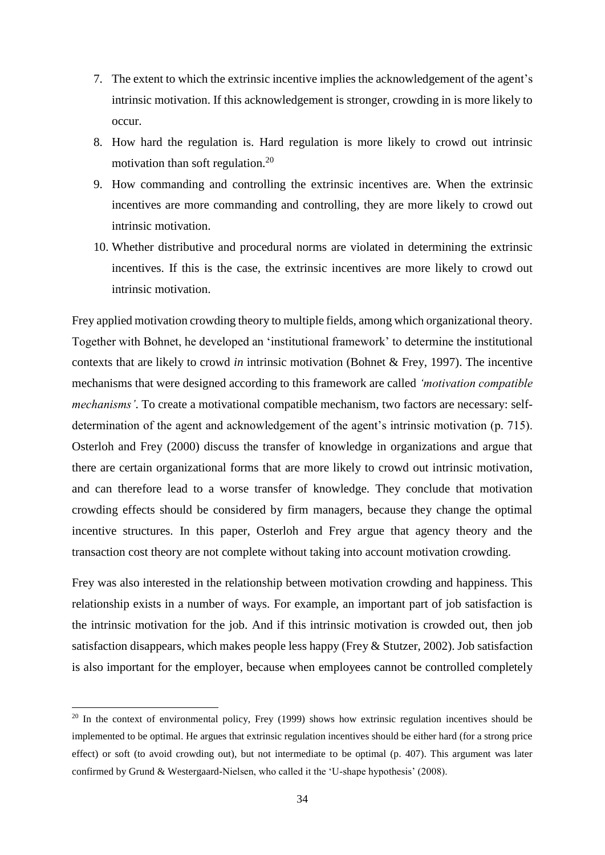- 7. The extent to which the extrinsic incentive implies the acknowledgement of the agent's intrinsic motivation. If this acknowledgement is stronger, crowding in is more likely to occur.
- 8. How hard the regulation is. Hard regulation is more likely to crowd out intrinsic motivation than soft regulation.<sup>20</sup>
- 9. How commanding and controlling the extrinsic incentives are. When the extrinsic incentives are more commanding and controlling, they are more likely to crowd out intrinsic motivation.
- 10. Whether distributive and procedural norms are violated in determining the extrinsic incentives. If this is the case, the extrinsic incentives are more likely to crowd out intrinsic motivation.

Frey applied motivation crowding theory to multiple fields, among which organizational theory. Together with Bohnet, he developed an 'institutional framework' to determine the institutional contexts that are likely to crowd *in* intrinsic motivation (Bohnet & Frey, 1997). The incentive mechanisms that were designed according to this framework are called *'motivation compatible mechanisms'*. To create a motivational compatible mechanism, two factors are necessary: selfdetermination of the agent and acknowledgement of the agent's intrinsic motivation (p. 715). Osterloh and Frey (2000) discuss the transfer of knowledge in organizations and argue that there are certain organizational forms that are more likely to crowd out intrinsic motivation, and can therefore lead to a worse transfer of knowledge. They conclude that motivation crowding effects should be considered by firm managers, because they change the optimal incentive structures. In this paper, Osterloh and Frey argue that agency theory and the transaction cost theory are not complete without taking into account motivation crowding.

Frey was also interested in the relationship between motivation crowding and happiness. This relationship exists in a number of ways. For example, an important part of job satisfaction is the intrinsic motivation for the job. And if this intrinsic motivation is crowded out, then job satisfaction disappears, which makes people less happy (Frey & Stutzer, 2002). Job satisfaction is also important for the employer, because when employees cannot be controlled completely

 $\overline{a}$ 

<sup>&</sup>lt;sup>20</sup> In the context of environmental policy, Frey (1999) shows how extrinsic regulation incentives should be implemented to be optimal. He argues that extrinsic regulation incentives should be either hard (for a strong price effect) or soft (to avoid crowding out), but not intermediate to be optimal (p. 407). This argument was later confirmed by Grund & Westergaard-Nielsen, who called it the 'U-shape hypothesis' (2008).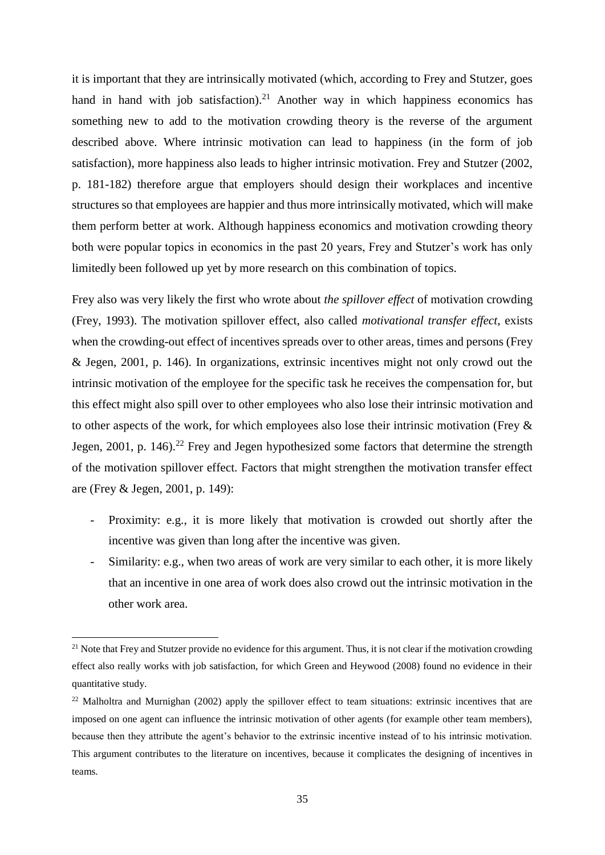it is important that they are intrinsically motivated (which, according to Frey and Stutzer, goes hand in hand with job satisfaction).<sup>21</sup> Another way in which happiness economics has something new to add to the motivation crowding theory is the reverse of the argument described above. Where intrinsic motivation can lead to happiness (in the form of job satisfaction), more happiness also leads to higher intrinsic motivation. Frey and Stutzer (2002, p. 181-182) therefore argue that employers should design their workplaces and incentive structures so that employees are happier and thus more intrinsically motivated, which will make them perform better at work. Although happiness economics and motivation crowding theory both were popular topics in economics in the past 20 years, Frey and Stutzer's work has only limitedly been followed up yet by more research on this combination of topics.

Frey also was very likely the first who wrote about *the spillover effect* of motivation crowding (Frey, 1993). The motivation spillover effect, also called *motivational transfer effect*, exists when the crowding-out effect of incentives spreads over to other areas, times and persons (Frey & Jegen, 2001, p. 146). In organizations, extrinsic incentives might not only crowd out the intrinsic motivation of the employee for the specific task he receives the compensation for, but this effect might also spill over to other employees who also lose their intrinsic motivation and to other aspects of the work, for which employees also lose their intrinsic motivation (Frey & Jegen, 2001, p. 146).<sup>22</sup> Frey and Jegen hypothesized some factors that determine the strength of the motivation spillover effect. Factors that might strengthen the motivation transfer effect are (Frey & Jegen, 2001, p. 149):

- Proximity: e.g., it is more likely that motivation is crowded out shortly after the incentive was given than long after the incentive was given.
- Similarity: e.g., when two areas of work are very similar to each other, it is more likely that an incentive in one area of work does also crowd out the intrinsic motivation in the other work area.

**.** 

 $21$  Note that Frey and Stutzer provide no evidence for this argument. Thus, it is not clear if the motivation crowding effect also really works with job satisfaction, for which Green and Heywood (2008) found no evidence in their quantitative study.

 $22$  Malholtra and Murnighan (2002) apply the spillover effect to team situations: extrinsic incentives that are imposed on one agent can influence the intrinsic motivation of other agents (for example other team members), because then they attribute the agent's behavior to the extrinsic incentive instead of to his intrinsic motivation. This argument contributes to the literature on incentives, because it complicates the designing of incentives in teams.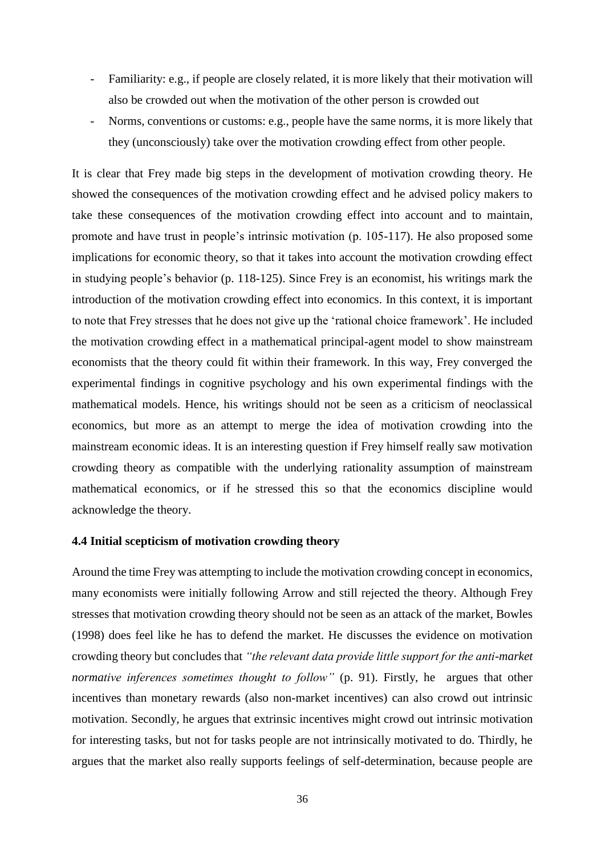- Familiarity: e.g., if people are closely related, it is more likely that their motivation will also be crowded out when the motivation of the other person is crowded out
- Norms, conventions or customs: e.g., people have the same norms, it is more likely that they (unconsciously) take over the motivation crowding effect from other people.

It is clear that Frey made big steps in the development of motivation crowding theory. He showed the consequences of the motivation crowding effect and he advised policy makers to take these consequences of the motivation crowding effect into account and to maintain, promote and have trust in people's intrinsic motivation (p. 105-117). He also proposed some implications for economic theory, so that it takes into account the motivation crowding effect in studying people's behavior (p. 118-125). Since Frey is an economist, his writings mark the introduction of the motivation crowding effect into economics. In this context, it is important to note that Frey stresses that he does not give up the 'rational choice framework'. He included the motivation crowding effect in a mathematical principal-agent model to show mainstream economists that the theory could fit within their framework. In this way, Frey converged the experimental findings in cognitive psychology and his own experimental findings with the mathematical models. Hence, his writings should not be seen as a criticism of neoclassical economics, but more as an attempt to merge the idea of motivation crowding into the mainstream economic ideas. It is an interesting question if Frey himself really saw motivation crowding theory as compatible with the underlying rationality assumption of mainstream mathematical economics, or if he stressed this so that the economics discipline would acknowledge the theory.

#### <span id="page-36-0"></span>**4.4 Initial scepticism of motivation crowding theory**

Around the time Frey was attempting to include the motivation crowding concept in economics, many economists were initially following Arrow and still rejected the theory. Although Frey stresses that motivation crowding theory should not be seen as an attack of the market, Bowles (1998) does feel like he has to defend the market. He discusses the evidence on motivation crowding theory but concludes that *"the relevant data provide little support for the anti-market normative inferences sometimes thought to follow"* (p. 91). Firstly, he argues that other incentives than monetary rewards (also non-market incentives) can also crowd out intrinsic motivation. Secondly, he argues that extrinsic incentives might crowd out intrinsic motivation for interesting tasks, but not for tasks people are not intrinsically motivated to do. Thirdly, he argues that the market also really supports feelings of self-determination, because people are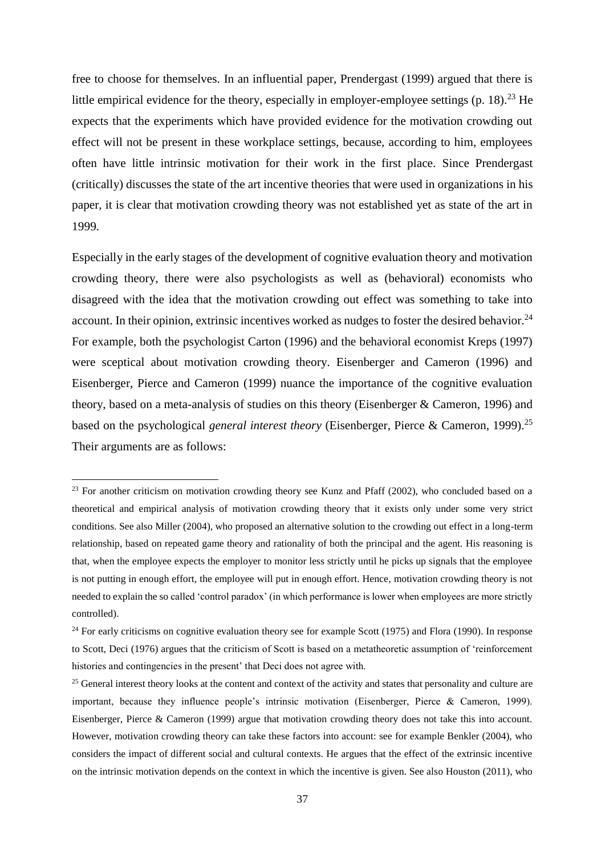free to choose for themselves. In an influential paper, Prendergast (1999) argued that there is little empirical evidence for the theory, especially in employer-employee settings  $(p. 18)$ .<sup>23</sup> He expects that the experiments which have provided evidence for the motivation crowding out effect will not be present in these workplace settings, because, according to him, employees often have little intrinsic motivation for their work in the first place. Since Prendergast (critically) discusses the state of the art incentive theories that were used in organizations in his paper, it is clear that motivation crowding theory was not established yet as state of the art in 1999.

Especially in the early stages of the development of cognitive evaluation theory and motivation crowding theory, there were also psychologists as well as (behavioral) economists who disagreed with the idea that the motivation crowding out effect was something to take into account. In their opinion, extrinsic incentives worked as nudges to foster the desired behavior.<sup>24</sup> For example, both the psychologist Carton (1996) and the behavioral economist Kreps (1997) were sceptical about motivation crowding theory. Eisenberger and Cameron (1996) and Eisenberger, Pierce and Cameron (1999) nuance the importance of the cognitive evaluation theory, based on a meta-analysis of studies on this theory (Eisenberger & Cameron, 1996) and based on the psychological *general interest theory* (Eisenberger, Pierce & Cameron, 1999).<sup>25</sup> Their arguments are as follows:

 $\overline{a}$ 

<sup>&</sup>lt;sup>23</sup> For another criticism on motivation crowding theory see Kunz and Pfaff (2002), who concluded based on a theoretical and empirical analysis of motivation crowding theory that it exists only under some very strict conditions. See also Miller (2004), who proposed an alternative solution to the crowding out effect in a long-term relationship, based on repeated game theory and rationality of both the principal and the agent. His reasoning is that, when the employee expects the employer to monitor less strictly until he picks up signals that the employee is not putting in enough effort, the employee will put in enough effort. Hence, motivation crowding theory is not needed to explain the so called 'control paradox' (in which performance is lower when employees are more strictly controlled).

 $24$  For early criticisms on cognitive evaluation theory see for example Scott (1975) and Flora (1990). In response to Scott, Deci (1976) argues that the criticism of Scott is based on a metatheoretic assumption of 'reinforcement histories and contingencies in the present' that Deci does not agree with.

<sup>&</sup>lt;sup>25</sup> General interest theory looks at the content and context of the activity and states that personality and culture are important, because they influence people's intrinsic motivation (Eisenberger, Pierce & Cameron, 1999). Eisenberger, Pierce & Cameron (1999) argue that motivation crowding theory does not take this into account. However, motivation crowding theory can take these factors into account: see for example Benkler (2004), who considers the impact of different social and cultural contexts. He argues that the effect of the extrinsic incentive on the intrinsic motivation depends on the context in which the incentive is given. See also Houston (2011), who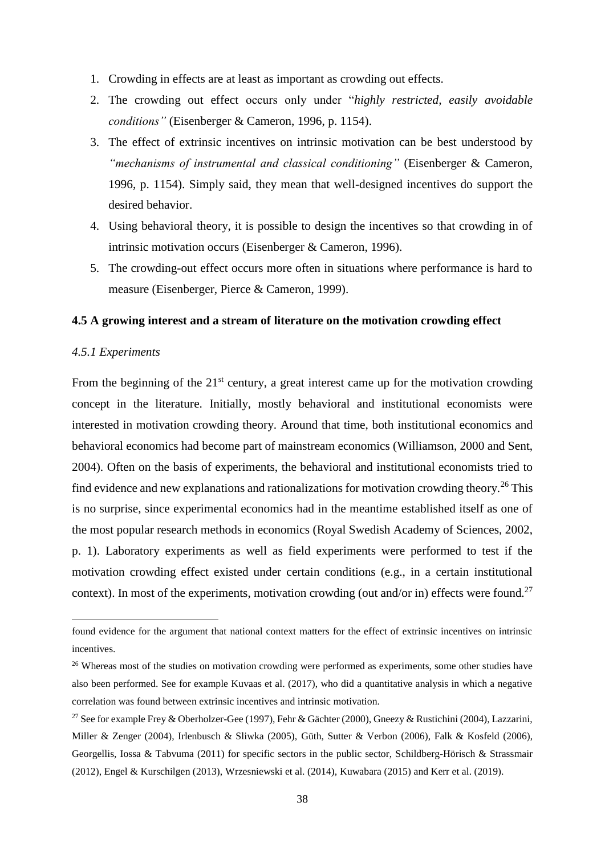- 1. Crowding in effects are at least as important as crowding out effects.
- 2. The crowding out effect occurs only under "*highly restricted, easily avoidable conditions"* (Eisenberger & Cameron, 1996, p. 1154).
- 3. The effect of extrinsic incentives on intrinsic motivation can be best understood by *"mechanisms of instrumental and classical conditioning"* (Eisenberger & Cameron, 1996, p. 1154). Simply said, they mean that well-designed incentives do support the desired behavior.
- 4. Using behavioral theory, it is possible to design the incentives so that crowding in of intrinsic motivation occurs (Eisenberger & Cameron, 1996).
- 5. The crowding-out effect occurs more often in situations where performance is hard to measure (Eisenberger, Pierce & Cameron, 1999).

#### <span id="page-38-0"></span>**4.5 A growing interest and a stream of literature on the motivation crowding effect**

#### <span id="page-38-1"></span>*4.5.1 Experiments*

**.** 

From the beginning of the  $21<sup>st</sup>$  century, a great interest came up for the motivation crowding concept in the literature. Initially, mostly behavioral and institutional economists were interested in motivation crowding theory. Around that time, both institutional economics and behavioral economics had become part of mainstream economics (Williamson, 2000 and Sent, 2004). Often on the basis of experiments, the behavioral and institutional economists tried to find evidence and new explanations and rationalizations for motivation crowding theory.<sup>26</sup> This is no surprise, since experimental economics had in the meantime established itself as one of the most popular research methods in economics (Royal Swedish Academy of Sciences, 2002, p. 1). Laboratory experiments as well as field experiments were performed to test if the motivation crowding effect existed under certain conditions (e.g., in a certain institutional context). In most of the experiments, motivation crowding (out and/or in) effects were found.<sup>27</sup>

found evidence for the argument that national context matters for the effect of extrinsic incentives on intrinsic incentives.

<sup>&</sup>lt;sup>26</sup> Whereas most of the studies on motivation crowding were performed as experiments, some other studies have also been performed. See for example Kuvaas et al. (2017), who did a quantitative analysis in which a negative correlation was found between extrinsic incentives and intrinsic motivation.

<sup>&</sup>lt;sup>27</sup> See for example Frey & Oberholzer-Gee (1997), Fehr & Gächter (2000), Gneezy & Rustichini (2004), Lazzarini, Miller & Zenger (2004), Irlenbusch & Sliwka (2005), Güth, Sutter & Verbon (2006), Falk & Kosfeld (2006), Georgellis, Iossa & Tabvuma (2011) for specific sectors in the public sector, Schildberg-Hörisch & Strassmair (2012), Engel & Kurschilgen (2013), Wrzesniewski et al. (2014), Kuwabara (2015) and Kerr et al. (2019).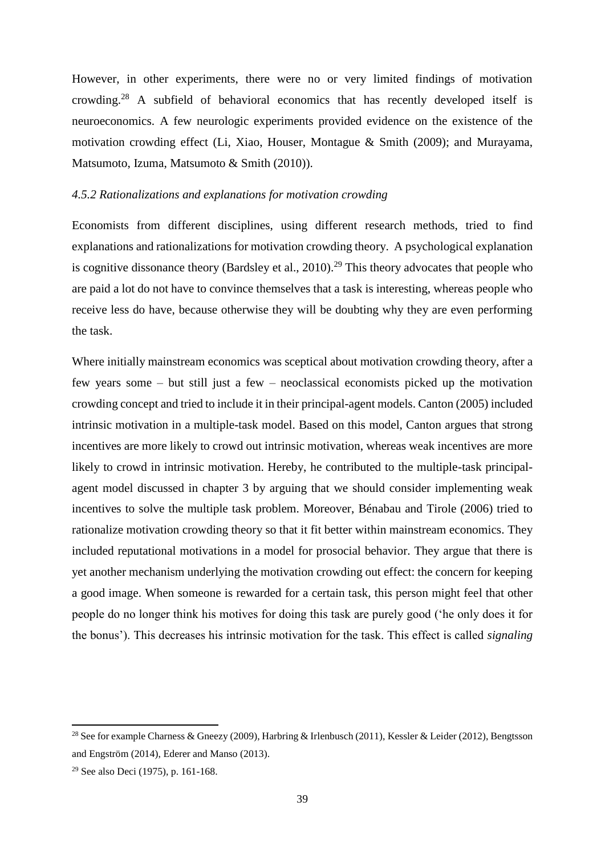However, in other experiments, there were no or very limited findings of motivation crowding.<sup>28</sup> A subfield of behavioral economics that has recently developed itself is neuroeconomics. A few neurologic experiments provided evidence on the existence of the motivation crowding effect (Li, Xiao, Houser, Montague & Smith (2009); and Murayama, Matsumoto, Izuma, Matsumoto & Smith (2010)).

#### <span id="page-39-0"></span>*4.5.2 Rationalizations and explanations for motivation crowding*

Economists from different disciplines, using different research methods, tried to find explanations and rationalizations for motivation crowding theory. A psychological explanation is cognitive dissonance theory (Bardsley et al., 2010).<sup>29</sup> This theory advocates that people who are paid a lot do not have to convince themselves that a task is interesting, whereas people who receive less do have, because otherwise they will be doubting why they are even performing the task.

Where initially mainstream economics was sceptical about motivation crowding theory, after a few years some – but still just a few – neoclassical economists picked up the motivation crowding concept and tried to include it in their principal-agent models. Canton (2005) included intrinsic motivation in a multiple-task model. Based on this model, Canton argues that strong incentives are more likely to crowd out intrinsic motivation, whereas weak incentives are more likely to crowd in intrinsic motivation. Hereby, he contributed to the multiple-task principalagent model discussed in chapter 3 by arguing that we should consider implementing weak incentives to solve the multiple task problem. Moreover, Bénabau and Tirole (2006) tried to rationalize motivation crowding theory so that it fit better within mainstream economics. They included reputational motivations in a model for prosocial behavior. They argue that there is yet another mechanism underlying the motivation crowding out effect: the concern for keeping a good image. When someone is rewarded for a certain task, this person might feel that other people do no longer think his motives for doing this task are purely good ('he only does it for the bonus'). This decreases his intrinsic motivation for the task. This effect is called *signaling*

**.** 

<sup>&</sup>lt;sup>28</sup> See for example Charness & Gneezy (2009), Harbring & Irlenbusch (2011), Kessler & Leider (2012), Bengtsson and Engström (2014), Ederer and Manso (2013).

<sup>29</sup> See also Deci (1975), p. 161-168.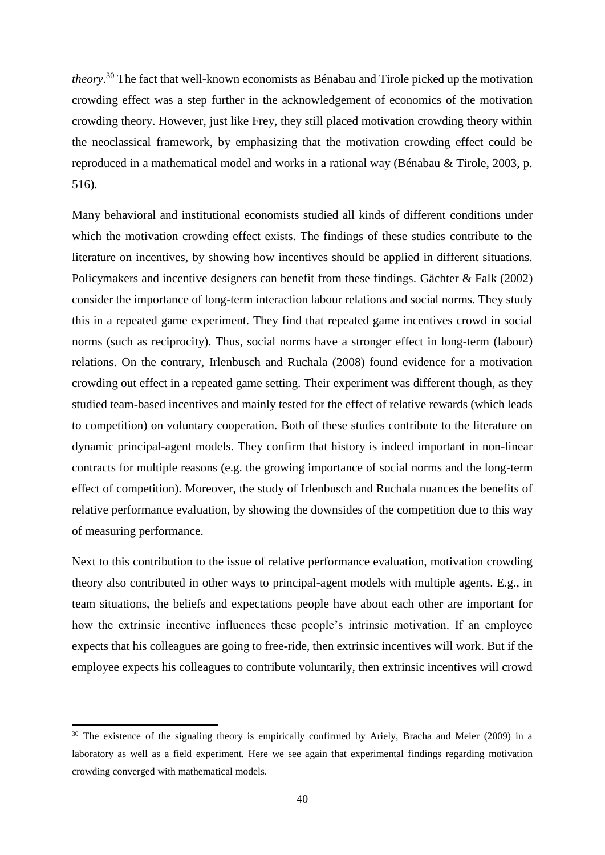*theory*. <sup>30</sup> The fact that well-known economists as Bénabau and Tirole picked up the motivation crowding effect was a step further in the acknowledgement of economics of the motivation crowding theory. However, just like Frey, they still placed motivation crowding theory within the neoclassical framework, by emphasizing that the motivation crowding effect could be reproduced in a mathematical model and works in a rational way (Bénabau & Tirole, 2003, p. 516).

Many behavioral and institutional economists studied all kinds of different conditions under which the motivation crowding effect exists. The findings of these studies contribute to the literature on incentives, by showing how incentives should be applied in different situations. Policymakers and incentive designers can benefit from these findings. Gächter & Falk (2002) consider the importance of long-term interaction labour relations and social norms. They study this in a repeated game experiment. They find that repeated game incentives crowd in social norms (such as reciprocity). Thus, social norms have a stronger effect in long-term (labour) relations. On the contrary, Irlenbusch and Ruchala (2008) found evidence for a motivation crowding out effect in a repeated game setting. Their experiment was different though, as they studied team-based incentives and mainly tested for the effect of relative rewards (which leads to competition) on voluntary cooperation. Both of these studies contribute to the literature on dynamic principal-agent models. They confirm that history is indeed important in non-linear contracts for multiple reasons (e.g. the growing importance of social norms and the long-term effect of competition). Moreover, the study of Irlenbusch and Ruchala nuances the benefits of relative performance evaluation, by showing the downsides of the competition due to this way of measuring performance.

Next to this contribution to the issue of relative performance evaluation, motivation crowding theory also contributed in other ways to principal-agent models with multiple agents. E.g., in team situations, the beliefs and expectations people have about each other are important for how the extrinsic incentive influences these people's intrinsic motivation. If an employee expects that his colleagues are going to free-ride, then extrinsic incentives will work. But if the employee expects his colleagues to contribute voluntarily, then extrinsic incentives will crowd

**.** 

<sup>&</sup>lt;sup>30</sup> The existence of the signaling theory is empirically confirmed by Ariely, Bracha and Meier (2009) in a laboratory as well as a field experiment. Here we see again that experimental findings regarding motivation crowding converged with mathematical models.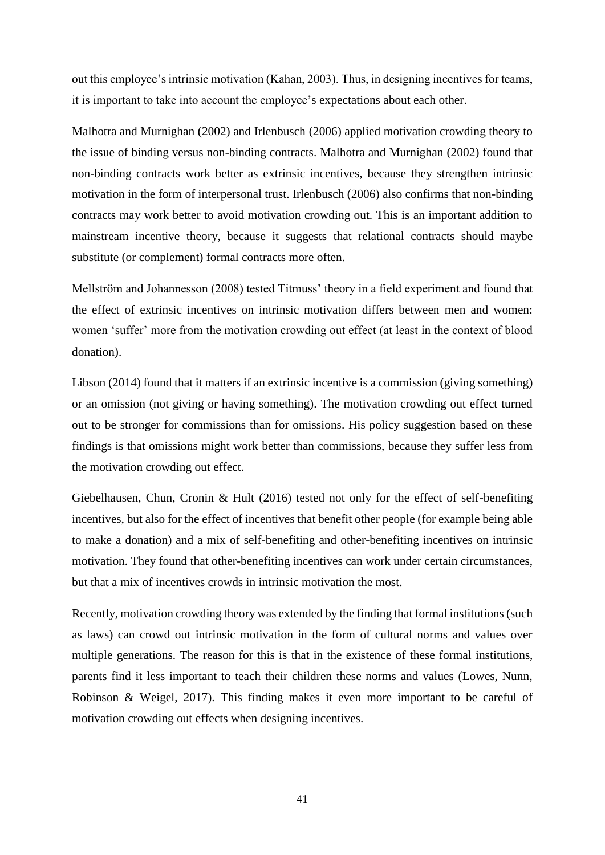out this employee's intrinsic motivation (Kahan, 2003). Thus, in designing incentives for teams, it is important to take into account the employee's expectations about each other.

Malhotra and Murnighan (2002) and Irlenbusch (2006) applied motivation crowding theory to the issue of binding versus non-binding contracts. Malhotra and Murnighan (2002) found that non-binding contracts work better as extrinsic incentives, because they strengthen intrinsic motivation in the form of interpersonal trust. Irlenbusch (2006) also confirms that non-binding contracts may work better to avoid motivation crowding out. This is an important addition to mainstream incentive theory, because it suggests that relational contracts should maybe substitute (or complement) formal contracts more often.

Mellström and Johannesson (2008) tested Titmuss' theory in a field experiment and found that the effect of extrinsic incentives on intrinsic motivation differs between men and women: women 'suffer' more from the motivation crowding out effect (at least in the context of blood donation).

Libson (2014) found that it matters if an extrinsic incentive is a commission (giving something) or an omission (not giving or having something). The motivation crowding out effect turned out to be stronger for commissions than for omissions. His policy suggestion based on these findings is that omissions might work better than commissions, because they suffer less from the motivation crowding out effect.

Giebelhausen, Chun, Cronin & Hult (2016) tested not only for the effect of self-benefiting incentives, but also for the effect of incentives that benefit other people (for example being able to make a donation) and a mix of self-benefiting and other-benefiting incentives on intrinsic motivation. They found that other-benefiting incentives can work under certain circumstances, but that a mix of incentives crowds in intrinsic motivation the most.

Recently, motivation crowding theory was extended by the finding that formal institutions (such as laws) can crowd out intrinsic motivation in the form of cultural norms and values over multiple generations. The reason for this is that in the existence of these formal institutions, parents find it less important to teach their children these norms and values (Lowes, Nunn, Robinson & Weigel, 2017). This finding makes it even more important to be careful of motivation crowding out effects when designing incentives.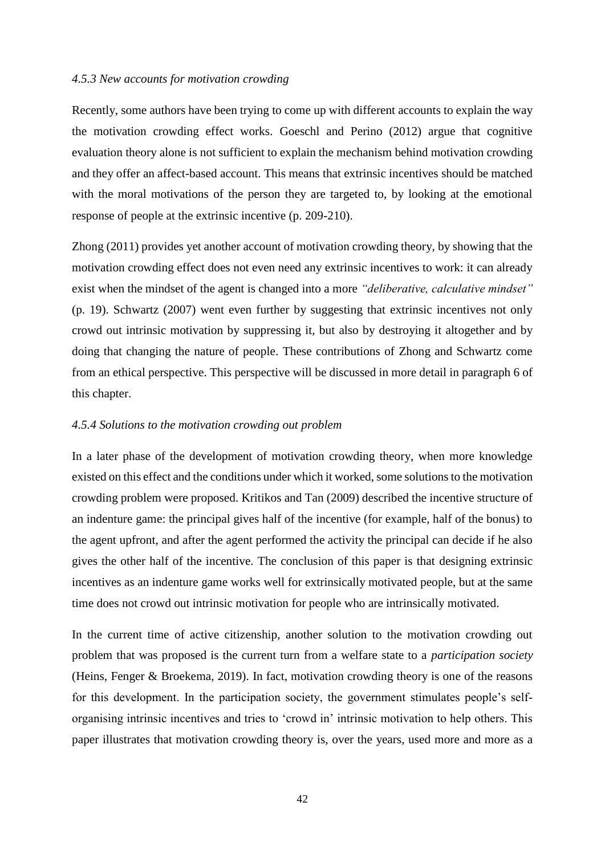#### <span id="page-42-0"></span>*4.5.3 New accounts for motivation crowding*

Recently, some authors have been trying to come up with different accounts to explain the way the motivation crowding effect works. Goeschl and Perino (2012) argue that cognitive evaluation theory alone is not sufficient to explain the mechanism behind motivation crowding and they offer an affect-based account. This means that extrinsic incentives should be matched with the moral motivations of the person they are targeted to, by looking at the emotional response of people at the extrinsic incentive (p. 209-210).

Zhong (2011) provides yet another account of motivation crowding theory, by showing that the motivation crowding effect does not even need any extrinsic incentives to work: it can already exist when the mindset of the agent is changed into a more *"deliberative, calculative mindset"*  (p. 19). Schwartz (2007) went even further by suggesting that extrinsic incentives not only crowd out intrinsic motivation by suppressing it, but also by destroying it altogether and by doing that changing the nature of people. These contributions of Zhong and Schwartz come from an ethical perspective. This perspective will be discussed in more detail in paragraph 6 of this chapter.

#### <span id="page-42-1"></span>*4.5.4 Solutions to the motivation crowding out problem*

In a later phase of the development of motivation crowding theory, when more knowledge existed on this effect and the conditions under which it worked, some solutions to the motivation crowding problem were proposed. Kritikos and Tan (2009) described the incentive structure of an indenture game: the principal gives half of the incentive (for example, half of the bonus) to the agent upfront, and after the agent performed the activity the principal can decide if he also gives the other half of the incentive. The conclusion of this paper is that designing extrinsic incentives as an indenture game works well for extrinsically motivated people, but at the same time does not crowd out intrinsic motivation for people who are intrinsically motivated.

In the current time of active citizenship, another solution to the motivation crowding out problem that was proposed is the current turn from a welfare state to a *participation society* (Heins, Fenger & Broekema, 2019). In fact, motivation crowding theory is one of the reasons for this development. In the participation society, the government stimulates people's selforganising intrinsic incentives and tries to 'crowd in' intrinsic motivation to help others. This paper illustrates that motivation crowding theory is, over the years, used more and more as a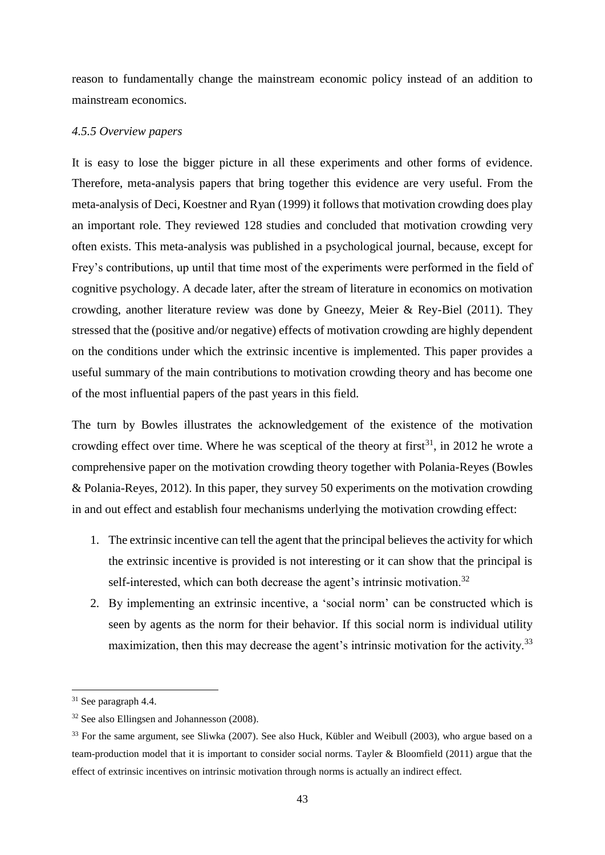reason to fundamentally change the mainstream economic policy instead of an addition to mainstream economics.

#### <span id="page-43-0"></span>*4.5.5 Overview papers*

It is easy to lose the bigger picture in all these experiments and other forms of evidence. Therefore, meta-analysis papers that bring together this evidence are very useful. From the meta-analysis of Deci, Koestner and Ryan (1999) it follows that motivation crowding does play an important role. They reviewed 128 studies and concluded that motivation crowding very often exists. This meta-analysis was published in a psychological journal, because, except for Frey's contributions, up until that time most of the experiments were performed in the field of cognitive psychology. A decade later, after the stream of literature in economics on motivation crowding, another literature review was done by Gneezy, Meier & Rey-Biel (2011). They stressed that the (positive and/or negative) effects of motivation crowding are highly dependent on the conditions under which the extrinsic incentive is implemented. This paper provides a useful summary of the main contributions to motivation crowding theory and has become one of the most influential papers of the past years in this field.

The turn by Bowles illustrates the acknowledgement of the existence of the motivation crowding effect over time. Where he was sceptical of the theory at first<sup>31</sup>, in 2012 he wrote a comprehensive paper on the motivation crowding theory together with Polania-Reyes (Bowles & Polania-Reyes, 2012). In this paper, they survey 50 experiments on the motivation crowding in and out effect and establish four mechanisms underlying the motivation crowding effect:

- 1. The extrinsic incentive can tell the agent that the principal believes the activity for which the extrinsic incentive is provided is not interesting or it can show that the principal is self-interested, which can both decrease the agent's intrinsic motivation.<sup>32</sup>
- 2. By implementing an extrinsic incentive, a 'social norm' can be constructed which is seen by agents as the norm for their behavior. If this social norm is individual utility maximization, then this may decrease the agent's intrinsic motivation for the activity.<sup>33</sup>

**.** 

<sup>31</sup> See paragraph 4.4.

<sup>32</sup> See also Ellingsen and Johannesson (2008).

<sup>&</sup>lt;sup>33</sup> For the same argument, see Sliwka (2007). See also Huck, Kübler and Weibull (2003), who argue based on a team-production model that it is important to consider social norms. Tayler & Bloomfield (2011) argue that the effect of extrinsic incentives on intrinsic motivation through norms is actually an indirect effect.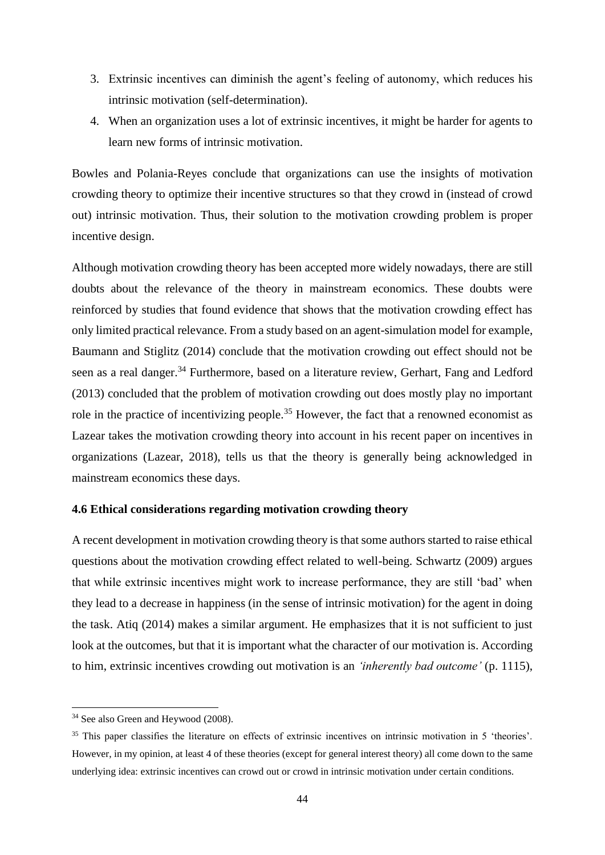- 3. Extrinsic incentives can diminish the agent's feeling of autonomy, which reduces his intrinsic motivation (self-determination).
- 4. When an organization uses a lot of extrinsic incentives, it might be harder for agents to learn new forms of intrinsic motivation.

Bowles and Polania-Reyes conclude that organizations can use the insights of motivation crowding theory to optimize their incentive structures so that they crowd in (instead of crowd out) intrinsic motivation. Thus, their solution to the motivation crowding problem is proper incentive design.

Although motivation crowding theory has been accepted more widely nowadays, there are still doubts about the relevance of the theory in mainstream economics. These doubts were reinforced by studies that found evidence that shows that the motivation crowding effect has only limited practical relevance. From a study based on an agent-simulation model for example, Baumann and Stiglitz (2014) conclude that the motivation crowding out effect should not be seen as a real danger.<sup>34</sup> Furthermore, based on a literature review, Gerhart, Fang and Ledford (2013) concluded that the problem of motivation crowding out does mostly play no important role in the practice of incentivizing people.<sup>35</sup> However, the fact that a renowned economist as Lazear takes the motivation crowding theory into account in his recent paper on incentives in organizations (Lazear, 2018), tells us that the theory is generally being acknowledged in mainstream economics these days.

#### <span id="page-44-0"></span>**4.6 Ethical considerations regarding motivation crowding theory**

A recent development in motivation crowding theory is that some authors started to raise ethical questions about the motivation crowding effect related to well-being. Schwartz (2009) argues that while extrinsic incentives might work to increase performance, they are still 'bad' when they lead to a decrease in happiness (in the sense of intrinsic motivation) for the agent in doing the task. Atiq (2014) makes a similar argument. He emphasizes that it is not sufficient to just look at the outcomes, but that it is important what the character of our motivation is. According to him, extrinsic incentives crowding out motivation is an *'inherently bad outcome'* (p. 1115),

 $\overline{a}$ 

<sup>34</sup> See also Green and Heywood (2008).

<sup>&</sup>lt;sup>35</sup> This paper classifies the literature on effects of extrinsic incentives on intrinsic motivation in 5 'theories'. However, in my opinion, at least 4 of these theories (except for general interest theory) all come down to the same underlying idea: extrinsic incentives can crowd out or crowd in intrinsic motivation under certain conditions.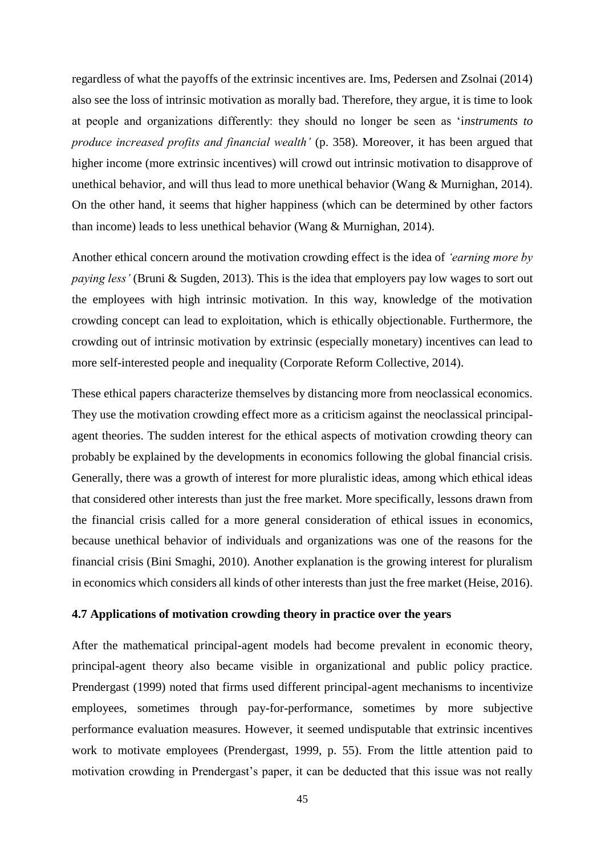regardless of what the payoffs of the extrinsic incentives are. Ims, Pedersen and Zsolnai (2014) also see the loss of intrinsic motivation as morally bad. Therefore, they argue, it is time to look at people and organizations differently: they should no longer be seen as 'i*nstruments to produce increased profits and financial wealth'* (p. 358). Moreover, it has been argued that higher income (more extrinsic incentives) will crowd out intrinsic motivation to disapprove of unethical behavior, and will thus lead to more unethical behavior (Wang & Murnighan, 2014). On the other hand, it seems that higher happiness (which can be determined by other factors than income) leads to less unethical behavior (Wang & Murnighan, 2014).

Another ethical concern around the motivation crowding effect is the idea of *'earning more by paying less'* (Bruni & Sugden, 2013). This is the idea that employers pay low wages to sort out the employees with high intrinsic motivation. In this way, knowledge of the motivation crowding concept can lead to exploitation, which is ethically objectionable. Furthermore, the crowding out of intrinsic motivation by extrinsic (especially monetary) incentives can lead to more self-interested people and inequality (Corporate Reform Collective, 2014).

These ethical papers characterize themselves by distancing more from neoclassical economics. They use the motivation crowding effect more as a criticism against the neoclassical principalagent theories. The sudden interest for the ethical aspects of motivation crowding theory can probably be explained by the developments in economics following the global financial crisis. Generally, there was a growth of interest for more pluralistic ideas, among which ethical ideas that considered other interests than just the free market. More specifically, lessons drawn from the financial crisis called for a more general consideration of ethical issues in economics, because unethical behavior of individuals and organizations was one of the reasons for the financial crisis (Bini Smaghi, 2010). Another explanation is the growing interest for pluralism in economics which considers all kinds of other interests than just the free market (Heise, 2016).

#### <span id="page-45-0"></span>**4.7 Applications of motivation crowding theory in practice over the years**

After the mathematical principal-agent models had become prevalent in economic theory, principal-agent theory also became visible in organizational and public policy practice. Prendergast (1999) noted that firms used different principal-agent mechanisms to incentivize employees, sometimes through pay-for-performance, sometimes by more subjective performance evaluation measures. However, it seemed undisputable that extrinsic incentives work to motivate employees (Prendergast, 1999, p. 55). From the little attention paid to motivation crowding in Prendergast's paper, it can be deducted that this issue was not really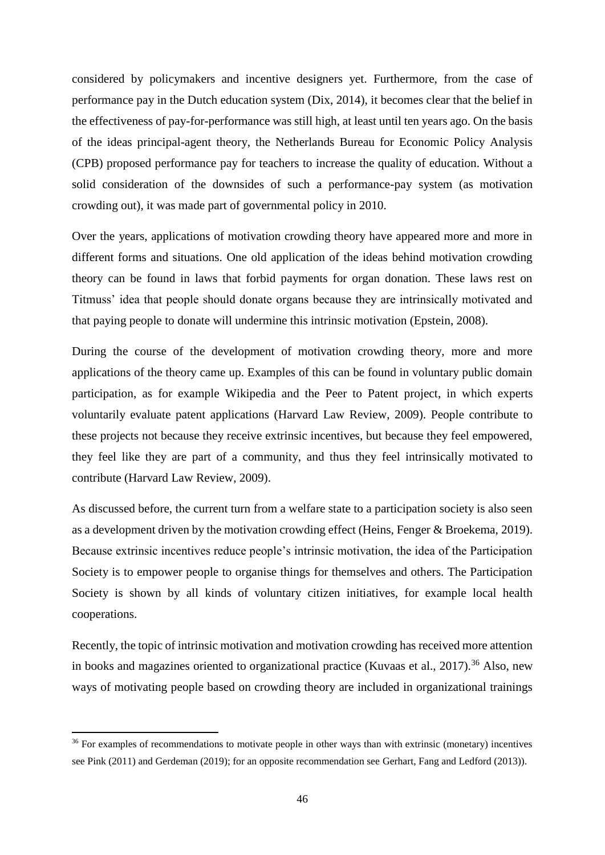considered by policymakers and incentive designers yet. Furthermore, from the case of performance pay in the Dutch education system (Dix, 2014), it becomes clear that the belief in the effectiveness of pay-for-performance was still high, at least until ten years ago. On the basis of the ideas principal-agent theory, the Netherlands Bureau for Economic Policy Analysis (CPB) proposed performance pay for teachers to increase the quality of education. Without a solid consideration of the downsides of such a performance-pay system (as motivation crowding out), it was made part of governmental policy in 2010.

Over the years, applications of motivation crowding theory have appeared more and more in different forms and situations. One old application of the ideas behind motivation crowding theory can be found in laws that forbid payments for organ donation. These laws rest on Titmuss' idea that people should donate organs because they are intrinsically motivated and that paying people to donate will undermine this intrinsic motivation (Epstein, 2008).

During the course of the development of motivation crowding theory, more and more applications of the theory came up. Examples of this can be found in voluntary public domain participation, as for example Wikipedia and the Peer to Patent project, in which experts voluntarily evaluate patent applications (Harvard Law Review, 2009). People contribute to these projects not because they receive extrinsic incentives, but because they feel empowered, they feel like they are part of a community, and thus they feel intrinsically motivated to contribute (Harvard Law Review, 2009).

As discussed before, the current turn from a welfare state to a participation society is also seen as a development driven by the motivation crowding effect (Heins, Fenger & Broekema, 2019). Because extrinsic incentives reduce people's intrinsic motivation, the idea of the Participation Society is to empower people to organise things for themselves and others. The Participation Society is shown by all kinds of voluntary citizen initiatives, for example local health cooperations.

Recently, the topic of intrinsic motivation and motivation crowding has received more attention in books and magazines oriented to organizational practice (Kuvaas et al., 2017).<sup>36</sup> Also, new ways of motivating people based on crowding theory are included in organizational trainings

1

<sup>&</sup>lt;sup>36</sup> For examples of recommendations to motivate people in other ways than with extrinsic (monetary) incentives see Pink (2011) and Gerdeman (2019); for an opposite recommendation see Gerhart, Fang and Ledford (2013)).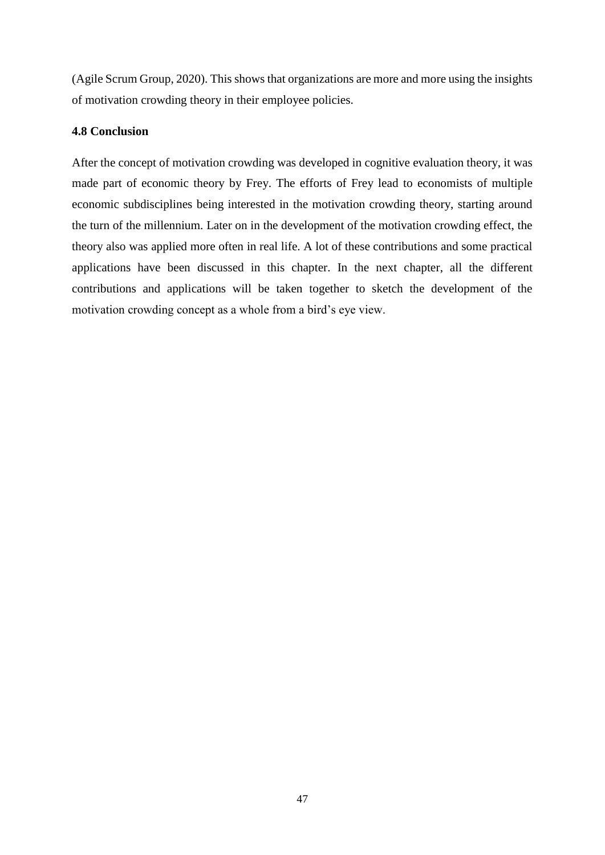(Agile Scrum Group, 2020). This shows that organizations are more and more using the insights of motivation crowding theory in their employee policies.

#### <span id="page-47-0"></span>**4.8 Conclusion**

After the concept of motivation crowding was developed in cognitive evaluation theory, it was made part of economic theory by Frey. The efforts of Frey lead to economists of multiple economic subdisciplines being interested in the motivation crowding theory, starting around the turn of the millennium. Later on in the development of the motivation crowding effect, the theory also was applied more often in real life. A lot of these contributions and some practical applications have been discussed in this chapter. In the next chapter, all the different contributions and applications will be taken together to sketch the development of the motivation crowding concept as a whole from a bird's eye view.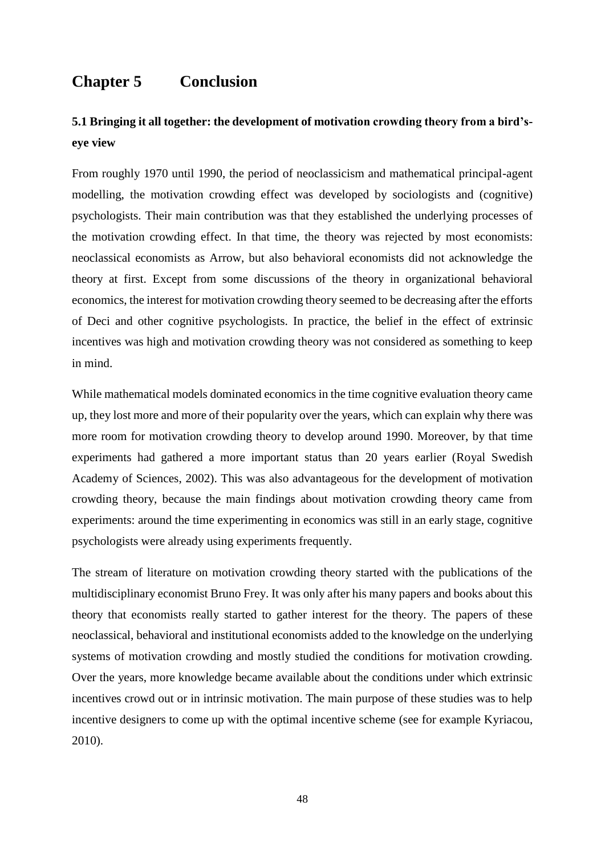# <span id="page-48-0"></span>**Chapter 5 Conclusion**

### <span id="page-48-1"></span>**5.1 Bringing it all together: the development of motivation crowding theory from a bird'seye view**

From roughly 1970 until 1990, the period of neoclassicism and mathematical principal-agent modelling, the motivation crowding effect was developed by sociologists and (cognitive) psychologists. Their main contribution was that they established the underlying processes of the motivation crowding effect. In that time, the theory was rejected by most economists: neoclassical economists as Arrow, but also behavioral economists did not acknowledge the theory at first. Except from some discussions of the theory in organizational behavioral economics, the interest for motivation crowding theory seemed to be decreasing after the efforts of Deci and other cognitive psychologists. In practice, the belief in the effect of extrinsic incentives was high and motivation crowding theory was not considered as something to keep in mind.

While mathematical models dominated economics in the time cognitive evaluation theory came up, they lost more and more of their popularity over the years, which can explain why there was more room for motivation crowding theory to develop around 1990. Moreover, by that time experiments had gathered a more important status than 20 years earlier (Royal Swedish Academy of Sciences, 2002). This was also advantageous for the development of motivation crowding theory, because the main findings about motivation crowding theory came from experiments: around the time experimenting in economics was still in an early stage, cognitive psychologists were already using experiments frequently.

The stream of literature on motivation crowding theory started with the publications of the multidisciplinary economist Bruno Frey. It was only after his many papers and books about this theory that economists really started to gather interest for the theory. The papers of these neoclassical, behavioral and institutional economists added to the knowledge on the underlying systems of motivation crowding and mostly studied the conditions for motivation crowding. Over the years, more knowledge became available about the conditions under which extrinsic incentives crowd out or in intrinsic motivation. The main purpose of these studies was to help incentive designers to come up with the optimal incentive scheme (see for example Kyriacou, 2010).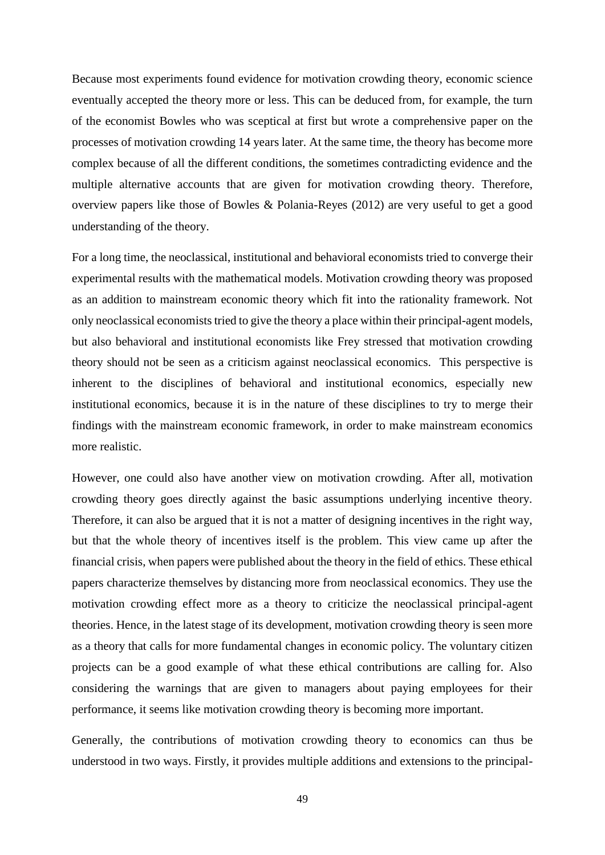Because most experiments found evidence for motivation crowding theory, economic science eventually accepted the theory more or less. This can be deduced from, for example, the turn of the economist Bowles who was sceptical at first but wrote a comprehensive paper on the processes of motivation crowding 14 years later. At the same time, the theory has become more complex because of all the different conditions, the sometimes contradicting evidence and the multiple alternative accounts that are given for motivation crowding theory. Therefore, overview papers like those of Bowles & Polania-Reyes (2012) are very useful to get a good understanding of the theory.

For a long time, the neoclassical, institutional and behavioral economists tried to converge their experimental results with the mathematical models. Motivation crowding theory was proposed as an addition to mainstream economic theory which fit into the rationality framework. Not only neoclassical economists tried to give the theory a place within their principal-agent models, but also behavioral and institutional economists like Frey stressed that motivation crowding theory should not be seen as a criticism against neoclassical economics. This perspective is inherent to the disciplines of behavioral and institutional economics, especially new institutional economics, because it is in the nature of these disciplines to try to merge their findings with the mainstream economic framework, in order to make mainstream economics more realistic.

However, one could also have another view on motivation crowding. After all, motivation crowding theory goes directly against the basic assumptions underlying incentive theory. Therefore, it can also be argued that it is not a matter of designing incentives in the right way, but that the whole theory of incentives itself is the problem. This view came up after the financial crisis, when papers were published about the theory in the field of ethics. These ethical papers characterize themselves by distancing more from neoclassical economics. They use the motivation crowding effect more as a theory to criticize the neoclassical principal-agent theories. Hence, in the latest stage of its development, motivation crowding theory is seen more as a theory that calls for more fundamental changes in economic policy. The voluntary citizen projects can be a good example of what these ethical contributions are calling for. Also considering the warnings that are given to managers about paying employees for their performance, it seems like motivation crowding theory is becoming more important.

Generally, the contributions of motivation crowding theory to economics can thus be understood in two ways. Firstly, it provides multiple additions and extensions to the principal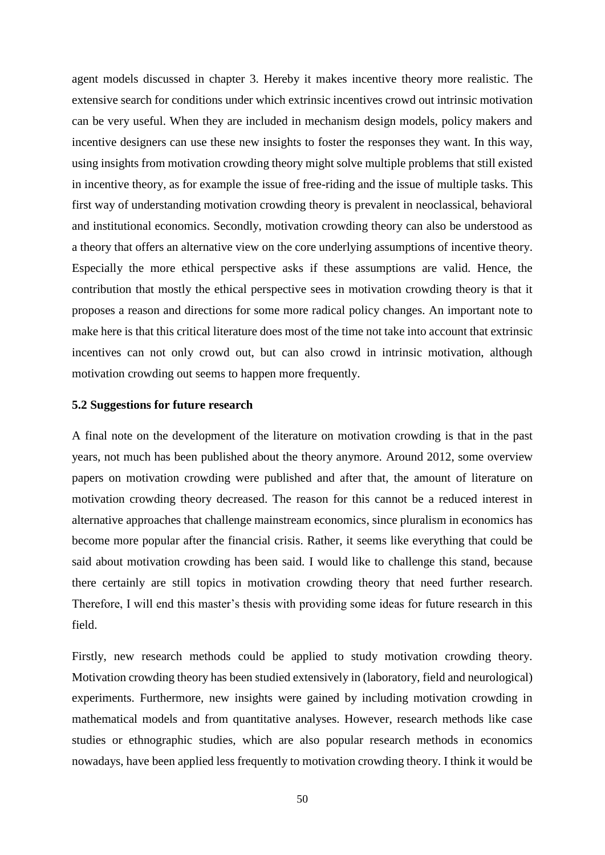agent models discussed in chapter 3. Hereby it makes incentive theory more realistic. The extensive search for conditions under which extrinsic incentives crowd out intrinsic motivation can be very useful. When they are included in mechanism design models, policy makers and incentive designers can use these new insights to foster the responses they want. In this way, using insights from motivation crowding theory might solve multiple problems that still existed in incentive theory, as for example the issue of free-riding and the issue of multiple tasks. This first way of understanding motivation crowding theory is prevalent in neoclassical, behavioral and institutional economics. Secondly, motivation crowding theory can also be understood as a theory that offers an alternative view on the core underlying assumptions of incentive theory. Especially the more ethical perspective asks if these assumptions are valid. Hence, the contribution that mostly the ethical perspective sees in motivation crowding theory is that it proposes a reason and directions for some more radical policy changes. An important note to make here is that this critical literature does most of the time not take into account that extrinsic incentives can not only crowd out, but can also crowd in intrinsic motivation, although motivation crowding out seems to happen more frequently.

#### <span id="page-50-0"></span>**5.2 Suggestions for future research**

A final note on the development of the literature on motivation crowding is that in the past years, not much has been published about the theory anymore. Around 2012, some overview papers on motivation crowding were published and after that, the amount of literature on motivation crowding theory decreased. The reason for this cannot be a reduced interest in alternative approaches that challenge mainstream economics, since pluralism in economics has become more popular after the financial crisis. Rather, it seems like everything that could be said about motivation crowding has been said. I would like to challenge this stand, because there certainly are still topics in motivation crowding theory that need further research. Therefore, I will end this master's thesis with providing some ideas for future research in this field.

Firstly, new research methods could be applied to study motivation crowding theory. Motivation crowding theory has been studied extensively in (laboratory, field and neurological) experiments. Furthermore, new insights were gained by including motivation crowding in mathematical models and from quantitative analyses. However, research methods like case studies or ethnographic studies, which are also popular research methods in economics nowadays, have been applied less frequently to motivation crowding theory. I think it would be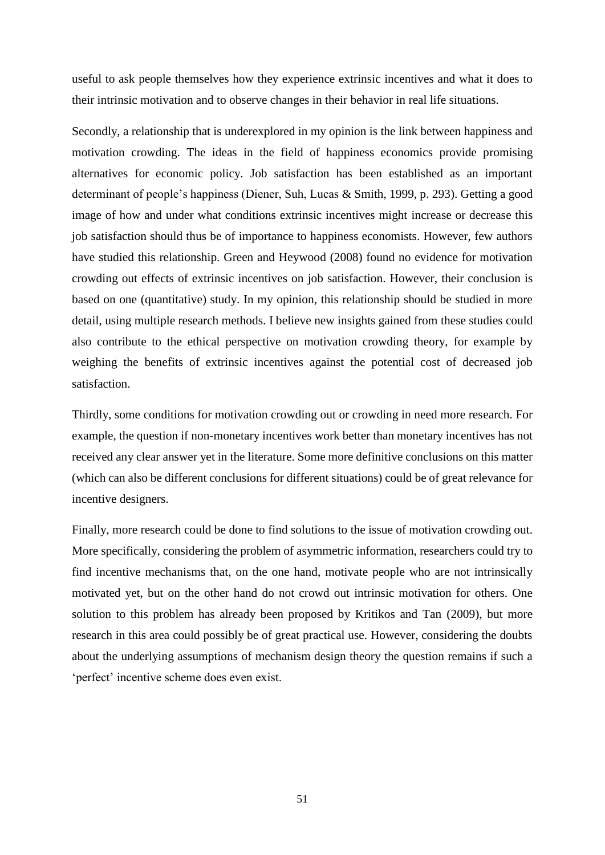useful to ask people themselves how they experience extrinsic incentives and what it does to their intrinsic motivation and to observe changes in their behavior in real life situations.

Secondly, a relationship that is underexplored in my opinion is the link between happiness and motivation crowding. The ideas in the field of happiness economics provide promising alternatives for economic policy. Job satisfaction has been established as an important determinant of people's happiness (Diener, Suh, Lucas & Smith, 1999, p. 293). Getting a good image of how and under what conditions extrinsic incentives might increase or decrease this job satisfaction should thus be of importance to happiness economists. However, few authors have studied this relationship. Green and Heywood (2008) found no evidence for motivation crowding out effects of extrinsic incentives on job satisfaction. However, their conclusion is based on one (quantitative) study. In my opinion, this relationship should be studied in more detail, using multiple research methods. I believe new insights gained from these studies could also contribute to the ethical perspective on motivation crowding theory, for example by weighing the benefits of extrinsic incentives against the potential cost of decreased job satisfaction.

Thirdly, some conditions for motivation crowding out or crowding in need more research. For example, the question if non-monetary incentives work better than monetary incentives has not received any clear answer yet in the literature. Some more definitive conclusions on this matter (which can also be different conclusions for different situations) could be of great relevance for incentive designers.

Finally, more research could be done to find solutions to the issue of motivation crowding out. More specifically, considering the problem of asymmetric information, researchers could try to find incentive mechanisms that, on the one hand, motivate people who are not intrinsically motivated yet, but on the other hand do not crowd out intrinsic motivation for others. One solution to this problem has already been proposed by Kritikos and Tan (2009), but more research in this area could possibly be of great practical use. However, considering the doubts about the underlying assumptions of mechanism design theory the question remains if such a 'perfect' incentive scheme does even exist.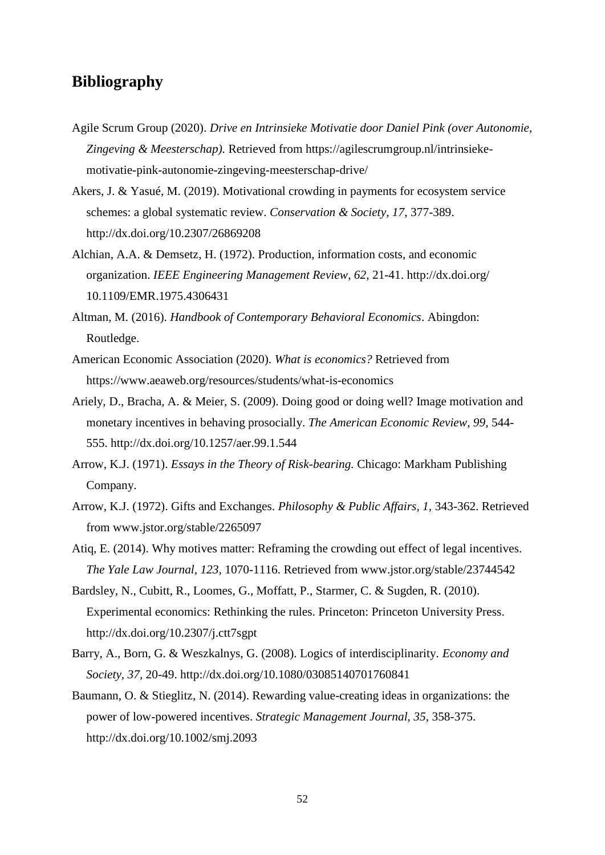### <span id="page-52-0"></span>**Bibliography**

- Agile Scrum Group (2020). *Drive en Intrinsieke Motivatie door Daniel Pink (over Autonomie, Zingeving & Meesterschap).* Retrieved from https://agilescrumgroup.nl/intrinsiekemotivatie-pink-autonomie-zingeving-meesterschap-drive/
- Akers, J. & Yasué, M. (2019). Motivational crowding in payments for ecosystem service schemes: a global systematic review. *Conservation & Society, 17,* 377-389. http://dx.doi.org/10.2307/26869208
- Alchian, A.A. & Demsetz, H. (1972). Production, information costs, and economic organization. *IEEE Engineering Management Review, 62*, 21-41. http://dx.doi.org/ 10.1109/EMR.1975.4306431
- Altman, M. (2016). *Handbook of Contemporary Behavioral Economics*. Abingdon: Routledge.
- American Economic Association (2020). *What is economics?* Retrieved from https://www.aeaweb.org/resources/students/what-is-economics
- Ariely, D., Bracha, A. & Meier, S. (2009). Doing good or doing well? Image motivation and monetary incentives in behaving prosocially. *The American Economic Review, 99,* 544- 555. http://dx.doi.org/10.1257/aer.99.1.544
- Arrow, K.J. (1971). *Essays in the Theory of Risk-bearing.* Chicago: Markham Publishing Company.
- Arrow, K.J. (1972). Gifts and Exchanges. *Philosophy & Public Affairs, 1,* 343-362. Retrieved from www.jstor.org/stable/2265097
- Atiq, E. (2014). Why motives matter: Reframing the crowding out effect of legal incentives. *The Yale Law Journal, 123,* 1070-1116. Retrieved from www.jstor.org/stable/23744542
- Bardsley, N., Cubitt, R., Loomes, G., Moffatt, P., Starmer, C. & Sugden, R. (2010). Experimental economics: Rethinking the rules. Princeton: Princeton University Press. http://dx.doi.org/10.2307/j.ctt7sgpt
- Barry, A., Born, G. & Weszkalnys, G. (2008). Logics of interdisciplinarity. *Economy and Society, 37,* 20-49. http://dx.doi.org/10.1080/03085140701760841
- Baumann, O. & Stieglitz, N. (2014). Rewarding value-creating ideas in organizations: the power of low-powered incentives. *Strategic Management Journal, 35,* 358-375. http://dx.doi.org/10.1002/smj.2093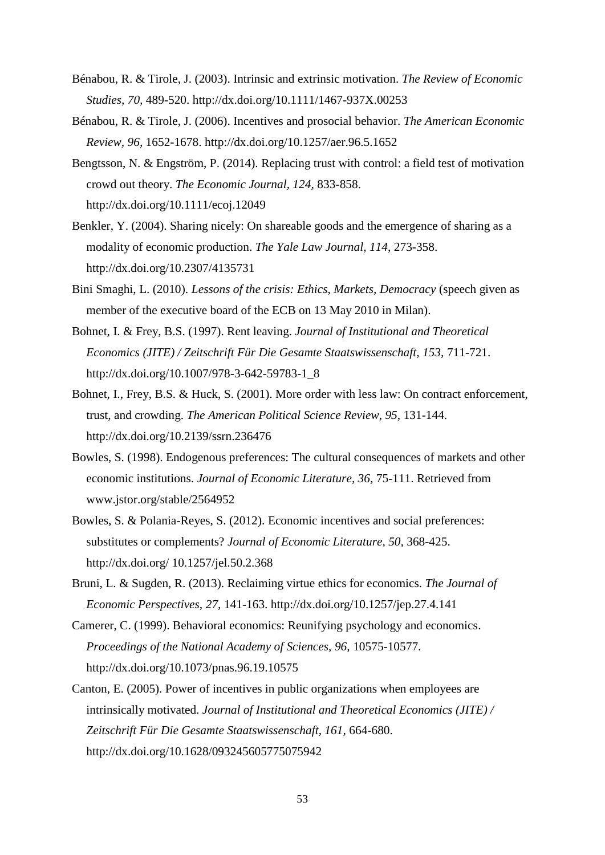- Bénabou, R. & Tirole, J. (2003). Intrinsic and extrinsic motivation. *The Review of Economic Studies, 70,* 489-520. http://dx.doi.org/10.1111/1467-937X.00253
- Bénabou, R. & Tirole, J. (2006). Incentives and prosocial behavior. *The American Economic Review, 96,* 1652-1678. http://dx.doi.org/10.1257/aer.96.5.1652
- Bengtsson, N. & Engström, P. (2014). Replacing trust with control: a field test of motivation crowd out theory. *The Economic Journal, 124,* 833-858. http://dx.doi.org/10.1111/ecoj.12049
- Benkler, Y. (2004). Sharing nicely: On shareable goods and the emergence of sharing as a modality of economic production. *The Yale Law Journal, 114,* 273-358. http://dx.doi.org/10.2307/4135731
- Bini Smaghi, L. (2010). *Lessons of the crisis: Ethics, Markets, Democracy* (speech given as member of the executive board of the ECB on 13 May 2010 in Milan).
- Bohnet, I. & Frey, B.S. (1997). Rent leaving. *Journal of Institutional and Theoretical Economics (JITE) / Zeitschrift Für Die Gesamte Staatswissenschaft, 153,* 711-721. http://dx.doi.org/10.1007/978-3-642-59783-1\_8
- Bohnet, I., Frey, B.S. & Huck, S. (2001). More order with less law: On contract enforcement, trust, and crowding. *The American Political Science Review, 95,* 131-144. http://dx.doi.org/10.2139/ssrn.236476
- Bowles, S. (1998). Endogenous preferences: The cultural consequences of markets and other economic institutions. *Journal of Economic Literature, 36,* 75-111. Retrieved from www.jstor.org/stable/2564952
- Bowles, S. & Polania-Reyes, S. (2012). Economic incentives and social preferences: substitutes or complements? *Journal of Economic Literature, 50,* 368-425. http://dx.doi.org/ 10.1257/jel.50.2.368
- Bruni, L. & Sugden, R. (2013). Reclaiming virtue ethics for economics. *The Journal of Economic Perspectives, 27,* 141-163. http://dx.doi.org/10.1257/jep.27.4.141
- Camerer, C. (1999). Behavioral economics: Reunifying psychology and economics. *Proceedings of the National Academy of Sciences, 96,* 10575-10577. http://dx.doi.org/10.1073/pnas.96.19.10575
- Canton, E. (2005). Power of incentives in public organizations when employees are intrinsically motivated. *Journal of Institutional and Theoretical Economics (JITE) / Zeitschrift Für Die Gesamte Staatswissenschaft, 161,* 664-680. http://dx.doi.org/10.1628/093245605775075942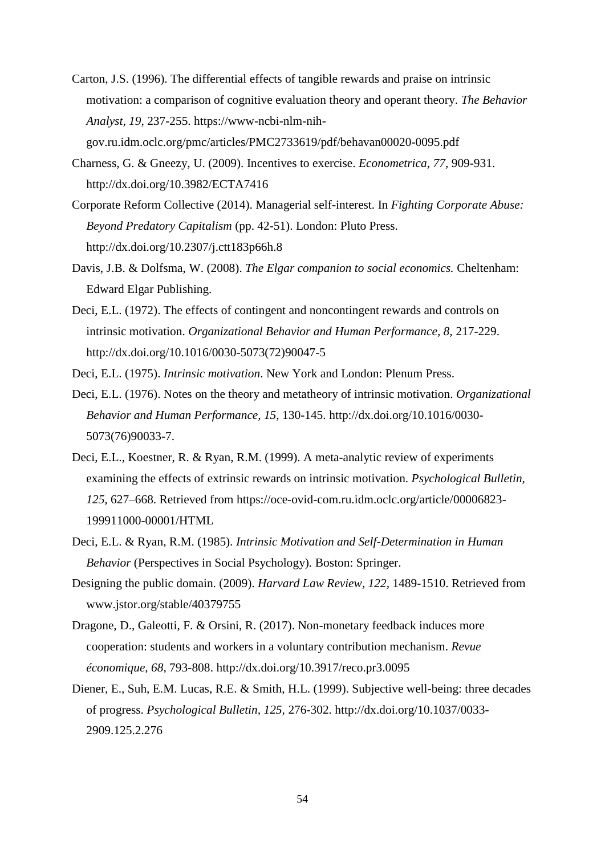Carton, J.S. (1996). The differential effects of tangible rewards and praise on intrinsic motivation: a comparison of cognitive evaluation theory and operant theory. *The Behavior Analyst, 19,* 237-255. https://www-ncbi-nlm-nih-

gov.ru.idm.oclc.org/pmc/articles/PMC2733619/pdf/behavan00020-0095.pdf

- Charness, G. & Gneezy, U. (2009). Incentives to exercise. *Econometrica, 77,* 909-931. http://dx.doi.org/10.3982/ECTA7416
- Corporate Reform Collective (2014). Managerial self-interest. In *Fighting Corporate Abuse: Beyond Predatory Capitalism* (pp. 42-51). London: Pluto Press. http://dx.doi.org/10.2307/j.ctt183p66h.8
- Davis, J.B. & Dolfsma, W. (2008). *The Elgar companion to social economics.* Cheltenham: Edward Elgar Publishing.
- Deci, E.L. (1972). The effects of contingent and noncontingent rewards and controls on intrinsic motivation. *Organizational Behavior and Human Performance, 8,* 217-229. http://dx.doi.org/10.1016/0030-5073(72)90047-5
- Deci, E.L. (1975). *Intrinsic motivation*. New York and London: Plenum Press.
- Deci, E.L. (1976). Notes on the theory and metatheory of intrinsic motivation. *Organizational Behavior and Human Performance, 15,* 130-145. http://dx.doi.org/10.1016/0030- 5073(76)90033-7.
- Deci, E.L., Koestner, R. & Ryan, R.M. (1999). A meta-analytic review of experiments examining the effects of extrinsic rewards on intrinsic motivation. *Psychological Bulletin, 125,* 627–668. Retrieved from https://oce-ovid-com.ru.idm.oclc.org/article/00006823- 199911000-00001/HTML
- Deci, E.L. & Ryan, R.M. (1985). *Intrinsic Motivation and Self-Determination in Human Behavior* (Perspectives in Social Psychology)*.* Boston: Springer.
- Designing the public domain. (2009). *Harvard Law Review, 122,* 1489-1510. Retrieved from www.jstor.org/stable/40379755
- Dragone, D., Galeotti, F. & Orsini, R. (2017). Non-monetary feedback induces more cooperation: students and workers in a voluntary contribution mechanism. *Revue économique, 68,* 793-808. http://dx.doi.org/10.3917/reco.pr3.0095
- Diener, E., Suh, E.M. Lucas, R.E. & Smith, H.L. (1999). Subjective well-being: three decades of progress. *Psychological Bulletin, 125,* 276-302. http://dx.doi.org/10.1037/0033- 2909.125.2.276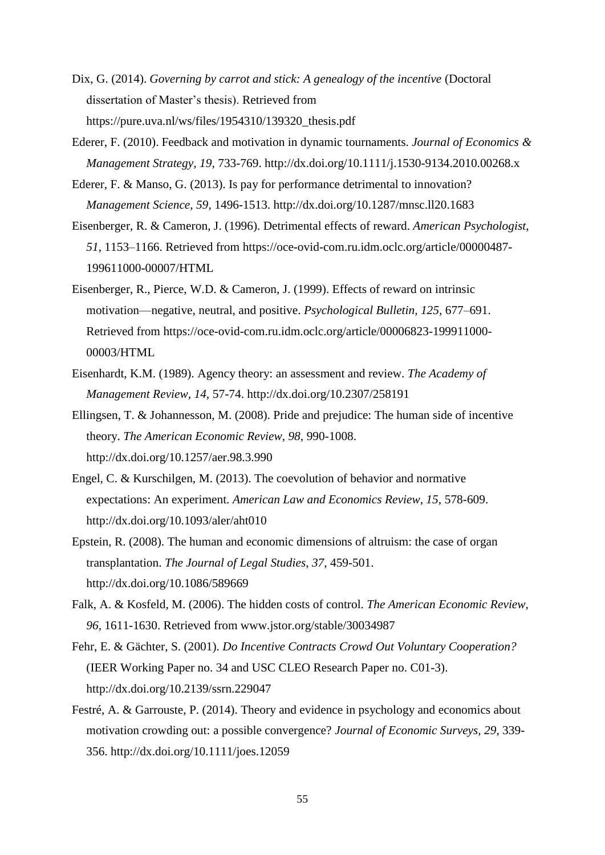- Dix, G. (2014). *Governing by carrot and stick: A genealogy of the incentive* (Doctoral dissertation of Master's thesis). Retrieved from https://pure.uva.nl/ws/files/1954310/139320\_thesis.pdf
- Ederer, F. (2010). Feedback and motivation in dynamic tournaments. *Journal of Economics & Management Strategy, 19,* 733-769. http://dx.doi.org[/10.1111/j.1530-9134.2010.00268.x](https://doi.org/10.1111/j.1530-9134.2010.00268.x)
- Ederer, F. & Manso, G. (2013). Is pay for performance detrimental to innovation? *Management Science, 59,* 1496-1513. http://dx.doi.org/10.1287/mnsc.ll20.1683
- Eisenberger, R. & Cameron, J. (1996). Detrimental effects of reward. *American Psychologist, 51*, 1153–1166. Retrieved from https://oce-ovid-com.ru.idm.oclc.org/article/00000487- 199611000-00007/HTML
- Eisenberger, R., Pierce, W.D. & Cameron, J. (1999). Effects of reward on intrinsic motivation—negative, neutral, and positive. *Psychological Bulletin, 125,* 677–691. Retrieved from https://oce-ovid-com.ru.idm.oclc.org/article/00006823-199911000- 00003/HTML
- Eisenhardt, K.M. (1989). Agency theory: an assessment and review. *The Academy of Management Review, 14,* 57-74. http://dx.doi.org/10.2307/258191
- Ellingsen, T. & Johannesson, M. (2008). Pride and prejudice: The human side of incentive theory. *The American Economic Review, 98,* 990-1008. http://dx.doi.org/10.1257/aer.98.3.990
- Engel, C. & Kurschilgen, M. (2013). The coevolution of behavior and normative expectations: An experiment. *American Law and Economics Review, 15,* 578-609. http://dx.doi.org/10.1093/aler/aht010
- Epstein, R. (2008). The human and economic dimensions of altruism: the case of organ transplantation. *The Journal of Legal Studies, 37,* 459-501. http://dx.doi.org/10.1086/589669
- Falk, A. & Kosfeld, M. (2006). The hidden costs of control. *The American Economic Review, 96,* 1611-1630. Retrieved from www.jstor.org/stable/30034987
- Fehr, E. & Gächter, S. (2001). *Do Incentive Contracts Crowd Out Voluntary Cooperation?* (IEER Working Paper no. 34 and USC CLEO Research Paper no. C01-3). http://dx.doi.org/10.2139/ssrn.229047
- Festré, A. & Garrouste, P. (2014). Theory and evidence in psychology and economics about motivation crowding out: a possible convergence? *Journal of Economic Surveys, 29,* 339- 356. http://dx.doi.org/10.1111/joes.12059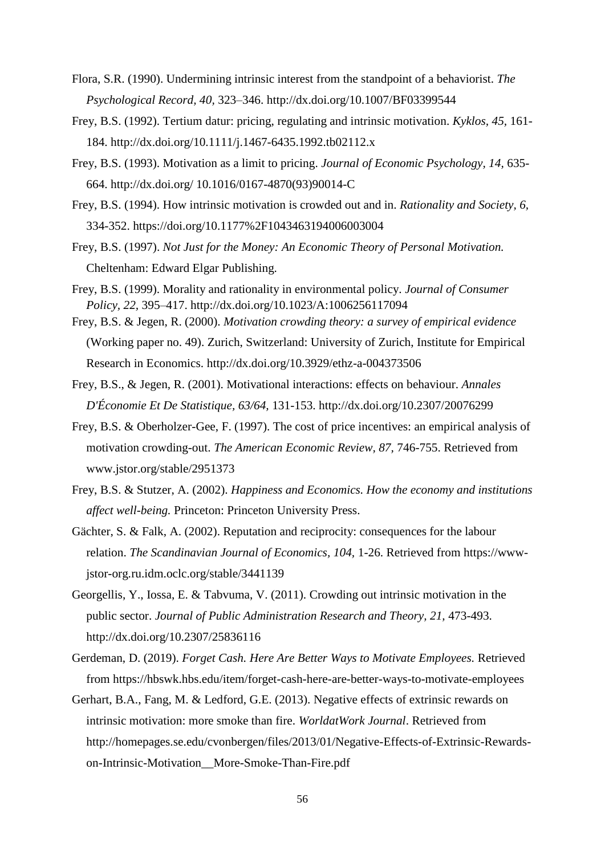- Flora, S.R. (1990). Undermining intrinsic interest from the standpoint of a behaviorist. *The Psychological Record, 40,* 323–346. http://dx.doi.org/10.1007/BF03399544
- Frey, B.S. (1992). Tertium datur: pricing, regulating and intrinsic motivation. *Kyklos, 45,* 161- 184. http://dx.doi.org/10.1111/j.1467-6435.1992.tb02112.x
- Frey, B.S. (1993). Motivation as a limit to pricing. *Journal of Economic Psychology, 14,* 635- 664. http://dx.doi.org/ 10.1016/0167-4870(93)90014-C
- Frey, B.S. (1994). How intrinsic motivation is crowded out and in. *Rationality and Society, 6,*  334-352. https://doi.org/10.1177%2F1043463194006003004
- Frey, B.S. (1997). *Not Just for the Money: An Economic Theory of Personal Motivation.*  Cheltenham: Edward Elgar Publishing.
- Frey, B.S. (1999). Morality and rationality in environmental policy. *Journal of Consumer Policy, 22,* 395–417. http://dx.doi.org/10.1023/A:1006256117094
- Frey, B.S. & Jegen, R. (2000). *Motivation crowding theory: a survey of empirical evidence* (Working paper no. 49). Zurich, Switzerland: University of Zurich, Institute for Empirical Research in Economics. http://dx.doi.org/10.3929/ethz-a-004373506
- Frey, B.S., & Jegen, R. (2001). Motivational interactions: effects on behaviour. *Annales D'Économie Et De Statistique, 63/64,* 131-153. http://dx.doi.org/10.2307/20076299
- Frey, B.S. & Oberholzer-Gee, F. (1997). The cost of price incentives: an empirical analysis of motivation crowding-out. *The American Economic Review, 87,* 746-755. Retrieved from www.jstor.org/stable/2951373
- Frey, B.S. & Stutzer, A. (2002). *Happiness and Economics. How the economy and institutions affect well-being.* Princeton: Princeton University Press.
- Gächter, S. & Falk, A. (2002). Reputation and reciprocity: consequences for the labour relation. *The Scandinavian Journal of Economics, 104,* 1-26. Retrieved from https://wwwjstor-org.ru.idm.oclc.org/stable/3441139
- Georgellis, Y., Iossa, E. & Tabvuma, V. (2011). Crowding out intrinsic motivation in the public sector. *Journal of Public Administration Research and Theory, 21, 473-493.* http://dx.doi.org/10.2307/25836116
- Gerdeman, D. (2019). *Forget Cash. Here Are Better Ways to Motivate Employees.* Retrieved from https://hbswk.hbs.edu/item/forget-cash-here-are-better-ways-to-motivate-employees
- Gerhart, B.A., Fang, M. & Ledford, G.E. (2013). Negative effects of extrinsic rewards on intrinsic motivation: more smoke than fire. *WorldatWork Journal*. Retrieved from http://homepages.se.edu/cvonbergen/files/2013/01/Negative-Effects-of-Extrinsic-Rewardson-Intrinsic-Motivation\_\_More-Smoke-Than-Fire.pdf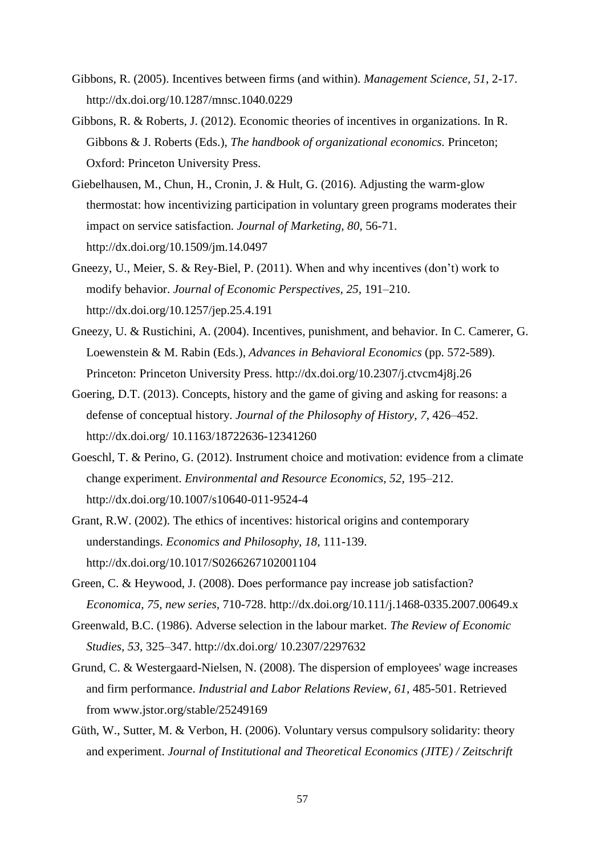- Gibbons, R. (2005). Incentives between firms (and within). *Management Science, 51*, 2-17. http://dx.doi.org/10.1287/mnsc.1040.0229
- Gibbons, R. & Roberts, J. (2012). Economic theories of incentives in organizations. In R. Gibbons & J. Roberts (Eds.), *The handbook of organizational economics.* Princeton; Oxford: Princeton University Press.
- Giebelhausen, M., Chun, H., Cronin, J. & Hult, G. (2016). Adjusting the warm-glow thermostat: how incentivizing participation in voluntary green programs moderates their impact on service satisfaction. *Journal of Marketing, 80,* 56-71. http://dx.doi.org/10.1509/jm.14.0497
- Gneezy, U., Meier, S. & Rey-Biel, P. (2011). When and why incentives (don't) work to modify behavior. *Journal of Economic Perspectives, 25,* 191–210. http://dx.doi.org/10.1257/jep.25.4.191
- Gneezy, U. & Rustichini, A. (2004). Incentives, punishment, and behavior. In C. Camerer, G. Loewenstein & M. Rabin (Eds.), *Advances in Behavioral Economics* (pp. 572-589). Princeton: Princeton University Press. http://dx.doi.org/10.2307/j.ctvcm4j8j.26
- Goering, D.T. (2013). Concepts, history and the game of giving and asking for reasons: a defense of conceptual history. *Journal of the Philosophy of History, 7*, 426–452. http://dx.doi.org/ 10.1163/18722636-12341260
- Goeschl, T. & Perino, G. (2012). Instrument choice and motivation: evidence from a climate change experiment. *Environmental and Resource Economics, 52,* 195–212. http://dx.doi.org/10.1007/s10640-011-9524-4
- Grant, R.W. (2002). The ethics of incentives: historical origins and contemporary understandings. *Economics and Philosophy, 18,* 111-139. http://dx.doi.org/10.1017/S0266267102001104
- Green, C. & Heywood, J. (2008). Does performance pay increase job satisfaction? *Economica, 75, new series,* 710-728. http://dx.doi.org/10.111/j.1468-0335.2007.00649.x
- Greenwald, B.C. (1986). Adverse selection in the labour market. *The Review of Economic Studies, 53,* 325–347. http://dx.doi.org/ 10.2307/2297632
- Grund, C. & Westergaard-Nielsen, N. (2008). The dispersion of employees' wage increases and firm performance. *Industrial and Labor Relations Review, 61,* 485-501. Retrieved from www.jstor.org/stable/25249169
- Güth, W., Sutter, M. & Verbon, H. (2006). Voluntary versus compulsory solidarity: theory and experiment. *Journal of Institutional and Theoretical Economics (JITE) / Zeitschrift*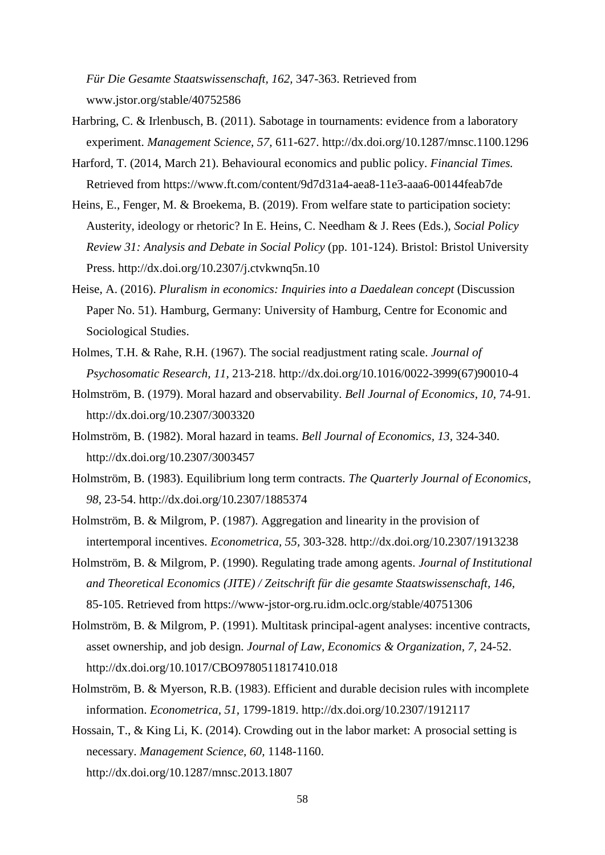*Für Die Gesamte Staatswissenschaft, 162,* 347-363. Retrieved from www.jstor.org/stable/40752586

- Harbring, C. & Irlenbusch, B. (2011). Sabotage in tournaments: evidence from a laboratory experiment. *Management Science, 57,* 611-627. http://dx.doi.org/10.1287/mnsc.1100.1296
- Harford, T. (2014, March 21). Behavioural economics and public policy. *Financial Times.* Retrieved from https://www.ft.com/content/9d7d31a4-aea8-11e3-aaa6-00144feab7de
- Heins, E., Fenger, M. & Broekema, B. (2019). From welfare state to participation society: Austerity, ideology or rhetoric? In E. Heins, C. Needham & J. Rees (Eds.), *Social Policy Review 31: Analysis and Debate in Social Policy* (pp. 101-124). Bristol: Bristol University Press. http://dx.doi.org/10.2307/j.ctvkwnq5n.10
- Heise, A. (2016). *Pluralism in economics: Inquiries into a Daedalean concept* (Discussion Paper No. 51). Hamburg, Germany: University of Hamburg, Centre for Economic and Sociological Studies.
- Holmes, T.H. & Rahe, R.H. (1967). The social readjustment rating scale. *Journal of Psychosomatic Research, 11,* 213-218. http://dx.doi.org/10.1016/0022-3999(67)90010-4
- Holmström, B. (1979). Moral hazard and observability. *Bell Journal of Economics, 10,* 74-91. http://dx.doi.org/10.2307/3003320
- Holmström, B. (1982). Moral hazard in teams. *Bell Journal of Economics, 13,* 324-340. http://dx.doi.org/10.2307/3003457
- Holmström, B. (1983). Equilibrium long term contracts. *The Quarterly Journal of Economics, 98,* 23-54. http://dx.doi.org/10.2307/1885374
- Holmström, B. & Milgrom, P. (1987). Aggregation and linearity in the provision of intertemporal incentives. *Econometrica, 55,* 303-328. http://dx.doi.org/10.2307/1913238
- Holmström, B. & Milgrom, P. (1990). Regulating trade among agents. *Journal of Institutional and Theoretical Economics (JITE) / Zeitschrift für die gesamte Staatswissenschaft, 146,* 85-105. Retrieved from https://www-jstor-org.ru.idm.oclc.org/stable/40751306
- Holmström, B. & Milgrom, P. (1991). Multitask principal-agent analyses: incentive contracts, asset ownership, and job design. *Journal of Law, Economics & Organization, 7,* 24-52. http://dx.doi.org/10.1017/CBO9780511817410.018
- Holmström, B. & Myerson, R.B. (1983). Efficient and durable decision rules with incomplete information. *Econometrica, 51,* 1799-1819. http://dx.doi.org/10.2307/1912117
- Hossain, T., & King Li, K. (2014). Crowding out in the labor market: A prosocial setting is necessary. *Management Science, 60,* 1148-1160. http://dx.doi.org/10.1287/mnsc.2013.1807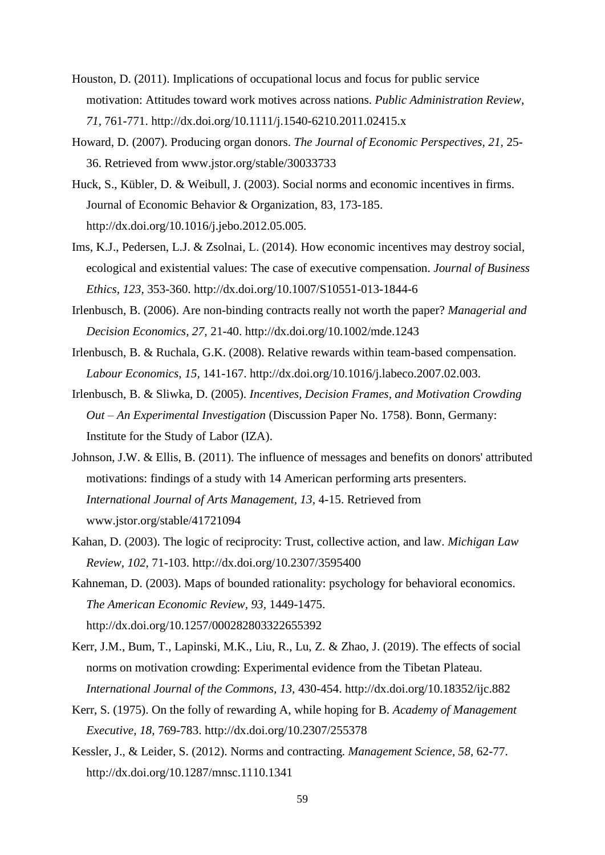- Houston, D. (2011). Implications of occupational locus and focus for public service motivation: Attitudes toward work motives across nations. *Public Administration Review, 71,* 761-771. http://dx.doi.org/10.1111/j.1540-6210.2011.02415.x
- Howard, D. (2007). Producing organ donors. *The Journal of Economic Perspectives, 21,* 25- 36. Retrieved from www.jstor.org/stable/30033733
- Huck, S., Kübler, D. & Weibull, J. (2003). Social norms and economic incentives in firms. Journal of Economic Behavior & Organization, 83, 173-185. http://dx.doi.org/10.1016/j.jebo.2012.05.005.
- Ims, K.J., Pedersen, L.J. & Zsolnai, L. (2014). How economic incentives may destroy social, ecological and existential values: The case of executive compensation. *Journal of Business Ethics, 123,* 353-360. http://dx.doi.org/10.1007/S10551-013-1844-6
- Irlenbusch, B. (2006). Are non-binding contracts really not worth the paper? *Managerial and Decision Economics, 27,* 21-40. http://dx.doi.org/10.1002/mde.1243
- Irlenbusch, B. & Ruchala, G.K. (2008). Relative rewards within team-based compensation. *Labour Economics, 15,* 141-167. http://dx.doi.org/10.1016/j.labeco.2007.02.003.
- Irlenbusch, B. & Sliwka, D. (2005). *Incentives, Decision Frames, and Motivation Crowding Out – An Experimental Investigation* (Discussion Paper No. 1758). Bonn, Germany: Institute for the Study of Labor (IZA).
- Johnson, J.W. & Ellis, B. (2011). The influence of messages and benefits on donors' attributed motivations: findings of a study with 14 American performing arts presenters. *International Journal of Arts Management, 13,* 4-15. Retrieved from www.jstor.org/stable/41721094
- Kahan, D. (2003). The logic of reciprocity: Trust, collective action, and law. *Michigan Law Review, 102,* 71-103. http://dx.doi.org/10.2307/3595400
- Kahneman, D. (2003). Maps of bounded rationality: psychology for behavioral economics. *The American Economic Review, 93,* 1449-1475. http://dx.doi.org/10.1257/000282803322655392
- Kerr, J.M., Bum, T., Lapinski, M.K., Liu, R., Lu, Z. & Zhao, J. (2019). The effects of social norms on motivation crowding: Experimental evidence from the Tibetan Plateau. *International Journal of the Commons, 13,* 430-454. http://dx.doi.org/10.18352/ijc.882
- Kerr, S. (1975). On the folly of rewarding A, while hoping for B. *Academy of Management Executive, 18,* 769-783. http://dx.doi.org/10.2307/255378
- Kessler, J., & Leider, S. (2012). Norms and contracting. *Management Science, 58,* 62-77. http://dx.doi.org/10.1287/mnsc.1110.1341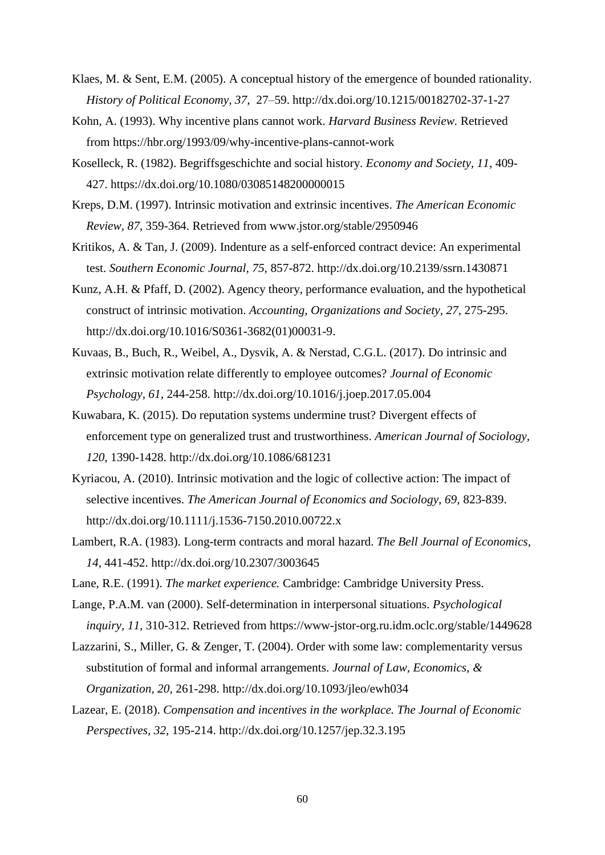- Klaes, M. & Sent, E.M. (2005). A conceptual history of the emergence of bounded rationality. *History of Political Economy, 37,* 27–59. http://dx.doi.org/10.1215/00182702-37-1-27
- Kohn, A. (1993). Why incentive plans cannot work. *Harvard Business Review.* Retrieved from<https://hbr.org/1993/09/why-incentive-plans-cannot-work>
- Koselleck, R. (1982). Begriffsgeschichte and social history. *Economy and Society, 11*, 409- 427. https://dx.doi.org/10.1080/03085148200000015
- Kreps, D.M. (1997). Intrinsic motivation and extrinsic incentives. *The American Economic Review, 87,* 359-364. Retrieved from www.jstor.org/stable/2950946
- Kritikos, A. & Tan, J. (2009). Indenture as a self-enforced contract device: An experimental test. *Southern Economic Journal, 75,* 857-872. http://dx.doi.org/10.2139/ssrn.1430871
- Kunz, A.H. & Pfaff, D. (2002). Agency theory, performance evaluation, and the hypothetical construct of intrinsic motivation. *Accounting, Organizations and Society, 27,* 275-295. http://dx.doi.org/10.1016/S0361-3682(01)00031-9.
- Kuvaas, B., Buch, R., Weibel, A., Dysvik, A. & Nerstad, C.G.L. (2017). Do intrinsic and extrinsic motivation relate differently to employee outcomes? *Journal of Economic Psychology, 61,* 244-258. http://dx.doi.org[/10.1016/j.joep.2017.05.004](https://doi.org/10.1016/j.joep.2017.05.004)
- Kuwabara, K. (2015). Do reputation systems undermine trust? Divergent effects of enforcement type on generalized trust and trustworthiness. *American Journal of Sociology, 120,* 1390-1428. http://dx.doi.org/10.1086/681231
- Kyriacou, A. (2010). Intrinsic motivation and the logic of collective action: The impact of selective incentives. *The American Journal of Economics and Sociology, 69,* 823-839. http://dx.doi.org/10.1111/j.1536-7150.2010.00722.x
- Lambert, R.A. (1983). Long-term contracts and moral hazard. *The Bell Journal of Economics, 14,* 441-452. http://dx.doi.org/10.2307/3003645
- Lane, R.E. (1991). *The market experience.* Cambridge: Cambridge University Press.
- Lange, P.A.M. van (2000). Self-determination in interpersonal situations. *Psychological inquiry, 11,* 310-312. Retrieved from https://www-jstor-org.ru.idm.oclc.org/stable/1449628
- Lazzarini, S., Miller, G. & Zenger, T. (2004). Order with some law: complementarity versus substitution of formal and informal arrangements. *Journal of Law, Economics, & Organization, 20,* 261-298. http://dx.doi.org/10.1093/jleo/ewh034
- Lazear, E. (2018). *Compensation and incentives in the workplace. The Journal of Economic Perspectives, 32,* 195-214. http://dx.doi.org/10.1257/jep.32.3.195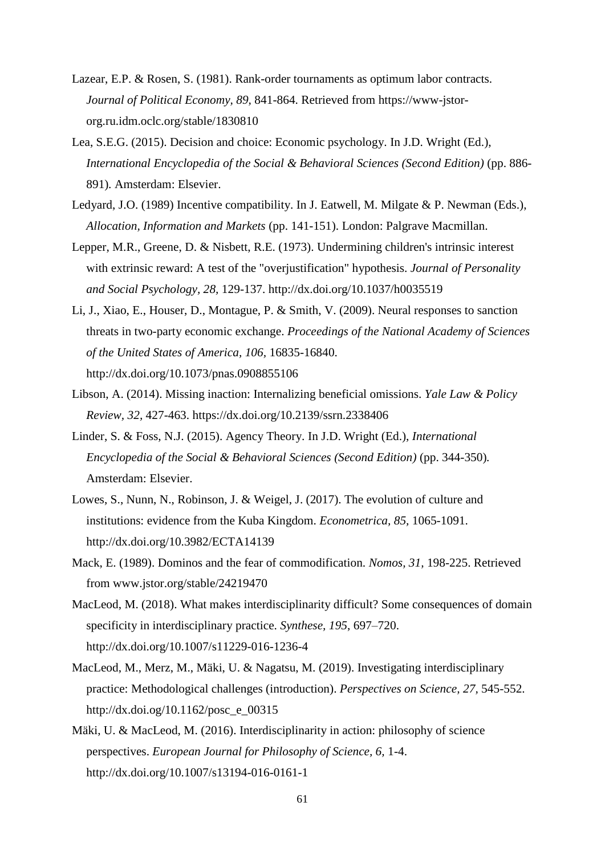- Lazear, E.P. & Rosen, S. (1981). Rank-order tournaments as optimum labor contracts. *Journal of Political Economy, 89,* 841-864. Retrieved from https://www-jstororg.ru.idm.oclc.org/stable/1830810
- Lea, S.E.G. (2015). Decision and choice: Economic psychology. In J.D. Wright (Ed.), *International Encyclopedia of the Social & Behavioral Sciences (Second Edition)* (pp. 886-891)*.* Amsterdam: Elsevier.
- Ledyard, J.O. (1989) Incentive compatibility. In J. Eatwell, M. Milgate & P. Newman (Eds.), *Allocation, Information and Markets* (pp. 141-151). London: Palgrave Macmillan.
- Lepper, M.R., Greene, D. & Nisbett, R.E. (1973). Undermining children's intrinsic interest with extrinsic reward: A test of the "overjustification" hypothesis. *Journal of Personality and Social Psychology, 28,* 129-137. http://dx.doi.org/10.1037/h0035519
- Li, J., Xiao, E., Houser, D., Montague, P. & Smith, V. (2009). Neural responses to sanction threats in two-party economic exchange. *Proceedings of the National Academy of Sciences of the United States of America, 106,* 16835-16840. http://dx.doi.org/10.1073/pnas.0908855106
- Libson, A. (2014). Missing inaction: Internalizing beneficial omissions. *Yale Law & Policy Review, 32,* 427-463. https://dx.doi.org/10.2139/ssrn.2338406
- Linder, S. & Foss, N.J. (2015). Agency Theory. In J.D. Wright (Ed.), *International Encyclopedia of the Social & Behavioral Sciences (Second Edition)* (pp. 344-350)*.* Amsterdam: Elsevier.
- Lowes, S., Nunn, N., Robinson, J. & Weigel, J. (2017). The evolution of culture and institutions: evidence from the Kuba Kingdom. *Econometrica, 85,* 1065-1091. http://dx.doi.org/10.3982/ECTA14139
- Mack, E. (1989). Dominos and the fear of commodification. *Nomos, 31,* 198-225. Retrieved from www.jstor.org/stable/24219470
- MacLeod, M. (2018). What makes interdisciplinarity difficult? Some consequences of domain specificity in interdisciplinary practice. *Synthese, 195*, 697–720. http://dx.doi.org/10.1007/s11229-016-1236-4
- MacLeod, M., Merz, M., Mäki, U. & Nagatsu, M. (2019). Investigating interdisciplinary practice: Methodological challenges (introduction). *Perspectives on Science, 27,* 545-552. http://dx.doi.og/10.1162/posc\_e\_00315
- Mäki, U. & MacLeod, M. (2016). Interdisciplinarity in action: philosophy of science perspectives. *European Journal for Philosophy of Science, 6,* 1-4. http://dx.doi.org/10.1007/s13194-016-0161-1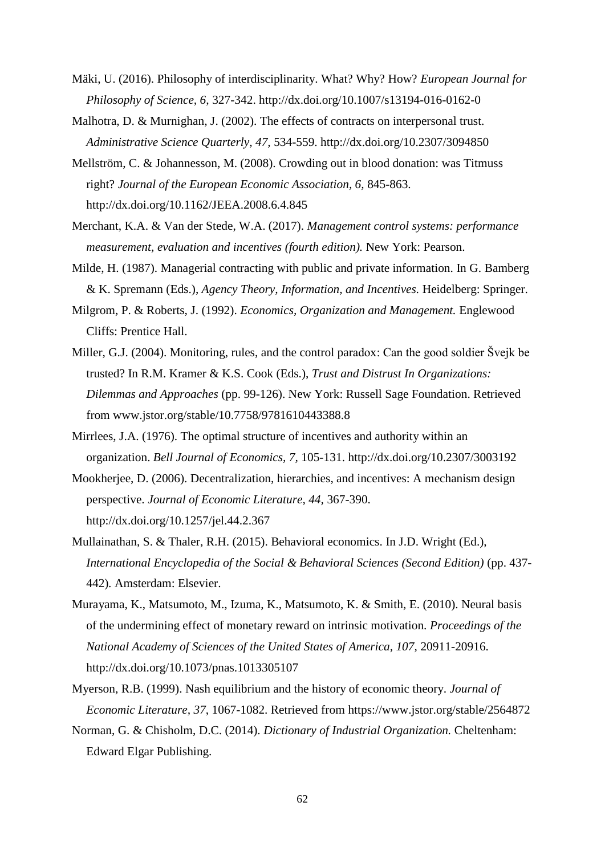- Mäki, U. (2016). Philosophy of interdisciplinarity. What? Why? How? *European Journal for Philosophy of Science, 6,* 327-342. http://dx.doi.org/10.1007/s13194-016-0162-0
- Malhotra, D. & Murnighan, J. (2002). The effects of contracts on interpersonal trust. *Administrative Science Quarterly, 47,* 534-559. http://dx.doi.org/10.2307/3094850
- Mellström, C. & Johannesson, M. (2008). Crowding out in blood donation: was Titmuss right? *Journal of the European Economic Association, 6,* 845-863. http://dx.doi.org/10.1162/JEEA.2008.6.4.845
- Merchant, K.A. & Van der Stede, W.A. (2017). *Management control systems: performance measurement, evaluation and incentives (fourth edition).* New York: Pearson.
- Milde, H. (1987). Managerial contracting with public and private information. In G. Bamberg & K. Spremann (Eds.), *Agency Theory, Information, and Incentives.* Heidelberg: Springer.
- Milgrom, P. & Roberts, J. (1992). *Economics, Organization and Management.* Englewood Cliffs: Prentice Hall.
- Miller, G.J. (2004). Monitoring, rules, and the control paradox: Can the good soldier Švejk be trusted? In R.M. Kramer & K.S. Cook (Eds.), *Trust and Distrust In Organizations: Dilemmas and Approaches* (pp. 99-126). New York: Russell Sage Foundation. Retrieved from www.jstor.org/stable/10.7758/9781610443388.8
- Mirrlees, J.A. (1976). The optimal structure of incentives and authority within an organization. *Bell Journal of Economics, 7,* 105-131. http://dx.doi.org/10.2307/3003192
- Mookherjee, D. (2006). Decentralization, hierarchies, and incentives: A mechanism design perspective. *Journal of Economic Literature, 44,* 367-390. http://dx.doi.org/10.1257/jel.44.2.367
- Mullainathan, S. & Thaler, R.H. (2015). Behavioral economics. In J.D. Wright (Ed.), *International Encyclopedia of the Social & Behavioral Sciences (Second Edition)* (pp. 437- 442)*.* Amsterdam: Elsevier.
- Murayama, K., Matsumoto, M., Izuma, K., Matsumoto, K. & Smith, E. (2010). Neural basis of the undermining effect of monetary reward on intrinsic motivation. *Proceedings of the National Academy of Sciences of the United States of America, 107,* 20911-20916. http://dx.doi.org/10.1073/pnas.1013305107
- Myerson, R.B. (1999). Nash equilibrium and the history of economic theory. *Journal of Economic Literature, 37*, 1067-1082. Retrieved from https://www.jstor.org/stable/2564872
- Norman, G. & Chisholm, D.C. (2014). *Dictionary of Industrial Organization.* Cheltenham: Edward Elgar Publishing.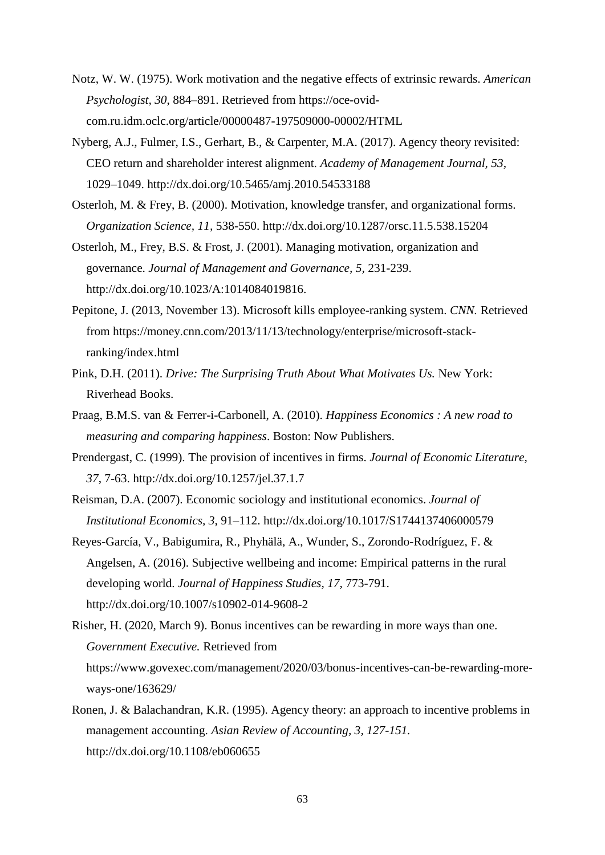- Notz, W. W. (1975). Work motivation and the negative effects of extrinsic rewards. *American Psychologist, 30*, 884–891. Retrieved from https://oce-ovidcom.ru.idm.oclc.org/article/00000487-197509000-00002/HTML
- Nyberg, A.J., Fulmer, I.S., Gerhart, B., & Carpenter, M.A. (2017). Agency theory revisited: CEO return and shareholder interest alignment. *Academy of Management Journal, 53,* 1029–1049. <http://dx.doi.org/10.5465/amj.2010.54533188>
- Osterloh, M. & Frey, B. (2000). Motivation, knowledge transfer, and organizational forms. *Organization Science, 11,* 538-550. http://dx.doi.org/10.1287/orsc.11.5.538.15204
- Osterloh, M., Frey, B.S. & Frost, J. (2001). Managing motivation, organization and governance. *Journal of Management and Governance, 5,* 231-239. http://dx.doi.org/10.1023/A:1014084019816.
- Pepitone, J. (2013, November 13). Microsoft kills employee-ranking system. *CNN.* Retrieved from https://money.cnn.com/2013/11/13/technology/enterprise/microsoft-stackranking/index.html
- Pink, D.H. (2011). *Drive: The Surprising Truth About What Motivates Us.* New York: Riverhead Books.
- Praag, B.M.S. van & Ferrer-i-Carbonell, A. (2010). *Happiness Economics : A new road to measuring and comparing happiness*. Boston: Now Publishers.
- Prendergast, C. (1999). The provision of incentives in firms. *Journal of Economic Literature, 37*, 7-63. http://dx.doi.org/10.1257/jel.37.1.7
- Reisman, D.A. (2007). Economic sociology and institutional economics. *Journal of Institutional Economics, 3*, 91–112. http://dx.doi.org/10.1017/S1744137406000579
- Reyes-García, V., Babigumira, R., Phyhälä, A., Wunder, S., Zorondo-Rodríguez, F. & Angelsen, A. (2016). Subjective wellbeing and income: Empirical patterns in the rural developing world. *Journal of Happiness Studies, 17,* 773-791. http://dx.doi.org/10.1007/s10902-014-9608-2
- Risher, H. (2020, March 9). Bonus incentives can be rewarding in more ways than one. *Government Executive.* Retrieved from [https://www.govexec.com/management/2020/03/bonus-incentives-can-be-rewarding-more](https://www.govexec.com/management/2020/03/bonus-incentives-can-be-rewarding-more-ways-one/163629/)[ways-one/163629/](https://www.govexec.com/management/2020/03/bonus-incentives-can-be-rewarding-more-ways-one/163629/)
- Ronen, J. & Balachandran, K.R. (1995). Agency theory: an approach to incentive problems in management accounting. *Asian Review of Accounting, 3, 127-151.*  http://dx.doi.org/10.1108/eb060655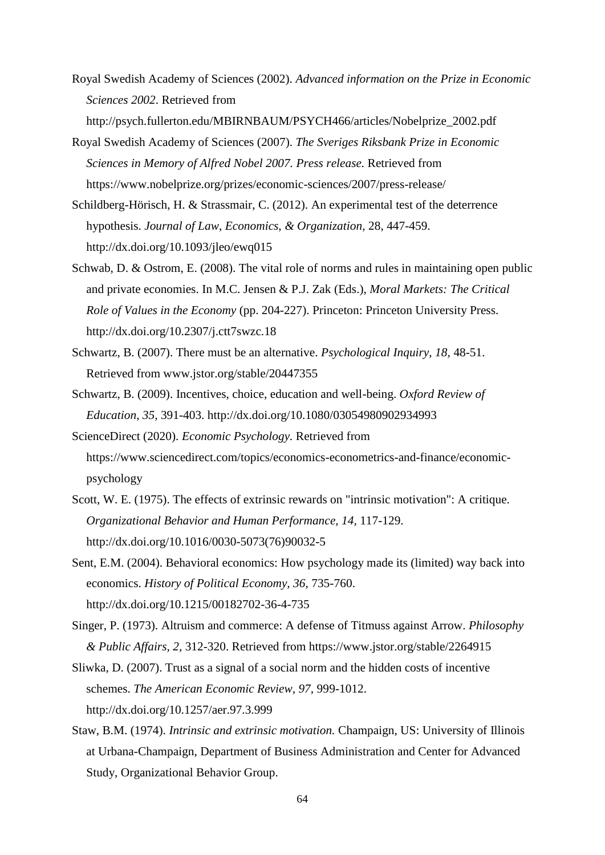- Royal Swedish Academy of Sciences (2002). *Advanced information on the Prize in Economic Sciences 2002*. Retrieved from http://psych.fullerton.edu/MBIRNBAUM/PSYCH466/articles/Nobelprize\_2002.pdf
- Royal Swedish Academy of Sciences (2007). *The Sveriges Riksbank Prize in Economic Sciences in Memory of Alfred Nobel 2007. Press release.* Retrieved from https://www.nobelprize.org/prizes/economic-sciences/2007/press-release/
- Schildberg-Hörisch, H. & Strassmair, C. (2012). An experimental test of the deterrence hypothesis. *Journal of Law, Economics, & Organization,* 28, 447-459. http://dx.doi.org/10.1093/jleo/ewq015
- Schwab, D. & Ostrom, E. (2008). The vital role of norms and rules in maintaining open public and private economies. In M.C. Jensen & P.J. Zak (Eds.), *Moral Markets: The Critical Role of Values in the Economy* (pp. 204-227). Princeton: Princeton University Press. http://dx.doi.org/10.2307/j.ctt7swzc.18
- Schwartz, B. (2007). There must be an alternative. *Psychological Inquiry, 18,* 48-51. Retrieved from www.jstor.org/stable/20447355
- Schwartz, B. (2009). Incentives, choice, education and well-being. *Oxford Review of Education, 35,* 391-403. http://dx.doi.org/10.1080/03054980902934993
- ScienceDirect (2020). *Economic Psychology.* Retrieved from https://www.sciencedirect.com/topics/economics-econometrics-and-finance/economicpsychology
- Scott, W. E. (1975). The effects of extrinsic rewards on "intrinsic motivation": A critique. *Organizational Behavior and Human Performance, 14,* 117-129. http://dx.doi.org/10.1016/0030-5073(76)90032-5
- Sent, E.M. (2004). Behavioral economics: How psychology made its (limited) way back into economics. *History of Political Economy, 36,* 735-760. http://dx.doi.org/10.1215/00182702-36-4-735
- Singer, P. (1973). Altruism and commerce: A defense of Titmuss against Arrow. *Philosophy & Public Affairs, 2,* 312-320. Retrieved from https://www.jstor.org/stable/2264915
- Sliwka, D. (2007). Trust as a signal of a social norm and the hidden costs of incentive schemes. *The American Economic Review, 97,* 999-1012. http://dx.doi.org/10.1257/aer.97.3.999
- Staw, B.M. (1974). *Intrinsic and extrinsic motivation.* Champaign, US: University of Illinois at Urbana-Champaign, Department of Business Administration and Center for Advanced Study, Organizational Behavior Group.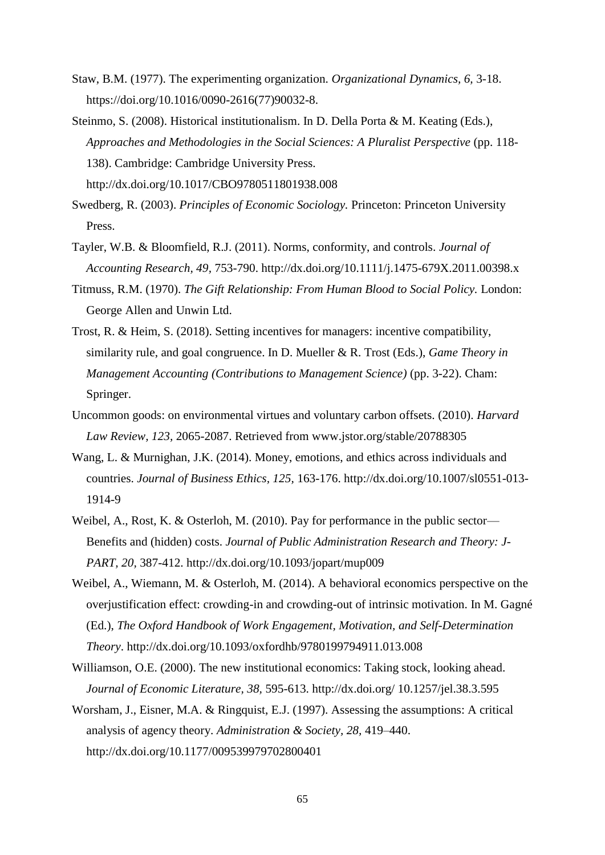- Staw, B.M. (1977). The experimenting organization. *Organizational Dynamics, 6,* 3-18. https://doi.org/10.1016/0090-2616(77)90032-8.
- Steinmo, S. (2008). Historical institutionalism. In D. Della Porta & M. Keating (Eds.), *Approaches and Methodologies in the Social Sciences: A Pluralist Perspective* (pp. 118- 138). Cambridge: Cambridge University Press. http://dx.doi.org/10.1017/CBO9780511801938.008
- Swedberg, R. (2003). *Principles of Economic Sociology.* Princeton: Princeton University Press.
- Tayler, W.B. & Bloomfield, R.J. (2011). Norms, conformity, and controls. *Journal of Accounting Research, 49,* 753-790. http://dx.doi.org/10.1111/j.1475-679X.2011.00398.x
- Titmuss, R.M. (1970). *The Gift Relationship: From Human Blood to Social Policy.* London: George Allen and Unwin Ltd.
- Trost, R. & Heim, S. (2018). Setting incentives for managers: incentive compatibility, similarity rule, and goal congruence. In D. Mueller & R. Trost (Eds.), *Game Theory in Management Accounting (Contributions to Management Science)* (pp. 3-22). Cham: Springer.
- Uncommon goods: on environmental virtues and voluntary carbon offsets. (2010). *Harvard Law Review, 123,* 2065-2087. Retrieved from www.jstor.org/stable/20788305
- Wang, L. & Murnighan, J.K. (2014). Money, emotions, and ethics across individuals and countries. *Journal of Business Ethics, 125,* 163-176. http://dx.doi.org/10.1007/sl0551-013- 1914-9
- Weibel, A., Rost, K. & Osterloh, M. (2010). Pay for performance in the public sector— Benefits and (hidden) costs. *Journal of Public Administration Research and Theory: J-PART, 20,* 387-412. http://dx.doi.org/10.1093/jopart/mup009
- Weibel, A., Wiemann, M. & Osterloh, M. (2014). A behavioral economics perspective on the overjustification effect: crowding-in and crowding-out of intrinsic motivation. In M. Gagné (Ed.), *The Oxford Handbook of Work Engagement, Motivation, and Self-Determination Theory*. http://dx.doi.org/10.1093/oxfordhb/9780199794911.013.008
- Williamson, O.E. (2000). The new institutional economics: Taking stock, looking ahead. *Journal of Economic Literature, 38,* 595-613. http://dx.doi.org/ 10.1257/jel.38.3.595
- Worsham, J., Eisner, M.A. & Ringquist, E.J. (1997). Assessing the assumptions: A critical analysis of agency theory. *Administration & Society, 28,* 419–440. http://dx.doi.org/10.1177/009539979702800401